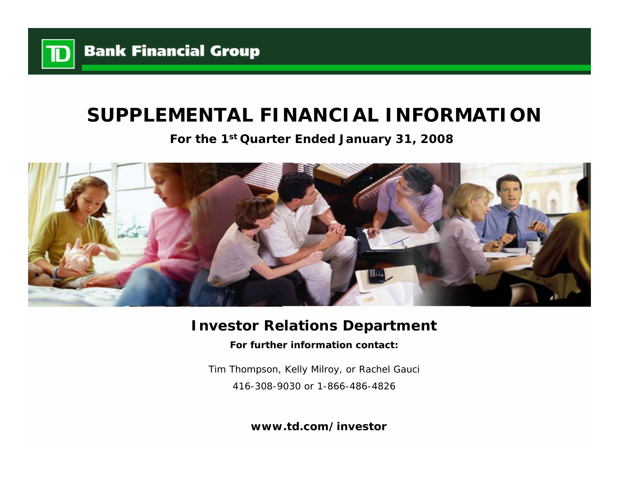

# **SUPPLEMENTAL FINANCIAL INFORMATION**

**For the 1st Quarter Ended January 31, 2008**



# **Investor Relations Department**

**For further information contact:**

Tim Thompson, Kelly Milroy, or Rachel Gauci 416-308-9030 or 1-866-486-4826

**www.td.com/investor**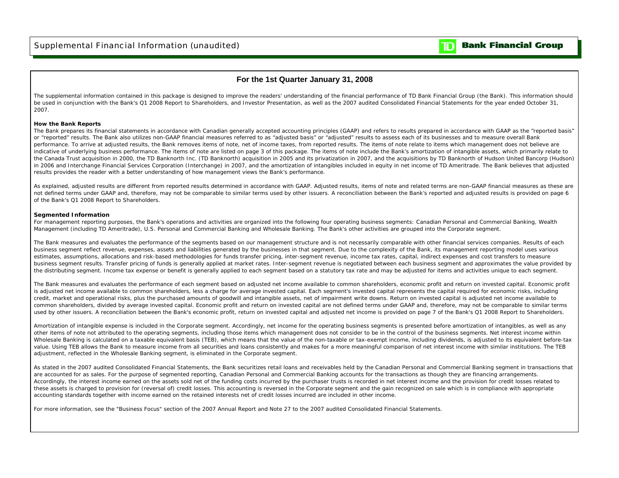

### **For the 1st Quarter January 31, 2008**

The supplemental information contained in this package is designed to improve the readers' understanding of the financial performance of TD Bank Financial Group (the Bank). This information should be used in conjunction with the Bank's Q1 2008 Report to Shareholders, and Investor Presentation, as well as the 2007 audited Consolidated Financial Statements for the year ended October 31, 2007.

#### **How the Bank Reports**

The Bank prepares its financial statements in accordance with Canadian generally accepted accounting principles (GAAP) and refers to results prepared in accordance with GAAP as the "reported basis" or "reported" results. The Bank also utilizes non-GAAP financial measures referred to as "adjusted basis" or "adjusted" results to assess each of its businesses and to measure overall Bank performance. To arrive at adjusted results, the Bank removes items of note, net of income taxes, from reported results. The items of note relate to items which management does not believe are indicative of underlying business performance. The items of note are listed on page 3 of this package. The items of note include the Bank's amortization of intangible assets, which primarily relate to the Canada Trust acquisition in 2000, the TD Banknorth Inc. (TD Banknorth) acquisition in 2005 and its privatization in 2007, and the acquisitions by TD Banknorth of Hudson United Bancorp (Hudson) in 2006 and Interchange Financial Services Corporation (Interchange) in 2007, and the amortization of intangibles included in equity in net income of TD Ameritrade. The Bank believes that adjusted results provides the reader with a better understanding of how management views the Bank's performance.

As explained, adjusted results are different from reported results determined in accordance with GAAP. Adjusted results, items of note and related terms are non-GAAP financial measures as these are not defined terms under GAAP and, therefore, may not be comparable to similar terms used by other issuers. A reconciliation between the Bank's reported and adjusted results is provided on page 6 of the Bank's Q1 2008 Report to Shareholders.

### **Segmented Information**

For management reporting purposes, the Bank's operations and activities are organized into the following four operating business segments: Canadian Personal and Commercial Banking, Wealth Management (including TD Ameritrade), U.S. Personal and Commercial Banking and Wholesale Banking. The Bank's other activities are grouped into the Corporate segment.

The Bank measures and evaluates the performance of the segments based on our management structure and is not necessarily comparable with other financial services companies. Results of each business segment reflect revenue, expenses, assets and liabilities generated by the businesses in that segment. Due to the complexity of the Bank, its management reporting model uses various estimates, assumptions, allocations and risk-based methodologies for funds transfer pricing, inter-segment revenue, income tax rates, capital, indirect expenses and cost transfers to measure business segment results. Transfer pricing of funds is generally applied at market rates. Inter-segment revenue is negotiated between each business segment and approximates the value provided by the distributing segment. Income tax expense or benefit is generally applied to each segment based on a statutory tax rate and may be adjusted for items and activities unique to each segment.

The Bank measures and evaluates the performance of each segment based on adjusted net income available to common shareholders, economic profit and return on invested capital. Economic profit is adjusted net income available to common shareholders, less a charge for average invested capital. Each segment's invested capital represents the capital required for economic risks, including credit, market and operational risks, plus the purchased amounts of goodwill and intangible assets, net of impairment write downs. Return on invested capital is adjusted net income available to common shareholders, divided by average invested capital. Economic profit and return on invested capital are not defined terms under GAAP and, therefore, may not be comparable to similar terms used by other issuers. A reconciliation between the Bank's economic profit, return on invested capital and adjusted net income is provided on page 7 of the Bank's Q1 2008 Report to Shareholders.

Amortization of intangible expense is included in the Corporate segment. Accordingly, net income for the operating business segments is presented before amortization of intangibles, as well as any other items of note not attributed to the operating segments, including those items which management does not consider to be in the control of the business segments. Net interest income within Wholesale Banking is calculated on a taxable equivalent basis (TEB), which means that the value of the non-taxable or tax-exempt income, including dividends, is adjusted to its equivalent before-tax value. Using TEB allows the Bank to measure income from all securities and loans consistently and makes for a more meaningful comparison of net interest income with similar institutions. The TEB adjustment, reflected in the Wholesale Banking segment, is eliminated in the Corporate segment.

As stated in the 2007 audited Consolidated Financial Statements, the Bank securitizes retail loans and receivables held by the Canadian Personal and Commercial Banking segment in transactions that are accounted for as sales. For the purpose of segmented reporting, Canadian Personal and Commercial Banking accounts for the transactions as though they are financing arrangements. Accordingly, the interest income earned on the assets sold net of the funding costs incurred by the purchaser trusts is recorded in net interest income and the provision for credit losses related to these assets is charged to provision for (reversal of) credit losses. This accounting is reversed in the Corporate segment and the gain recognized on sale which is in compliance with appropriate accounting standards together with income earned on the retained interests net of credit losses incurred are included in other income.

For more information, see the "Business Focus" section of the 2007 Annual Report and Note 27 to the 2007 audited Consolidated Financial Statements.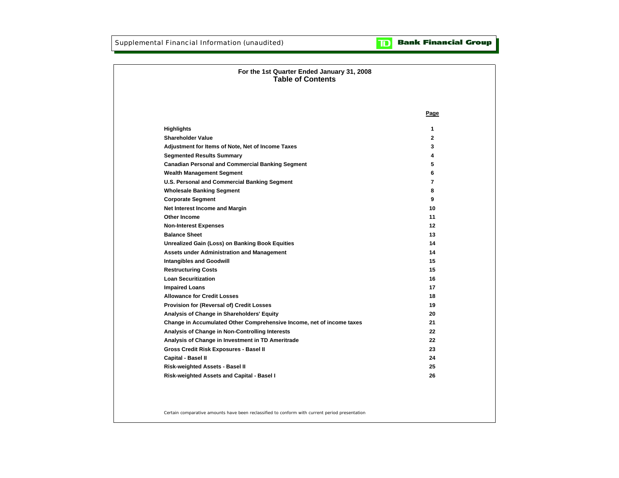**Bank Financial Group**  $\mathbf{D}$ 

| For the 1st Quarter Ended January 31, 2008<br><b>Table of Contents</b> |              |
|------------------------------------------------------------------------|--------------|
|                                                                        |              |
|                                                                        |              |
|                                                                        | Page         |
| <b>Highlights</b>                                                      | 1            |
| <b>Shareholder Value</b>                                               | $\mathbf{2}$ |
| Adjustment for Items of Note, Net of Income Taxes                      | 3            |
| <b>Segmented Results Summary</b>                                       | 4            |
| <b>Canadian Personal and Commercial Banking Segment</b>                | 5            |
| <b>Wealth Management Segment</b>                                       | 6            |
| U.S. Personal and Commercial Banking Segment                           | 7            |
| <b>Wholesale Banking Segment</b>                                       | 8            |
| <b>Corporate Segment</b>                                               | 9            |
| Net Interest Income and Margin                                         | 10           |
| Other Income                                                           | 11           |
| <b>Non-Interest Expenses</b>                                           | 12           |
| <b>Balance Sheet</b>                                                   | 13           |
| <b>Unrealized Gain (Loss) on Banking Book Equities</b>                 | 14           |
| <b>Assets under Administration and Management</b>                      | 14           |
| <b>Intangibles and Goodwill</b>                                        | 15           |
| <b>Restructuring Costs</b>                                             | 15           |
| <b>Loan Securitization</b>                                             | 16           |
| <b>Impaired Loans</b>                                                  | 17           |
| <b>Allowance for Credit Losses</b>                                     | 18           |
| Provision for (Reversal of) Credit Losses                              | 19           |
| Analysis of Change in Shareholders' Equity                             | 20           |
| Change in Accumulated Other Comprehensive Income, net of income taxes  | 21           |
| Analysis of Change in Non-Controlling Interests                        | 22           |
| Analysis of Change in Investment in TD Ameritrade                      | 22           |
| Gross Credit Risk Exposures - Basel II                                 | 23           |
| Capital - Basel II                                                     | 24           |
| Risk-weighted Assets - Basel II                                        | 25           |
| Risk-weighted Assets and Capital - Basel I                             | 26           |
|                                                                        |              |

Certain comparative amounts have been reclassified to conform with current period presentation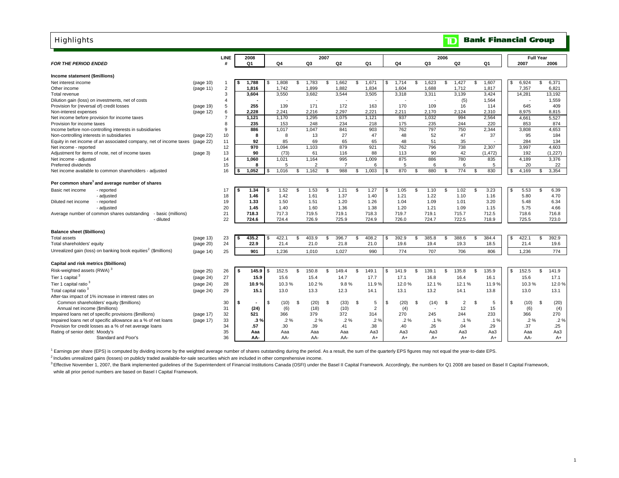| <b>LINE</b><br>2007<br>2006<br>2008<br><b>Full Year</b><br>Q <sub>1</sub><br>Q4<br>Q3<br>Q <sub>2</sub><br>Q <sub>1</sub><br>Q <sub>4</sub><br>Q <sub>3</sub><br>Q2<br>Q1<br><b>FOR THE PERIOD ENDED</b><br>2007<br>2006<br>Income statement (\$millions)<br>1,788<br>1,808<br>1,783<br>1,662<br>\$<br>1,671<br>1,714<br>\$<br>1,623<br>\$<br>1,427<br>\$<br>1,607<br>6,924<br>\$<br>6,371<br>Net interest income<br><b>S</b><br>\$<br>(page 10)<br>$\mathbf 1$<br>\$.<br>$\overline{c}$<br>1,816<br>1,742<br>1,899<br>1,882<br>1,834<br>1,604<br>1,688<br>1,712<br>7,357<br>6.821<br>1,817<br>Other income<br>(page 11)<br>3.550<br>3<br>3.604<br>3.682<br>3,544<br>3,505<br>3,318<br>3,311<br>3,139<br>3,424<br>14,281<br>13.192<br>Total revenue<br>(5)<br>1,564<br>1,559<br>Dilution gain (loss) on investments, net of costs<br>4<br>5<br>255<br>139<br>171<br>172<br>163<br>170<br>109<br>645<br>409<br>Provision for (reversal of) credit losses<br>16<br>114<br>(page 19)<br>6<br>2,228<br>2,241<br>2,216<br>2,297<br>2,221<br>2,211<br>2,170<br>2,310<br>8,975<br>8,815<br>Non-interest expenses<br>(page 12)<br>2,124<br>$\overline{7}$<br>1,295<br>1,075<br>937<br>994<br>2,564<br>5,527<br>1.121<br>1.170<br>1.121<br>1,032<br>4,661<br>Net income before provision for income taxes<br>8<br>235<br>153<br>248<br>234<br>218<br>175<br>235<br>244<br>220<br>853<br>874<br>Provision for income taxes<br>1.017<br>1.047<br>841<br>762<br>797<br>9<br>886<br>903<br>750<br>2.344<br>3,808<br>4.653<br>Income before non-controlling interests in subsidiaries<br>27<br>10<br>13<br>47<br>48<br>52<br>47<br>37<br>184<br>Non-controlling interests in subsidiaries<br>8<br>8<br>95<br>(page 22)<br>92<br>85<br>69<br>65<br>48<br>51<br>284<br>134<br>Equity in net income of an associated company, net of income taxes<br>11<br>65<br>35<br>(page 22)<br>879<br>921<br>762<br>796<br>738<br>4,603<br>970<br>1,094<br>1,103<br>2,307<br>3,997<br>12<br>Net income - reported<br>90<br>88<br>90<br>42<br>(1, 227)<br>Adjustment for items of note, net of income taxes<br>13<br>(73)<br>61<br>116<br>113<br>(1, 472)<br>192<br>(page 3)<br>1.060<br>1,021<br>1,164<br>995<br>1,009<br>875<br>886<br>780<br>835<br>4,189<br>3,376<br>14<br>Net income - adjusted<br>$\overline{7}$<br>Preferred dividends<br>15<br>8<br>5<br>$\overline{2}$<br>6<br>5<br>-6<br>6<br>5<br>20<br>22<br>16<br>1,016<br>1,162<br>988<br>1,003<br>870<br>880<br>774<br>830<br>4,169<br>3,354<br>1,052<br>\$<br>\$<br>\$.<br>\$.<br>-S<br>\$<br>Net income available to common shareholders - adjusted<br>\$<br>£.<br>\$.<br>£.<br>17<br>1.34<br>1.52<br>1.53<br>1.21<br>1.27<br>1.05<br>1.10<br>1.02<br>3.23<br>5.53<br>6.39<br>- reported<br>\$.<br>\$<br>\$<br>\$<br>\$<br>\$<br>1.42<br>1.37<br>- adjusted<br>1.46<br>1.61<br>1.40<br>1.21<br>1.22<br>1.10<br>1.16<br>5.80<br>4.70<br>18<br>19<br>1.33<br>1.50<br>1.51<br>1.20<br>1.26<br>1.04<br>1.09<br>1.01<br>3.20<br>5.48<br>6.34<br>- reported<br>1.36<br>- adjusted<br>20<br>1.45<br>1.40<br>1.60<br>1.38<br>1.20<br>1.21<br>1.09<br>1.15<br>5.75<br>4.66<br>718.3<br>717.3<br>719.1<br>719.7<br>719.1<br>712.5<br>716.8<br>- basic (millions)<br>21<br>719.5<br>718.3<br>715.7<br>718.6<br>22<br>724.4<br>725.9<br>723.0<br>- diluted<br>724.6<br>726.9<br>724.9<br>726.0<br>724.7<br>722.5<br>718.9<br>725.5<br>435.2<br>422.1<br>403.9<br>396.7<br>408.2<br>392.9<br>385.8<br>388.6<br>384.4<br>422.1<br>392.9<br>23<br><b>S</b><br>\$<br>Ŝ.<br>\$<br>\$<br>\$<br>\$<br>(page 13)<br>24<br>22.9<br>21.4<br>21.0<br>21.8<br>21.0<br>21.4<br>Total shareholders' equity<br>(page 20)<br>19.6<br>19.4<br>19.3<br>18.5<br>19.6<br>774<br>25<br>901<br>1,236<br>1,010<br>1,027<br>990<br>774<br>707<br>706<br>806<br>1,236<br>(page 14)<br>Capital and risk metrics (\$billions)<br>152.5<br>\$<br>\$<br>135.8<br>\$<br>152.5<br>\$<br>Risk-weighted assets (RWA) <sup>3</sup><br>145.9<br>\$.<br>150.8<br>S<br>149.4<br>\$<br>149.1<br>141.9<br>139.1<br>135.9<br>141.9<br>26<br>\$<br>-S<br>(page 25)<br>s.<br>-S<br>Tier 1 capital <sup>3</sup><br>27<br>15.6<br>16.4<br>17.1<br>15.9<br>15.4<br>14.7<br>17.7<br>17.1<br>16.8<br>16.1<br>15.6<br>(page 24)<br>28<br>10.9%<br>10.3%<br>10.2%<br>9.8%<br>11.9%<br>12.0%<br>12.1%<br>12.1%<br>10.3%<br>(page 24)<br>11.9%<br>Total capital ratio <sup>3</sup><br>29<br>13.0<br>13.3<br>12.3<br>13.1<br>13.2<br>14.1<br>13.0<br>13.1<br>(page 24)<br>15.1<br>14.1<br>13.8<br>(20)<br>(33)<br>\$<br>(20)<br>\$<br>(14)<br>$\overline{2}$<br>\$<br>(10)<br>Ŝ.<br>(20)<br>Common shareholders' equity (\$millions)<br>30<br>\$<br>(10)<br>\$<br>\$<br>5<br>\$<br>\$<br>5<br>-S<br>\$<br>$\overline{2}$<br>12<br>15<br>(4)<br>Annual net income (\$millions)<br>31<br>(24)<br>(6)<br>(18)<br>(10)<br>(4)<br>(6)<br>379<br>32<br>521<br>366<br>372<br>270<br>245<br>244<br>233<br>366<br>270<br>Impaired loans net of specific provisions (\$millions)<br>314<br>(page 17)<br>$.2\%$<br>$.2\%$<br>Impaired loans net of specific allowance as a % of net loans<br>33<br>$.2\%$<br>$.2\%$<br>$.2\%$<br>.2%<br>$.2\%$<br>$.1\%$<br>.1%<br>.1%<br>(page 17)<br>.3%<br>.25<br>Provision for credit losses as a % of net average loans<br>34<br>.57<br>.30<br>.39<br>.41<br>.38<br>.40<br>.26<br>.04<br>.29<br>.37<br>Rating of senior debt: Moody's<br>35<br>Aa3<br>Aa3<br>Aa3<br>Aa <sub>3</sub><br>Aa3<br>Aaa<br>Aaa<br>Aaa<br>Aaa<br>Aa3<br>Aaa<br>Standard and Poor's<br>36<br>AA-<br>AA-<br>AA-<br>AA-<br>$A+$<br>$A+$<br>A+<br>$A+$<br>A+<br>AA-<br>A+ | <b>Highlights</b>                                                         |  |  |  |  |  |  |  |  | $\mathbf{D}% _{T}=\mathbf{D}_{T}\!\left( \mathbf{1}_{T}% \mathbf{1}_{T}\mathbf{1}_{T}\mathbf{1}_{T}\mathbf{1}_{T}\mathbf{1}_{T}\mathbf{1}_{T}\mathbf{1}_{T}\mathbf{1}_{T}\mathbf{1}_{T}\mathbf{1}_{T}\mathbf{1}_{T}\mathbf{1}_{T}\mathbf{1}_{T}\mathbf{1}_{T}\mathbf{1}_{T}\mathbf{1}_{T}\mathbf{1}_{T}\mathbf{1}_{T}\mathbf{1}_{T}\mathbf{1}_{T}\mathbf{1}_{T}\mathbf{1}_{T}\mathbf{1}_{T}\mathbf{1}_{T}\mathbf{1}_{T}\mathbf{1}_{T}\mathbf{1}_{T}$ |  | <b>Bank Financial Group</b> |  |  |
|----------------------------------------------------------------------------------------------------------------------------------------------------------------------------------------------------------------------------------------------------------------------------------------------------------------------------------------------------------------------------------------------------------------------------------------------------------------------------------------------------------------------------------------------------------------------------------------------------------------------------------------------------------------------------------------------------------------------------------------------------------------------------------------------------------------------------------------------------------------------------------------------------------------------------------------------------------------------------------------------------------------------------------------------------------------------------------------------------------------------------------------------------------------------------------------------------------------------------------------------------------------------------------------------------------------------------------------------------------------------------------------------------------------------------------------------------------------------------------------------------------------------------------------------------------------------------------------------------------------------------------------------------------------------------------------------------------------------------------------------------------------------------------------------------------------------------------------------------------------------------------------------------------------------------------------------------------------------------------------------------------------------------------------------------------------------------------------------------------------------------------------------------------------------------------------------------------------------------------------------------------------------------------------------------------------------------------------------------------------------------------------------------------------------------------------------------------------------------------------------------------------------------------------------------------------------------------------------------------------------------------------------------------------------------------------------------------------------------------------------------------------------------------------------------------------------------------------------------------------------------------------------------------------------------------------------------------------------------------------------------------------------------------------------------------------------------------------------------------------------------------------------------------------------------------------------------------------------------------------------------------------------------------------------------------------------------------------------------------------------------------------------------------------------------------------------------------------------------------------------------------------------------------------------------------------------------------------------------------------------------------------------------------------------------------------------------------------------------------------------------------------------------------------------------------------------------------------------------------------------------------------------------------------------------------------------------------------------------------------------------------------------------------------------------------------------------------------------------------------------------------------------------------------------------------------------------------------------------------------------------------------------------------------------------------------------------------------------------------------------------------------------------------------------------------------------------------------------------------------------------------------------------------------------------------------------------------------------------------------------------------------------------------------------------------------------------------------------------------------------------------------------------------------------------------------------------------------------------------------------------------------------------------------------------------------------------------------------------------------------------------------------------------------------------------------------------------------------------------------------------------------------------------------------------------------------------------------------------------------------------------------------------------------------------------------------------------------------------------------------------------------------------------------------------------------------------------------------------------------------------------------------------------------------|---------------------------------------------------------------------------|--|--|--|--|--|--|--|--|------------------------------------------------------------------------------------------------------------------------------------------------------------------------------------------------------------------------------------------------------------------------------------------------------------------------------------------------------------------------------------------------------------------------------------------------------|--|-----------------------------|--|--|
|                                                                                                                                                                                                                                                                                                                                                                                                                                                                                                                                                                                                                                                                                                                                                                                                                                                                                                                                                                                                                                                                                                                                                                                                                                                                                                                                                                                                                                                                                                                                                                                                                                                                                                                                                                                                                                                                                                                                                                                                                                                                                                                                                                                                                                                                                                                                                                                                                                                                                                                                                                                                                                                                                                                                                                                                                                                                                                                                                                                                                                                                                                                                                                                                                                                                                                                                                                                                                                                                                                                                                                                                                                                                                                                                                                                                                                                                                                                                                                                                                                                                                                                                                                                                                                                                                                                                                                                                                                                                                                                                                                                                                                                                                                                                                                                                                                                                                                                                                                                                                                                                                                                                                                                                                                                                                                                                                                                                                                                                                                                                              |                                                                           |  |  |  |  |  |  |  |  |                                                                                                                                                                                                                                                                                                                                                                                                                                                      |  |                             |  |  |
|                                                                                                                                                                                                                                                                                                                                                                                                                                                                                                                                                                                                                                                                                                                                                                                                                                                                                                                                                                                                                                                                                                                                                                                                                                                                                                                                                                                                                                                                                                                                                                                                                                                                                                                                                                                                                                                                                                                                                                                                                                                                                                                                                                                                                                                                                                                                                                                                                                                                                                                                                                                                                                                                                                                                                                                                                                                                                                                                                                                                                                                                                                                                                                                                                                                                                                                                                                                                                                                                                                                                                                                                                                                                                                                                                                                                                                                                                                                                                                                                                                                                                                                                                                                                                                                                                                                                                                                                                                                                                                                                                                                                                                                                                                                                                                                                                                                                                                                                                                                                                                                                                                                                                                                                                                                                                                                                                                                                                                                                                                                                              |                                                                           |  |  |  |  |  |  |  |  |                                                                                                                                                                                                                                                                                                                                                                                                                                                      |  |                             |  |  |
| 12.0%                                                                                                                                                                                                                                                                                                                                                                                                                                                                                                                                                                                                                                                                                                                                                                                                                                                                                                                                                                                                                                                                                                                                                                                                                                                                                                                                                                                                                                                                                                                                                                                                                                                                                                                                                                                                                                                                                                                                                                                                                                                                                                                                                                                                                                                                                                                                                                                                                                                                                                                                                                                                                                                                                                                                                                                                                                                                                                                                                                                                                                                                                                                                                                                                                                                                                                                                                                                                                                                                                                                                                                                                                                                                                                                                                                                                                                                                                                                                                                                                                                                                                                                                                                                                                                                                                                                                                                                                                                                                                                                                                                                                                                                                                                                                                                                                                                                                                                                                                                                                                                                                                                                                                                                                                                                                                                                                                                                                                                                                                                                                        |                                                                           |  |  |  |  |  |  |  |  |                                                                                                                                                                                                                                                                                                                                                                                                                                                      |  |                             |  |  |
|                                                                                                                                                                                                                                                                                                                                                                                                                                                                                                                                                                                                                                                                                                                                                                                                                                                                                                                                                                                                                                                                                                                                                                                                                                                                                                                                                                                                                                                                                                                                                                                                                                                                                                                                                                                                                                                                                                                                                                                                                                                                                                                                                                                                                                                                                                                                                                                                                                                                                                                                                                                                                                                                                                                                                                                                                                                                                                                                                                                                                                                                                                                                                                                                                                                                                                                                                                                                                                                                                                                                                                                                                                                                                                                                                                                                                                                                                                                                                                                                                                                                                                                                                                                                                                                                                                                                                                                                                                                                                                                                                                                                                                                                                                                                                                                                                                                                                                                                                                                                                                                                                                                                                                                                                                                                                                                                                                                                                                                                                                                                              |                                                                           |  |  |  |  |  |  |  |  |                                                                                                                                                                                                                                                                                                                                                                                                                                                      |  |                             |  |  |
|                                                                                                                                                                                                                                                                                                                                                                                                                                                                                                                                                                                                                                                                                                                                                                                                                                                                                                                                                                                                                                                                                                                                                                                                                                                                                                                                                                                                                                                                                                                                                                                                                                                                                                                                                                                                                                                                                                                                                                                                                                                                                                                                                                                                                                                                                                                                                                                                                                                                                                                                                                                                                                                                                                                                                                                                                                                                                                                                                                                                                                                                                                                                                                                                                                                                                                                                                                                                                                                                                                                                                                                                                                                                                                                                                                                                                                                                                                                                                                                                                                                                                                                                                                                                                                                                                                                                                                                                                                                                                                                                                                                                                                                                                                                                                                                                                                                                                                                                                                                                                                                                                                                                                                                                                                                                                                                                                                                                                                                                                                                                              |                                                                           |  |  |  |  |  |  |  |  |                                                                                                                                                                                                                                                                                                                                                                                                                                                      |  |                             |  |  |
|                                                                                                                                                                                                                                                                                                                                                                                                                                                                                                                                                                                                                                                                                                                                                                                                                                                                                                                                                                                                                                                                                                                                                                                                                                                                                                                                                                                                                                                                                                                                                                                                                                                                                                                                                                                                                                                                                                                                                                                                                                                                                                                                                                                                                                                                                                                                                                                                                                                                                                                                                                                                                                                                                                                                                                                                                                                                                                                                                                                                                                                                                                                                                                                                                                                                                                                                                                                                                                                                                                                                                                                                                                                                                                                                                                                                                                                                                                                                                                                                                                                                                                                                                                                                                                                                                                                                                                                                                                                                                                                                                                                                                                                                                                                                                                                                                                                                                                                                                                                                                                                                                                                                                                                                                                                                                                                                                                                                                                                                                                                                              |                                                                           |  |  |  |  |  |  |  |  |                                                                                                                                                                                                                                                                                                                                                                                                                                                      |  |                             |  |  |
|                                                                                                                                                                                                                                                                                                                                                                                                                                                                                                                                                                                                                                                                                                                                                                                                                                                                                                                                                                                                                                                                                                                                                                                                                                                                                                                                                                                                                                                                                                                                                                                                                                                                                                                                                                                                                                                                                                                                                                                                                                                                                                                                                                                                                                                                                                                                                                                                                                                                                                                                                                                                                                                                                                                                                                                                                                                                                                                                                                                                                                                                                                                                                                                                                                                                                                                                                                                                                                                                                                                                                                                                                                                                                                                                                                                                                                                                                                                                                                                                                                                                                                                                                                                                                                                                                                                                                                                                                                                                                                                                                                                                                                                                                                                                                                                                                                                                                                                                                                                                                                                                                                                                                                                                                                                                                                                                                                                                                                                                                                                                              |                                                                           |  |  |  |  |  |  |  |  |                                                                                                                                                                                                                                                                                                                                                                                                                                                      |  |                             |  |  |
|                                                                                                                                                                                                                                                                                                                                                                                                                                                                                                                                                                                                                                                                                                                                                                                                                                                                                                                                                                                                                                                                                                                                                                                                                                                                                                                                                                                                                                                                                                                                                                                                                                                                                                                                                                                                                                                                                                                                                                                                                                                                                                                                                                                                                                                                                                                                                                                                                                                                                                                                                                                                                                                                                                                                                                                                                                                                                                                                                                                                                                                                                                                                                                                                                                                                                                                                                                                                                                                                                                                                                                                                                                                                                                                                                                                                                                                                                                                                                                                                                                                                                                                                                                                                                                                                                                                                                                                                                                                                                                                                                                                                                                                                                                                                                                                                                                                                                                                                                                                                                                                                                                                                                                                                                                                                                                                                                                                                                                                                                                                                              |                                                                           |  |  |  |  |  |  |  |  |                                                                                                                                                                                                                                                                                                                                                                                                                                                      |  |                             |  |  |
|                                                                                                                                                                                                                                                                                                                                                                                                                                                                                                                                                                                                                                                                                                                                                                                                                                                                                                                                                                                                                                                                                                                                                                                                                                                                                                                                                                                                                                                                                                                                                                                                                                                                                                                                                                                                                                                                                                                                                                                                                                                                                                                                                                                                                                                                                                                                                                                                                                                                                                                                                                                                                                                                                                                                                                                                                                                                                                                                                                                                                                                                                                                                                                                                                                                                                                                                                                                                                                                                                                                                                                                                                                                                                                                                                                                                                                                                                                                                                                                                                                                                                                                                                                                                                                                                                                                                                                                                                                                                                                                                                                                                                                                                                                                                                                                                                                                                                                                                                                                                                                                                                                                                                                                                                                                                                                                                                                                                                                                                                                                                              |                                                                           |  |  |  |  |  |  |  |  |                                                                                                                                                                                                                                                                                                                                                                                                                                                      |  |                             |  |  |
|                                                                                                                                                                                                                                                                                                                                                                                                                                                                                                                                                                                                                                                                                                                                                                                                                                                                                                                                                                                                                                                                                                                                                                                                                                                                                                                                                                                                                                                                                                                                                                                                                                                                                                                                                                                                                                                                                                                                                                                                                                                                                                                                                                                                                                                                                                                                                                                                                                                                                                                                                                                                                                                                                                                                                                                                                                                                                                                                                                                                                                                                                                                                                                                                                                                                                                                                                                                                                                                                                                                                                                                                                                                                                                                                                                                                                                                                                                                                                                                                                                                                                                                                                                                                                                                                                                                                                                                                                                                                                                                                                                                                                                                                                                                                                                                                                                                                                                                                                                                                                                                                                                                                                                                                                                                                                                                                                                                                                                                                                                                                              |                                                                           |  |  |  |  |  |  |  |  |                                                                                                                                                                                                                                                                                                                                                                                                                                                      |  |                             |  |  |
|                                                                                                                                                                                                                                                                                                                                                                                                                                                                                                                                                                                                                                                                                                                                                                                                                                                                                                                                                                                                                                                                                                                                                                                                                                                                                                                                                                                                                                                                                                                                                                                                                                                                                                                                                                                                                                                                                                                                                                                                                                                                                                                                                                                                                                                                                                                                                                                                                                                                                                                                                                                                                                                                                                                                                                                                                                                                                                                                                                                                                                                                                                                                                                                                                                                                                                                                                                                                                                                                                                                                                                                                                                                                                                                                                                                                                                                                                                                                                                                                                                                                                                                                                                                                                                                                                                                                                                                                                                                                                                                                                                                                                                                                                                                                                                                                                                                                                                                                                                                                                                                                                                                                                                                                                                                                                                                                                                                                                                                                                                                                              |                                                                           |  |  |  |  |  |  |  |  |                                                                                                                                                                                                                                                                                                                                                                                                                                                      |  |                             |  |  |
|                                                                                                                                                                                                                                                                                                                                                                                                                                                                                                                                                                                                                                                                                                                                                                                                                                                                                                                                                                                                                                                                                                                                                                                                                                                                                                                                                                                                                                                                                                                                                                                                                                                                                                                                                                                                                                                                                                                                                                                                                                                                                                                                                                                                                                                                                                                                                                                                                                                                                                                                                                                                                                                                                                                                                                                                                                                                                                                                                                                                                                                                                                                                                                                                                                                                                                                                                                                                                                                                                                                                                                                                                                                                                                                                                                                                                                                                                                                                                                                                                                                                                                                                                                                                                                                                                                                                                                                                                                                                                                                                                                                                                                                                                                                                                                                                                                                                                                                                                                                                                                                                                                                                                                                                                                                                                                                                                                                                                                                                                                                                              |                                                                           |  |  |  |  |  |  |  |  |                                                                                                                                                                                                                                                                                                                                                                                                                                                      |  |                             |  |  |
|                                                                                                                                                                                                                                                                                                                                                                                                                                                                                                                                                                                                                                                                                                                                                                                                                                                                                                                                                                                                                                                                                                                                                                                                                                                                                                                                                                                                                                                                                                                                                                                                                                                                                                                                                                                                                                                                                                                                                                                                                                                                                                                                                                                                                                                                                                                                                                                                                                                                                                                                                                                                                                                                                                                                                                                                                                                                                                                                                                                                                                                                                                                                                                                                                                                                                                                                                                                                                                                                                                                                                                                                                                                                                                                                                                                                                                                                                                                                                                                                                                                                                                                                                                                                                                                                                                                                                                                                                                                                                                                                                                                                                                                                                                                                                                                                                                                                                                                                                                                                                                                                                                                                                                                                                                                                                                                                                                                                                                                                                                                                              |                                                                           |  |  |  |  |  |  |  |  |                                                                                                                                                                                                                                                                                                                                                                                                                                                      |  |                             |  |  |
|                                                                                                                                                                                                                                                                                                                                                                                                                                                                                                                                                                                                                                                                                                                                                                                                                                                                                                                                                                                                                                                                                                                                                                                                                                                                                                                                                                                                                                                                                                                                                                                                                                                                                                                                                                                                                                                                                                                                                                                                                                                                                                                                                                                                                                                                                                                                                                                                                                                                                                                                                                                                                                                                                                                                                                                                                                                                                                                                                                                                                                                                                                                                                                                                                                                                                                                                                                                                                                                                                                                                                                                                                                                                                                                                                                                                                                                                                                                                                                                                                                                                                                                                                                                                                                                                                                                                                                                                                                                                                                                                                                                                                                                                                                                                                                                                                                                                                                                                                                                                                                                                                                                                                                                                                                                                                                                                                                                                                                                                                                                                              |                                                                           |  |  |  |  |  |  |  |  |                                                                                                                                                                                                                                                                                                                                                                                                                                                      |  |                             |  |  |
|                                                                                                                                                                                                                                                                                                                                                                                                                                                                                                                                                                                                                                                                                                                                                                                                                                                                                                                                                                                                                                                                                                                                                                                                                                                                                                                                                                                                                                                                                                                                                                                                                                                                                                                                                                                                                                                                                                                                                                                                                                                                                                                                                                                                                                                                                                                                                                                                                                                                                                                                                                                                                                                                                                                                                                                                                                                                                                                                                                                                                                                                                                                                                                                                                                                                                                                                                                                                                                                                                                                                                                                                                                                                                                                                                                                                                                                                                                                                                                                                                                                                                                                                                                                                                                                                                                                                                                                                                                                                                                                                                                                                                                                                                                                                                                                                                                                                                                                                                                                                                                                                                                                                                                                                                                                                                                                                                                                                                                                                                                                                              |                                                                           |  |  |  |  |  |  |  |  |                                                                                                                                                                                                                                                                                                                                                                                                                                                      |  |                             |  |  |
|                                                                                                                                                                                                                                                                                                                                                                                                                                                                                                                                                                                                                                                                                                                                                                                                                                                                                                                                                                                                                                                                                                                                                                                                                                                                                                                                                                                                                                                                                                                                                                                                                                                                                                                                                                                                                                                                                                                                                                                                                                                                                                                                                                                                                                                                                                                                                                                                                                                                                                                                                                                                                                                                                                                                                                                                                                                                                                                                                                                                                                                                                                                                                                                                                                                                                                                                                                                                                                                                                                                                                                                                                                                                                                                                                                                                                                                                                                                                                                                                                                                                                                                                                                                                                                                                                                                                                                                                                                                                                                                                                                                                                                                                                                                                                                                                                                                                                                                                                                                                                                                                                                                                                                                                                                                                                                                                                                                                                                                                                                                                              |                                                                           |  |  |  |  |  |  |  |  |                                                                                                                                                                                                                                                                                                                                                                                                                                                      |  |                             |  |  |
|                                                                                                                                                                                                                                                                                                                                                                                                                                                                                                                                                                                                                                                                                                                                                                                                                                                                                                                                                                                                                                                                                                                                                                                                                                                                                                                                                                                                                                                                                                                                                                                                                                                                                                                                                                                                                                                                                                                                                                                                                                                                                                                                                                                                                                                                                                                                                                                                                                                                                                                                                                                                                                                                                                                                                                                                                                                                                                                                                                                                                                                                                                                                                                                                                                                                                                                                                                                                                                                                                                                                                                                                                                                                                                                                                                                                                                                                                                                                                                                                                                                                                                                                                                                                                                                                                                                                                                                                                                                                                                                                                                                                                                                                                                                                                                                                                                                                                                                                                                                                                                                                                                                                                                                                                                                                                                                                                                                                                                                                                                                                              |                                                                           |  |  |  |  |  |  |  |  |                                                                                                                                                                                                                                                                                                                                                                                                                                                      |  |                             |  |  |
|                                                                                                                                                                                                                                                                                                                                                                                                                                                                                                                                                                                                                                                                                                                                                                                                                                                                                                                                                                                                                                                                                                                                                                                                                                                                                                                                                                                                                                                                                                                                                                                                                                                                                                                                                                                                                                                                                                                                                                                                                                                                                                                                                                                                                                                                                                                                                                                                                                                                                                                                                                                                                                                                                                                                                                                                                                                                                                                                                                                                                                                                                                                                                                                                                                                                                                                                                                                                                                                                                                                                                                                                                                                                                                                                                                                                                                                                                                                                                                                                                                                                                                                                                                                                                                                                                                                                                                                                                                                                                                                                                                                                                                                                                                                                                                                                                                                                                                                                                                                                                                                                                                                                                                                                                                                                                                                                                                                                                                                                                                                                              |                                                                           |  |  |  |  |  |  |  |  |                                                                                                                                                                                                                                                                                                                                                                                                                                                      |  |                             |  |  |
|                                                                                                                                                                                                                                                                                                                                                                                                                                                                                                                                                                                                                                                                                                                                                                                                                                                                                                                                                                                                                                                                                                                                                                                                                                                                                                                                                                                                                                                                                                                                                                                                                                                                                                                                                                                                                                                                                                                                                                                                                                                                                                                                                                                                                                                                                                                                                                                                                                                                                                                                                                                                                                                                                                                                                                                                                                                                                                                                                                                                                                                                                                                                                                                                                                                                                                                                                                                                                                                                                                                                                                                                                                                                                                                                                                                                                                                                                                                                                                                                                                                                                                                                                                                                                                                                                                                                                                                                                                                                                                                                                                                                                                                                                                                                                                                                                                                                                                                                                                                                                                                                                                                                                                                                                                                                                                                                                                                                                                                                                                                                              |                                                                           |  |  |  |  |  |  |  |  |                                                                                                                                                                                                                                                                                                                                                                                                                                                      |  |                             |  |  |
|                                                                                                                                                                                                                                                                                                                                                                                                                                                                                                                                                                                                                                                                                                                                                                                                                                                                                                                                                                                                                                                                                                                                                                                                                                                                                                                                                                                                                                                                                                                                                                                                                                                                                                                                                                                                                                                                                                                                                                                                                                                                                                                                                                                                                                                                                                                                                                                                                                                                                                                                                                                                                                                                                                                                                                                                                                                                                                                                                                                                                                                                                                                                                                                                                                                                                                                                                                                                                                                                                                                                                                                                                                                                                                                                                                                                                                                                                                                                                                                                                                                                                                                                                                                                                                                                                                                                                                                                                                                                                                                                                                                                                                                                                                                                                                                                                                                                                                                                                                                                                                                                                                                                                                                                                                                                                                                                                                                                                                                                                                                                              |                                                                           |  |  |  |  |  |  |  |  |                                                                                                                                                                                                                                                                                                                                                                                                                                                      |  |                             |  |  |
|                                                                                                                                                                                                                                                                                                                                                                                                                                                                                                                                                                                                                                                                                                                                                                                                                                                                                                                                                                                                                                                                                                                                                                                                                                                                                                                                                                                                                                                                                                                                                                                                                                                                                                                                                                                                                                                                                                                                                                                                                                                                                                                                                                                                                                                                                                                                                                                                                                                                                                                                                                                                                                                                                                                                                                                                                                                                                                                                                                                                                                                                                                                                                                                                                                                                                                                                                                                                                                                                                                                                                                                                                                                                                                                                                                                                                                                                                                                                                                                                                                                                                                                                                                                                                                                                                                                                                                                                                                                                                                                                                                                                                                                                                                                                                                                                                                                                                                                                                                                                                                                                                                                                                                                                                                                                                                                                                                                                                                                                                                                                              | Per common share <sup>1</sup> and average number of shares                |  |  |  |  |  |  |  |  |                                                                                                                                                                                                                                                                                                                                                                                                                                                      |  |                             |  |  |
|                                                                                                                                                                                                                                                                                                                                                                                                                                                                                                                                                                                                                                                                                                                                                                                                                                                                                                                                                                                                                                                                                                                                                                                                                                                                                                                                                                                                                                                                                                                                                                                                                                                                                                                                                                                                                                                                                                                                                                                                                                                                                                                                                                                                                                                                                                                                                                                                                                                                                                                                                                                                                                                                                                                                                                                                                                                                                                                                                                                                                                                                                                                                                                                                                                                                                                                                                                                                                                                                                                                                                                                                                                                                                                                                                                                                                                                                                                                                                                                                                                                                                                                                                                                                                                                                                                                                                                                                                                                                                                                                                                                                                                                                                                                                                                                                                                                                                                                                                                                                                                                                                                                                                                                                                                                                                                                                                                                                                                                                                                                                              | Basic net income                                                          |  |  |  |  |  |  |  |  |                                                                                                                                                                                                                                                                                                                                                                                                                                                      |  |                             |  |  |
|                                                                                                                                                                                                                                                                                                                                                                                                                                                                                                                                                                                                                                                                                                                                                                                                                                                                                                                                                                                                                                                                                                                                                                                                                                                                                                                                                                                                                                                                                                                                                                                                                                                                                                                                                                                                                                                                                                                                                                                                                                                                                                                                                                                                                                                                                                                                                                                                                                                                                                                                                                                                                                                                                                                                                                                                                                                                                                                                                                                                                                                                                                                                                                                                                                                                                                                                                                                                                                                                                                                                                                                                                                                                                                                                                                                                                                                                                                                                                                                                                                                                                                                                                                                                                                                                                                                                                                                                                                                                                                                                                                                                                                                                                                                                                                                                                                                                                                                                                                                                                                                                                                                                                                                                                                                                                                                                                                                                                                                                                                                                              |                                                                           |  |  |  |  |  |  |  |  |                                                                                                                                                                                                                                                                                                                                                                                                                                                      |  |                             |  |  |
|                                                                                                                                                                                                                                                                                                                                                                                                                                                                                                                                                                                                                                                                                                                                                                                                                                                                                                                                                                                                                                                                                                                                                                                                                                                                                                                                                                                                                                                                                                                                                                                                                                                                                                                                                                                                                                                                                                                                                                                                                                                                                                                                                                                                                                                                                                                                                                                                                                                                                                                                                                                                                                                                                                                                                                                                                                                                                                                                                                                                                                                                                                                                                                                                                                                                                                                                                                                                                                                                                                                                                                                                                                                                                                                                                                                                                                                                                                                                                                                                                                                                                                                                                                                                                                                                                                                                                                                                                                                                                                                                                                                                                                                                                                                                                                                                                                                                                                                                                                                                                                                                                                                                                                                                                                                                                                                                                                                                                                                                                                                                              | Diluted net income                                                        |  |  |  |  |  |  |  |  |                                                                                                                                                                                                                                                                                                                                                                                                                                                      |  |                             |  |  |
|                                                                                                                                                                                                                                                                                                                                                                                                                                                                                                                                                                                                                                                                                                                                                                                                                                                                                                                                                                                                                                                                                                                                                                                                                                                                                                                                                                                                                                                                                                                                                                                                                                                                                                                                                                                                                                                                                                                                                                                                                                                                                                                                                                                                                                                                                                                                                                                                                                                                                                                                                                                                                                                                                                                                                                                                                                                                                                                                                                                                                                                                                                                                                                                                                                                                                                                                                                                                                                                                                                                                                                                                                                                                                                                                                                                                                                                                                                                                                                                                                                                                                                                                                                                                                                                                                                                                                                                                                                                                                                                                                                                                                                                                                                                                                                                                                                                                                                                                                                                                                                                                                                                                                                                                                                                                                                                                                                                                                                                                                                                                              |                                                                           |  |  |  |  |  |  |  |  |                                                                                                                                                                                                                                                                                                                                                                                                                                                      |  |                             |  |  |
|                                                                                                                                                                                                                                                                                                                                                                                                                                                                                                                                                                                                                                                                                                                                                                                                                                                                                                                                                                                                                                                                                                                                                                                                                                                                                                                                                                                                                                                                                                                                                                                                                                                                                                                                                                                                                                                                                                                                                                                                                                                                                                                                                                                                                                                                                                                                                                                                                                                                                                                                                                                                                                                                                                                                                                                                                                                                                                                                                                                                                                                                                                                                                                                                                                                                                                                                                                                                                                                                                                                                                                                                                                                                                                                                                                                                                                                                                                                                                                                                                                                                                                                                                                                                                                                                                                                                                                                                                                                                                                                                                                                                                                                                                                                                                                                                                                                                                                                                                                                                                                                                                                                                                                                                                                                                                                                                                                                                                                                                                                                                              | Average number of common shares outstanding                               |  |  |  |  |  |  |  |  |                                                                                                                                                                                                                                                                                                                                                                                                                                                      |  |                             |  |  |
|                                                                                                                                                                                                                                                                                                                                                                                                                                                                                                                                                                                                                                                                                                                                                                                                                                                                                                                                                                                                                                                                                                                                                                                                                                                                                                                                                                                                                                                                                                                                                                                                                                                                                                                                                                                                                                                                                                                                                                                                                                                                                                                                                                                                                                                                                                                                                                                                                                                                                                                                                                                                                                                                                                                                                                                                                                                                                                                                                                                                                                                                                                                                                                                                                                                                                                                                                                                                                                                                                                                                                                                                                                                                                                                                                                                                                                                                                                                                                                                                                                                                                                                                                                                                                                                                                                                                                                                                                                                                                                                                                                                                                                                                                                                                                                                                                                                                                                                                                                                                                                                                                                                                                                                                                                                                                                                                                                                                                                                                                                                                              |                                                                           |  |  |  |  |  |  |  |  |                                                                                                                                                                                                                                                                                                                                                                                                                                                      |  |                             |  |  |
|                                                                                                                                                                                                                                                                                                                                                                                                                                                                                                                                                                                                                                                                                                                                                                                                                                                                                                                                                                                                                                                                                                                                                                                                                                                                                                                                                                                                                                                                                                                                                                                                                                                                                                                                                                                                                                                                                                                                                                                                                                                                                                                                                                                                                                                                                                                                                                                                                                                                                                                                                                                                                                                                                                                                                                                                                                                                                                                                                                                                                                                                                                                                                                                                                                                                                                                                                                                                                                                                                                                                                                                                                                                                                                                                                                                                                                                                                                                                                                                                                                                                                                                                                                                                                                                                                                                                                                                                                                                                                                                                                                                                                                                                                                                                                                                                                                                                                                                                                                                                                                                                                                                                                                                                                                                                                                                                                                                                                                                                                                                                              |                                                                           |  |  |  |  |  |  |  |  |                                                                                                                                                                                                                                                                                                                                                                                                                                                      |  |                             |  |  |
|                                                                                                                                                                                                                                                                                                                                                                                                                                                                                                                                                                                                                                                                                                                                                                                                                                                                                                                                                                                                                                                                                                                                                                                                                                                                                                                                                                                                                                                                                                                                                                                                                                                                                                                                                                                                                                                                                                                                                                                                                                                                                                                                                                                                                                                                                                                                                                                                                                                                                                                                                                                                                                                                                                                                                                                                                                                                                                                                                                                                                                                                                                                                                                                                                                                                                                                                                                                                                                                                                                                                                                                                                                                                                                                                                                                                                                                                                                                                                                                                                                                                                                                                                                                                                                                                                                                                                                                                                                                                                                                                                                                                                                                                                                                                                                                                                                                                                                                                                                                                                                                                                                                                                                                                                                                                                                                                                                                                                                                                                                                                              | <b>Balance sheet (\$billions)</b>                                         |  |  |  |  |  |  |  |  |                                                                                                                                                                                                                                                                                                                                                                                                                                                      |  |                             |  |  |
|                                                                                                                                                                                                                                                                                                                                                                                                                                                                                                                                                                                                                                                                                                                                                                                                                                                                                                                                                                                                                                                                                                                                                                                                                                                                                                                                                                                                                                                                                                                                                                                                                                                                                                                                                                                                                                                                                                                                                                                                                                                                                                                                                                                                                                                                                                                                                                                                                                                                                                                                                                                                                                                                                                                                                                                                                                                                                                                                                                                                                                                                                                                                                                                                                                                                                                                                                                                                                                                                                                                                                                                                                                                                                                                                                                                                                                                                                                                                                                                                                                                                                                                                                                                                                                                                                                                                                                                                                                                                                                                                                                                                                                                                                                                                                                                                                                                                                                                                                                                                                                                                                                                                                                                                                                                                                                                                                                                                                                                                                                                                              | Total assets                                                              |  |  |  |  |  |  |  |  |                                                                                                                                                                                                                                                                                                                                                                                                                                                      |  |                             |  |  |
|                                                                                                                                                                                                                                                                                                                                                                                                                                                                                                                                                                                                                                                                                                                                                                                                                                                                                                                                                                                                                                                                                                                                                                                                                                                                                                                                                                                                                                                                                                                                                                                                                                                                                                                                                                                                                                                                                                                                                                                                                                                                                                                                                                                                                                                                                                                                                                                                                                                                                                                                                                                                                                                                                                                                                                                                                                                                                                                                                                                                                                                                                                                                                                                                                                                                                                                                                                                                                                                                                                                                                                                                                                                                                                                                                                                                                                                                                                                                                                                                                                                                                                                                                                                                                                                                                                                                                                                                                                                                                                                                                                                                                                                                                                                                                                                                                                                                                                                                                                                                                                                                                                                                                                                                                                                                                                                                                                                                                                                                                                                                              |                                                                           |  |  |  |  |  |  |  |  |                                                                                                                                                                                                                                                                                                                                                                                                                                                      |  |                             |  |  |
|                                                                                                                                                                                                                                                                                                                                                                                                                                                                                                                                                                                                                                                                                                                                                                                                                                                                                                                                                                                                                                                                                                                                                                                                                                                                                                                                                                                                                                                                                                                                                                                                                                                                                                                                                                                                                                                                                                                                                                                                                                                                                                                                                                                                                                                                                                                                                                                                                                                                                                                                                                                                                                                                                                                                                                                                                                                                                                                                                                                                                                                                                                                                                                                                                                                                                                                                                                                                                                                                                                                                                                                                                                                                                                                                                                                                                                                                                                                                                                                                                                                                                                                                                                                                                                                                                                                                                                                                                                                                                                                                                                                                                                                                                                                                                                                                                                                                                                                                                                                                                                                                                                                                                                                                                                                                                                                                                                                                                                                                                                                                              | Unrealized gain (loss) on banking book equities <sup>2</sup> (\$millions) |  |  |  |  |  |  |  |  |                                                                                                                                                                                                                                                                                                                                                                                                                                                      |  |                             |  |  |
|                                                                                                                                                                                                                                                                                                                                                                                                                                                                                                                                                                                                                                                                                                                                                                                                                                                                                                                                                                                                                                                                                                                                                                                                                                                                                                                                                                                                                                                                                                                                                                                                                                                                                                                                                                                                                                                                                                                                                                                                                                                                                                                                                                                                                                                                                                                                                                                                                                                                                                                                                                                                                                                                                                                                                                                                                                                                                                                                                                                                                                                                                                                                                                                                                                                                                                                                                                                                                                                                                                                                                                                                                                                                                                                                                                                                                                                                                                                                                                                                                                                                                                                                                                                                                                                                                                                                                                                                                                                                                                                                                                                                                                                                                                                                                                                                                                                                                                                                                                                                                                                                                                                                                                                                                                                                                                                                                                                                                                                                                                                                              |                                                                           |  |  |  |  |  |  |  |  |                                                                                                                                                                                                                                                                                                                                                                                                                                                      |  |                             |  |  |
|                                                                                                                                                                                                                                                                                                                                                                                                                                                                                                                                                                                                                                                                                                                                                                                                                                                                                                                                                                                                                                                                                                                                                                                                                                                                                                                                                                                                                                                                                                                                                                                                                                                                                                                                                                                                                                                                                                                                                                                                                                                                                                                                                                                                                                                                                                                                                                                                                                                                                                                                                                                                                                                                                                                                                                                                                                                                                                                                                                                                                                                                                                                                                                                                                                                                                                                                                                                                                                                                                                                                                                                                                                                                                                                                                                                                                                                                                                                                                                                                                                                                                                                                                                                                                                                                                                                                                                                                                                                                                                                                                                                                                                                                                                                                                                                                                                                                                                                                                                                                                                                                                                                                                                                                                                                                                                                                                                                                                                                                                                                                              |                                                                           |  |  |  |  |  |  |  |  |                                                                                                                                                                                                                                                                                                                                                                                                                                                      |  |                             |  |  |
|                                                                                                                                                                                                                                                                                                                                                                                                                                                                                                                                                                                                                                                                                                                                                                                                                                                                                                                                                                                                                                                                                                                                                                                                                                                                                                                                                                                                                                                                                                                                                                                                                                                                                                                                                                                                                                                                                                                                                                                                                                                                                                                                                                                                                                                                                                                                                                                                                                                                                                                                                                                                                                                                                                                                                                                                                                                                                                                                                                                                                                                                                                                                                                                                                                                                                                                                                                                                                                                                                                                                                                                                                                                                                                                                                                                                                                                                                                                                                                                                                                                                                                                                                                                                                                                                                                                                                                                                                                                                                                                                                                                                                                                                                                                                                                                                                                                                                                                                                                                                                                                                                                                                                                                                                                                                                                                                                                                                                                                                                                                                              |                                                                           |  |  |  |  |  |  |  |  |                                                                                                                                                                                                                                                                                                                                                                                                                                                      |  |                             |  |  |
|                                                                                                                                                                                                                                                                                                                                                                                                                                                                                                                                                                                                                                                                                                                                                                                                                                                                                                                                                                                                                                                                                                                                                                                                                                                                                                                                                                                                                                                                                                                                                                                                                                                                                                                                                                                                                                                                                                                                                                                                                                                                                                                                                                                                                                                                                                                                                                                                                                                                                                                                                                                                                                                                                                                                                                                                                                                                                                                                                                                                                                                                                                                                                                                                                                                                                                                                                                                                                                                                                                                                                                                                                                                                                                                                                                                                                                                                                                                                                                                                                                                                                                                                                                                                                                                                                                                                                                                                                                                                                                                                                                                                                                                                                                                                                                                                                                                                                                                                                                                                                                                                                                                                                                                                                                                                                                                                                                                                                                                                                                                                              |                                                                           |  |  |  |  |  |  |  |  |                                                                                                                                                                                                                                                                                                                                                                                                                                                      |  |                             |  |  |
|                                                                                                                                                                                                                                                                                                                                                                                                                                                                                                                                                                                                                                                                                                                                                                                                                                                                                                                                                                                                                                                                                                                                                                                                                                                                                                                                                                                                                                                                                                                                                                                                                                                                                                                                                                                                                                                                                                                                                                                                                                                                                                                                                                                                                                                                                                                                                                                                                                                                                                                                                                                                                                                                                                                                                                                                                                                                                                                                                                                                                                                                                                                                                                                                                                                                                                                                                                                                                                                                                                                                                                                                                                                                                                                                                                                                                                                                                                                                                                                                                                                                                                                                                                                                                                                                                                                                                                                                                                                                                                                                                                                                                                                                                                                                                                                                                                                                                                                                                                                                                                                                                                                                                                                                                                                                                                                                                                                                                                                                                                                                              | Tier 1 capital ratio <sup>3</sup>                                         |  |  |  |  |  |  |  |  |                                                                                                                                                                                                                                                                                                                                                                                                                                                      |  |                             |  |  |
|                                                                                                                                                                                                                                                                                                                                                                                                                                                                                                                                                                                                                                                                                                                                                                                                                                                                                                                                                                                                                                                                                                                                                                                                                                                                                                                                                                                                                                                                                                                                                                                                                                                                                                                                                                                                                                                                                                                                                                                                                                                                                                                                                                                                                                                                                                                                                                                                                                                                                                                                                                                                                                                                                                                                                                                                                                                                                                                                                                                                                                                                                                                                                                                                                                                                                                                                                                                                                                                                                                                                                                                                                                                                                                                                                                                                                                                                                                                                                                                                                                                                                                                                                                                                                                                                                                                                                                                                                                                                                                                                                                                                                                                                                                                                                                                                                                                                                                                                                                                                                                                                                                                                                                                                                                                                                                                                                                                                                                                                                                                                              |                                                                           |  |  |  |  |  |  |  |  |                                                                                                                                                                                                                                                                                                                                                                                                                                                      |  |                             |  |  |
|                                                                                                                                                                                                                                                                                                                                                                                                                                                                                                                                                                                                                                                                                                                                                                                                                                                                                                                                                                                                                                                                                                                                                                                                                                                                                                                                                                                                                                                                                                                                                                                                                                                                                                                                                                                                                                                                                                                                                                                                                                                                                                                                                                                                                                                                                                                                                                                                                                                                                                                                                                                                                                                                                                                                                                                                                                                                                                                                                                                                                                                                                                                                                                                                                                                                                                                                                                                                                                                                                                                                                                                                                                                                                                                                                                                                                                                                                                                                                                                                                                                                                                                                                                                                                                                                                                                                                                                                                                                                                                                                                                                                                                                                                                                                                                                                                                                                                                                                                                                                                                                                                                                                                                                                                                                                                                                                                                                                                                                                                                                                              | After-tax impact of 1% increase in interest rates on                      |  |  |  |  |  |  |  |  |                                                                                                                                                                                                                                                                                                                                                                                                                                                      |  |                             |  |  |
|                                                                                                                                                                                                                                                                                                                                                                                                                                                                                                                                                                                                                                                                                                                                                                                                                                                                                                                                                                                                                                                                                                                                                                                                                                                                                                                                                                                                                                                                                                                                                                                                                                                                                                                                                                                                                                                                                                                                                                                                                                                                                                                                                                                                                                                                                                                                                                                                                                                                                                                                                                                                                                                                                                                                                                                                                                                                                                                                                                                                                                                                                                                                                                                                                                                                                                                                                                                                                                                                                                                                                                                                                                                                                                                                                                                                                                                                                                                                                                                                                                                                                                                                                                                                                                                                                                                                                                                                                                                                                                                                                                                                                                                                                                                                                                                                                                                                                                                                                                                                                                                                                                                                                                                                                                                                                                                                                                                                                                                                                                                                              |                                                                           |  |  |  |  |  |  |  |  |                                                                                                                                                                                                                                                                                                                                                                                                                                                      |  |                             |  |  |
|                                                                                                                                                                                                                                                                                                                                                                                                                                                                                                                                                                                                                                                                                                                                                                                                                                                                                                                                                                                                                                                                                                                                                                                                                                                                                                                                                                                                                                                                                                                                                                                                                                                                                                                                                                                                                                                                                                                                                                                                                                                                                                                                                                                                                                                                                                                                                                                                                                                                                                                                                                                                                                                                                                                                                                                                                                                                                                                                                                                                                                                                                                                                                                                                                                                                                                                                                                                                                                                                                                                                                                                                                                                                                                                                                                                                                                                                                                                                                                                                                                                                                                                                                                                                                                                                                                                                                                                                                                                                                                                                                                                                                                                                                                                                                                                                                                                                                                                                                                                                                                                                                                                                                                                                                                                                                                                                                                                                                                                                                                                                              |                                                                           |  |  |  |  |  |  |  |  |                                                                                                                                                                                                                                                                                                                                                                                                                                                      |  |                             |  |  |
|                                                                                                                                                                                                                                                                                                                                                                                                                                                                                                                                                                                                                                                                                                                                                                                                                                                                                                                                                                                                                                                                                                                                                                                                                                                                                                                                                                                                                                                                                                                                                                                                                                                                                                                                                                                                                                                                                                                                                                                                                                                                                                                                                                                                                                                                                                                                                                                                                                                                                                                                                                                                                                                                                                                                                                                                                                                                                                                                                                                                                                                                                                                                                                                                                                                                                                                                                                                                                                                                                                                                                                                                                                                                                                                                                                                                                                                                                                                                                                                                                                                                                                                                                                                                                                                                                                                                                                                                                                                                                                                                                                                                                                                                                                                                                                                                                                                                                                                                                                                                                                                                                                                                                                                                                                                                                                                                                                                                                                                                                                                                              |                                                                           |  |  |  |  |  |  |  |  |                                                                                                                                                                                                                                                                                                                                                                                                                                                      |  |                             |  |  |
|                                                                                                                                                                                                                                                                                                                                                                                                                                                                                                                                                                                                                                                                                                                                                                                                                                                                                                                                                                                                                                                                                                                                                                                                                                                                                                                                                                                                                                                                                                                                                                                                                                                                                                                                                                                                                                                                                                                                                                                                                                                                                                                                                                                                                                                                                                                                                                                                                                                                                                                                                                                                                                                                                                                                                                                                                                                                                                                                                                                                                                                                                                                                                                                                                                                                                                                                                                                                                                                                                                                                                                                                                                                                                                                                                                                                                                                                                                                                                                                                                                                                                                                                                                                                                                                                                                                                                                                                                                                                                                                                                                                                                                                                                                                                                                                                                                                                                                                                                                                                                                                                                                                                                                                                                                                                                                                                                                                                                                                                                                                                              |                                                                           |  |  |  |  |  |  |  |  |                                                                                                                                                                                                                                                                                                                                                                                                                                                      |  |                             |  |  |
|                                                                                                                                                                                                                                                                                                                                                                                                                                                                                                                                                                                                                                                                                                                                                                                                                                                                                                                                                                                                                                                                                                                                                                                                                                                                                                                                                                                                                                                                                                                                                                                                                                                                                                                                                                                                                                                                                                                                                                                                                                                                                                                                                                                                                                                                                                                                                                                                                                                                                                                                                                                                                                                                                                                                                                                                                                                                                                                                                                                                                                                                                                                                                                                                                                                                                                                                                                                                                                                                                                                                                                                                                                                                                                                                                                                                                                                                                                                                                                                                                                                                                                                                                                                                                                                                                                                                                                                                                                                                                                                                                                                                                                                                                                                                                                                                                                                                                                                                                                                                                                                                                                                                                                                                                                                                                                                                                                                                                                                                                                                                              |                                                                           |  |  |  |  |  |  |  |  |                                                                                                                                                                                                                                                                                                                                                                                                                                                      |  |                             |  |  |
|                                                                                                                                                                                                                                                                                                                                                                                                                                                                                                                                                                                                                                                                                                                                                                                                                                                                                                                                                                                                                                                                                                                                                                                                                                                                                                                                                                                                                                                                                                                                                                                                                                                                                                                                                                                                                                                                                                                                                                                                                                                                                                                                                                                                                                                                                                                                                                                                                                                                                                                                                                                                                                                                                                                                                                                                                                                                                                                                                                                                                                                                                                                                                                                                                                                                                                                                                                                                                                                                                                                                                                                                                                                                                                                                                                                                                                                                                                                                                                                                                                                                                                                                                                                                                                                                                                                                                                                                                                                                                                                                                                                                                                                                                                                                                                                                                                                                                                                                                                                                                                                                                                                                                                                                                                                                                                                                                                                                                                                                                                                                              |                                                                           |  |  |  |  |  |  |  |  |                                                                                                                                                                                                                                                                                                                                                                                                                                                      |  |                             |  |  |
|                                                                                                                                                                                                                                                                                                                                                                                                                                                                                                                                                                                                                                                                                                                                                                                                                                                                                                                                                                                                                                                                                                                                                                                                                                                                                                                                                                                                                                                                                                                                                                                                                                                                                                                                                                                                                                                                                                                                                                                                                                                                                                                                                                                                                                                                                                                                                                                                                                                                                                                                                                                                                                                                                                                                                                                                                                                                                                                                                                                                                                                                                                                                                                                                                                                                                                                                                                                                                                                                                                                                                                                                                                                                                                                                                                                                                                                                                                                                                                                                                                                                                                                                                                                                                                                                                                                                                                                                                                                                                                                                                                                                                                                                                                                                                                                                                                                                                                                                                                                                                                                                                                                                                                                                                                                                                                                                                                                                                                                                                                                                              |                                                                           |  |  |  |  |  |  |  |  |                                                                                                                                                                                                                                                                                                                                                                                                                                                      |  |                             |  |  |

1 Earnings per share (EPS) is computed by dividing income by the weighted average number of shares outstanding during the period. As a result, the sum of the quarterly EPS figures may not equal the year-to-date EPS.

 $<sup>2</sup>$  Includes unrealized gains (losses) on publicly traded available-for-sale securities which are included in other comprehensive income.</sup>

<sup>3</sup> Effective November 1, 2007, the Bank implemented guidelines of the Superintendent of Financial Institutions Canada (OSFI) under the Basel II Capital Framework. Accordingly, the numbers for Q1 2008 are based on Basel II while all prior period numbers are based on Basel I Capital Framework.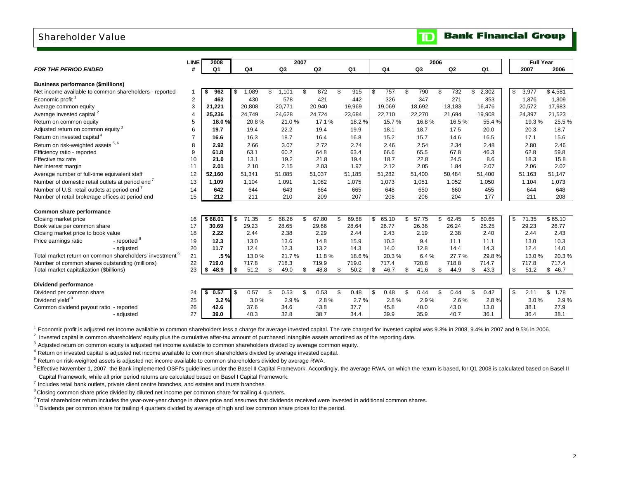### Shareholder Value

|                                                                     | <b>LINE</b> | 2008           |     |        |                | 2007 |        |                |             | 2006        |    |                |                | <b>Full Year</b> |            |
|---------------------------------------------------------------------|-------------|----------------|-----|--------|----------------|------|--------|----------------|-------------|-------------|----|----------------|----------------|------------------|------------|
| <b>FOR THE PERIOD ENDED</b>                                         | #           | Q <sub>1</sub> |     | Q4     | Q <sub>3</sub> |      | Q2     | Q <sub>1</sub> | Q4          | Q3          |    | Q <sub>2</sub> | Q <sub>1</sub> | 2007             | 2006       |
| <b>Business performance (\$millions)</b>                            |             |                |     |        |                |      |        |                |             |             |    |                |                |                  |            |
| Net income available to common shareholders - reported              |             | 962<br>- \$    | -\$ | 1,089  | \$<br>1,101    | S.   | 872    | \$<br>915      | \$<br>757   | \$<br>790   | \$ | 732            | \$<br>2,302    | \$<br>3,977      | \$4,581    |
| Economic profit <sup>1</sup>                                        | 2           | 462            |     | 430    | 578            |      | 421    | 442            | 326         | 347         |    | 271            | 353            | 1,876            | 1,309      |
| Average common equity                                               | 3           | 21.221         |     | 20.808 | 20.771         |      | 20,940 | 19,969         | 19,069      | 18,692      |    | 18.183         | 16.476         | 20,572           | 17,983     |
| Average invested capital <sup>2</sup>                               | 4           | 25,236         |     | 24,749 | 24,628         |      | 24,724 | 23,684         | 22,710      | 22,270      |    | 21,694         | 19,908         | 24,397           | 21,523     |
| Return on common equity                                             | 5           | 18.0%          |     | 20.8%  | 21.0%          |      | 17.1%  | 18.2%          | 15.7%       | 16.8%       |    | 16.5%          | 55.4%          | 19.3%            | 25.5 %     |
| Adjusted return on common equity <sup>3</sup>                       | 6           | 19.7           |     | 19.4   | 22.2           |      | 19.4   | 19.9           | 18.1        | 18.7        |    | 17.5           | 20.0           | 20.3             | 18.7       |
| Return on invested capital <sup>4</sup>                             | 7           | 16.6           |     | 16.3   | 18.7           |      | 16.4   | 16.8           | 15.2        | 15.7        |    | 14.6           | 16.5           | 17.1             | 15.6       |
| Return on risk-weighted assets 5, 6                                 | 8           | 2.92           |     | 2.66   | 3.07           |      | 2.72   | 2.74           | 2.46        | 2.54        |    | 2.34           | 2.48           | 2.80             | 2.46       |
| Efficiency ratio - reported                                         | 9           | 61.8           |     | 63.1   | 60.2           |      | 64.8   | 63.4           | 66.6        | 65.5        |    | 67.8           | 46.3           | 62.8             | 59.8       |
| Effective tax rate                                                  | 10          | 21.0           |     | 13.1   | 19.2           |      | 21.8   | 19.4           | 18.7        | 22.8        |    | 24.5           | 8.6            | 18.3             | 15.8       |
| Net interest margin                                                 | 11          | 2.01           |     | 2.10   | 2.15           |      | 2.03   | 1.97           | 2.12        | 2.05        |    | 1.84           | 2.07           | 2.06             | 2.02       |
| Average number of full-time equivalent staff                        | 12          | 52,160         |     | 51,341 | 51,085         |      | 51,037 | 51,185         | 51,282      | 51,400      |    | 50,484         | 51,400         | 51.163           | 51,147     |
| Number of domestic retail outlets at period end <sup>7</sup>        | 13          | 1,109          |     | 1,104  | 1,091          |      | 1,082  | 1,075          | 1,073       | 1,051       |    | 1,052          | 1,050          | 1,104            | 1,073      |
| Number of U.S. retail outlets at period end <sup>7</sup>            | 14          | 642            |     | 644    | 643            |      | 664    | 665            | 648         | 650         |    | 660            | 455            | 644              | 648        |
| Number of retail brokerage offices at period end                    | 15          | 212            |     | 211    | 210            |      | 209    | 207            | 208         | 206         |    | 204            | 177            | 211              | 208        |
|                                                                     |             |                |     |        |                |      |        |                |             |             |    |                |                |                  |            |
| Common share performance                                            |             |                |     |        |                |      |        |                |             |             |    |                |                |                  |            |
| Closing market price                                                | 16          | \$68.01        | -\$ | 71.35  | \$<br>68.26    | \$   | 67.80  | \$<br>69.88    | \$<br>65.10 | \$<br>57.75 | \$ | 62.45          | \$<br>60.65    | \$<br>71.35      | \$65.10    |
| Book value per common share                                         | 17          | 30.69          |     | 29.23  | 28.65          |      | 29.66  | 28.64          | 26.77       | 26.36       |    | 26.24          | 25.25          | 29.23            | 26.77      |
| Closing market price to book value                                  | 18          | 2.22           |     | 2.44   | 2.38           |      | 2.29   | 2.44           | 2.43        | 2.19        |    | 2.38           | 2.40           | 2.44             | 2.43       |
| - reported <sup>8</sup><br>Price earnings ratio                     | 19          | 12.3           |     | 13.0   | 13.6           |      | 14.8   | 15.9           | 10.3        | 9.4         |    | 11.1           | 11.1           | 13.0             | 10.3       |
| - adjusted                                                          | 20          | 11.7           |     | 12.4   | 12.3           |      | 13.2   | 14.3           | 14.0        | 12.8        |    | 14.4           | 14.3           | 12.4             | 14.0       |
| Total market return on common shareholders' investment <sup>9</sup> | 21          | .5%            |     | 13.0%  | 21.7%          |      | 11.8%  | 18.6%          | 20.3%       | 6.4%        |    | 27.7%          | 29.8%          | 13.0%            | 20.3%      |
| Number of common shares outstanding (millions)                      | 22          | 719.0          |     | 717.8  | 718.3          |      | 719.9  | 719.0          | 717.4       | 720.8       |    | 718.8          | 714.7          | 717.8            | 717.4      |
| Total market capitalization (\$billions)                            | 23          | 48.9<br>- \$   | -\$ | 51.2   | \$<br>49.0     | \$   | 48.8   | \$<br>50.2     | \$<br>46.7  | \$<br>41.6  | \$ | 44.9           | \$<br>43.3     | \$<br>51.2       | \$<br>46.7 |
|                                                                     |             |                |     |        |                |      |        |                |             |             |    |                |                |                  |            |
| <b>Dividend performance</b>                                         |             |                |     |        |                |      |        |                |             |             |    |                |                |                  |            |
| Dividend per common share                                           | 24          | 0.57<br>\$     | \$  | 0.57   | \$<br>0.53     | \$   | 0.53   | \$<br>0.48     | \$<br>0.48  | \$<br>0.44  | £. | 0.44           | \$<br>0.42     | \$<br>2.11       | \$<br>1.78 |
| Dividend vield <sup>10</sup>                                        | 25          | 3.2%           |     | 3.0%   | 2.9%           |      | 2.8%   | 2.7%           | 2.8%        | 2.9%        |    | 2.6%           | 2.8%           | 3.0%             | 2.9%       |
| Common dividend payout ratio - reported                             | 26          | 42.6           |     | 37.6   | 34.6           |      | 43.8   | 37.7           | 45.8        | 40.0        |    | 43.0           | 13.0           | 38.1             | 27.9       |
| - adjusted                                                          | 27          | 39.0           |     | 40.3   | 32.8           |      | 38.7   | 34.4           | 39.9        | 35.9        |    | 40.7           | 36.1           | 36.4             | 38.1       |
|                                                                     |             |                |     |        |                |      |        |                |             |             |    |                |                |                  |            |

<sup>1</sup> Economic profit is adjusted net income available to common shareholders less a charge for average invested capital. The rate charged for invested capital was 9.3% in 2008, 9.4% in 2007 and 9.5% in 2006.

 $2$  Invested capital is common shareholders' equity plus the cumulative after-tax amount of purchased intangible assets amortized as of the reporting date.

<sup>3</sup> Adjusted return on common equity is adjusted net income available to common shareholders divided by average common equity.

4 Return on invested capital is adjusted net income available to common shareholders divided by average invested capital.

 $5$  Return on risk-weighted assets is adjusted net income available to common shareholders divided by average RWA.

<sup>6</sup> Effective November 1, 2007, the Bank implemented OSFI's guidelines under the Basel II Capital Framework. Accordingly, the average RWA, on which the return is based, for Q1 2008 is calculated based on Basel II Capital Framework, while all prior period returns are calculated based on Basel I Capital Framework.

 $7$  Includes retail bank outlets, private client centre branches, and estates and trusts branches.

<sup>8</sup> Closing common share price divided by diluted net income per common share for trailing 4 quarters.

<sup>9</sup> Total shareholder return includes the year-over-year change in share price and assumes that dividends received were invested in additional common shares.

<sup>10</sup> Dividends per common share for trailing 4 quarters divided by average of high and low common share prices for the period.

**Bank Financial Group** 

 $\mathbf{D}$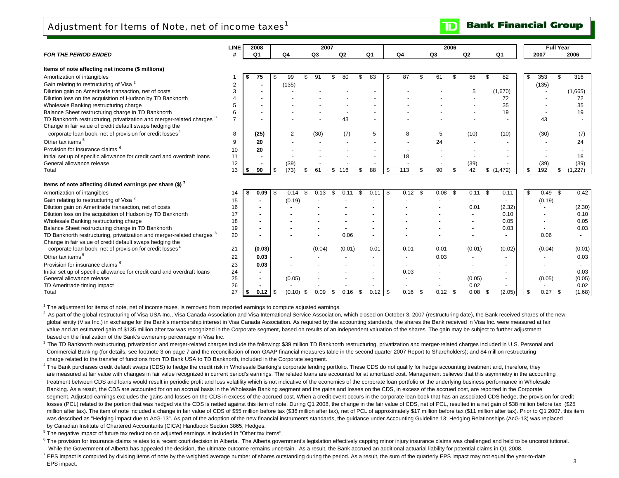Adjustment for Items of Note, net of income taxes<sup>1</sup>

|                                                  | <b>LINE</b> | 2008         |    | 2007 |    |    |                |    | 2006 |    |      | <b>Full Year</b> |      |
|--------------------------------------------------|-------------|--------------|----|------|----|----|----------------|----|------|----|------|------------------|------|
| <b>FOR THE PERIOD ENDED</b>                      |             | $\mathbf{a}$ | Ω4 | Q3   | Q2 | Q1 | Q <sub>4</sub> | Q3 | Q2   | Q1 | 2007 |                  | 2006 |
| Items of note affecting net income (\$ millions) |             |              |    |      |    |    |                |    |      |    |      |                  |      |

| Amortization of intangibles                                                       |    | S. | 75             | - 9 | 99             | ٩٠           |            | 83 |      | 87         |     | 61           | 86     |     | 82        | \$   | 353    | \$.  | 316     |
|-----------------------------------------------------------------------------------|----|----|----------------|-----|----------------|--------------|------------|----|------|------------|-----|--------------|--------|-----|-----------|------|--------|------|---------|
| Gain relating to restructuring of Visa <sup>2</sup>                               |    |    | ٠              |     | (135)          |              |            |    |      |            |     |              |        |     |           |      | (135)  |      |         |
| Dilution gain on Ameritrade transaction, net of costs                             |    |    | $\blacksquare$ |     |                |              |            |    |      |            |     |              | 5      |     | (1,670)   |      |        |      | (1,665) |
| Dilution loss on the acquisition of Hudson by TD Banknorth                        |    |    |                |     |                |              |            |    |      |            |     |              |        |     | 72        |      |        |      | 72      |
| Wholesale Banking restructuring charge                                            |    |    | $\blacksquare$ |     |                |              |            |    |      |            |     |              |        |     | 35        |      |        |      | 35      |
| Balance Sheet restructuring charge in TD Banknorth                                |    |    | $\blacksquare$ |     |                |              |            |    |      |            |     |              |        |     | 19        |      |        |      | 19      |
| TD Banknorth restructuring, privatization and merger-related charges <sup>3</sup> |    |    |                |     |                |              | 43         |    |      |            |     |              |        |     |           |      | 43     |      |         |
| Change in fair value of credit default swaps hedging the                          |    |    |                |     |                |              |            |    |      |            |     |              |        |     |           |      |        |      |         |
| corporate loan book, net of provision for credit losses <sup>4</sup>              | 8  |    | (25)           |     | $\overline{2}$ | (30)         | (7)        |    | 5    | 8          |     | 5            | (10)   |     | (10)      |      | (30)   |      | (7)     |
| Other tax items <sup>5</sup>                                                      |    |    | 20             |     |                |              |            |    |      |            |     | 24           |        |     |           |      |        |      | 24      |
| Provision for insurance claims <sup>6</sup>                                       | 10 |    | 20             |     |                |              |            |    |      |            |     |              |        |     |           |      |        |      |         |
| Initial set up of specific allowance for credit card and overdraft loans          | 11 |    |                |     |                |              |            |    |      | 18         |     |              |        |     |           |      |        |      | 18      |
| General allowance release                                                         | 12 |    |                |     | (39)           |              |            |    |      |            |     |              | (39)   |     |           |      | (39)   |      | (39)    |
| Total                                                                             | 13 | s. | 90             | -S  | (73)           | 61<br>\$.    | 116<br>\$. | 88 |      | \$<br>113  |     | 90<br>\$.    | 42     |     | \$(1,472) | l \$ | 192    |      | (1,227) |
| Items of note affecting diluted earnings per share (\$) '                         |    |    |                |     |                |              |            |    |      |            |     |              |        |     |           |      |        |      |         |
| Amortization of intangibles                                                       | 14 | S  | 0.09           | l S | 0.14           | \$<br>0.13   |            |    |      | \$<br>0.12 | \$. | 0.08<br>- \$ | 0.11   | -\$ | 0.11      | l \$ | 0.49   | -\$  | 0.42    |
| Gain relating to restructuring of Visa <sup>2</sup>                               | 15 |    |                |     | (0.19)         |              |            |    |      |            |     |              |        |     |           |      | (0.19) |      |         |
| Dilution gain on Ameritrade transaction, net of costs                             | 16 |    |                |     |                |              |            |    |      |            |     |              | 0.01   |     | (2.32)    |      |        |      | (2.30)  |
| Dilution loss on the acquisition of Hudson by TD Banknorth                        | 17 |    |                |     |                |              |            |    |      |            |     |              |        |     | 0.10      |      |        |      | 0.10    |
| Wholesale Banking restructuring charge                                            | 18 |    |                |     |                |              |            |    |      |            |     |              |        |     | 0.05      |      |        |      | 0.05    |
| Balance Sheet restructuring charge in TD Banknorth                                | 19 |    |                |     |                |              |            |    |      |            |     |              |        |     | 0.03      |      |        |      | 0.03    |
| TD Banknorth restructuring, privatization and merger-related charges <sup>3</sup> | 20 |    |                |     |                |              | 0.06       |    |      |            |     |              |        |     |           |      | 0.06   |      |         |
| Change in fair value of credit default swaps hedging the                          |    |    |                |     |                |              |            |    |      |            |     |              |        |     |           |      |        |      |         |
| corporate loan book, net of provision for credit losses <sup>4</sup>              | 21 |    | (0.03)         |     |                | (0.04)       | (0.01)     |    | 0.01 | 0.01       |     | 0.01         | (0.01) |     | (0.02)    |      | (0.04) |      | (0.01)  |
| Other tax items <sup>5</sup>                                                      | 22 |    | 0.03           |     |                |              |            |    |      |            |     | 0.03         |        |     |           |      |        |      | 0.03    |
| Provision for insurance claims <sup>6</sup>                                       | 23 |    | 0.03           |     |                |              |            |    |      |            |     |              |        |     |           |      |        |      |         |
| Initial set up of specific allowance for credit card and overdraft loans          | 24 |    | $\blacksquare$ |     |                |              |            |    |      | 0.03       |     |              |        |     |           |      |        |      | 0.03    |
| General allowance release                                                         | 25 |    |                |     | (0.05)         |              |            |    |      |            |     |              | (0.05) |     |           |      | (0.05) |      | (0.05)  |
| TD Ameritrade timing impact                                                       | 26 |    |                |     |                |              |            |    |      |            |     |              | 0.02   |     |           |      |        |      | 0.02    |
| Total                                                                             | 27 |    | 0.12           |     | (0.10)         | 0.09<br>- \$ | 0.16       |    |      | 0.16       |     | $0.12$ \$    | 0.08   | S   | (2.05)    | l \$ | 0.27   | - \$ | (1.68)  |

 $1$  The adjustment for items of note, net of income taxes, is removed from reported earnings to compute adjusted earnings.

As part of the global restructuring of Visa USA Inc., Visa Canada Association and Visa International Service Association, which closed on October 3, 2007 (restructuring date), the Bank received shares of the new global entity (Visa Inc.) in exchange for the Bank's membership interest in Visa Canada Association. As required by the accounting standards, the shares the Bank received in Visa Inc. were measured at fair value and an estimated gain of \$135 million after tax was recognized in the Corporate segment, based on results of an independent valuation of the shares. The gain may be subject to further adjustment based on the finalization of the Bank's ownership percentage in Visa Inc.

<sup>3</sup> The TD Banknorth restructuring, privatization and merger-related charges include the following: \$39 million TD Banknorth restructuring, privatization and merger-related charges included in U.S. Personal and Commercial Banking (for details, see footnote 3 on page 7 and the reconciliation of non-GAAP financial measures table in the second quarter 2007 Report to Shareholders); and \$4 million restructuring charge related to the transfer of functions from TD Bank USA to TD Banknorth, included in the Corporate segment.

<sup>4</sup> The Bank purchases credit default swaps (CDS) to hedge the credit risk in Wholesale Banking's corporate lending portfolio. These CDS do not qualify for hedge accounting treatment and, therefore, they are measured at fair value with changes in fair value recognized in current period's earnings. The related loans are accounted for at amortized cost. Management believes that this asymmetry in the accounting treatment between CDS and loans would result in periodic profit and loss volatility which is not indicative of the economics of the corporate loan portfolio or the underlying business performance in Wholesale Banking. As a result, the CDS are accounted for on an accrual basis in the Wholesale Banking segment and the gains and losses on the CDS, in excess of the accrued cost, are reported in the Corporate segment. Adjusted earnings excludes the gains and losses on the CDS in excess of the accrued cost. When a credit event occurs in the corporate loan book that has an associated CDS hedge, the provision for credit losses (PCL) related to the portion that was hedged via the CDS is netted against this item of note. During Q1 2008, the change in the fair value of CDS, net of PCL, resulted in a net gain of \$38 million before tax (\$25 million after tax). The item of note included a change in fair value of CDS of \$55 million before tax (\$36 million after tax), net of PCL of approximately \$17 million before tax (\$11 million after tax). Prior to Q1 2007, t was described as "Hedging impact due to AcG-13". As part of the adoption of the new financial instruments standards, the quidance under Accounting Guideline 13: Hedging Relationships (AcG-13) was replaced by Canadian Institute of Chartered Accountants (CICA) Handbook Section 3865, Hedges.

5 The negative impact of future tax reduction on adjusted earnings is included in "Other tax items".

 $^6$  The provision for insurance claims relates to a recent court decision in Alberta. The Alberta government's legislation effectively capping minor injury insurance claims was challenged and held to be unconstitutional. While the Government of Alberta has appealed the decision, the ultimate outcome remains uncertain. As a result, the Bank accrued an additional actuarial liability for potential claims in Q1 2008.

 $^7$  EPS impact is computed by dividing items of note by the weighted average number of shares outstanding during the period. As a result, the sum of the quarterly EPS impact may not equal the year-to-date EPS impact.

#### **Bank Financial Group** ID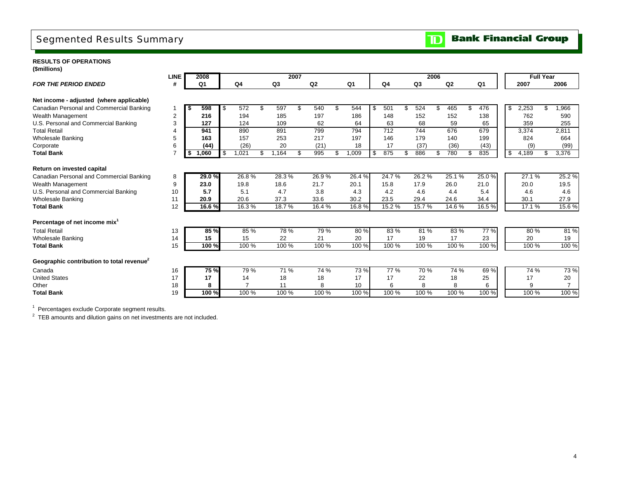## Segmented Results Summary

### **RESULTS OF OPERATIONS**

**(\$millions)**

|                                                       | <b>LINE</b>    |      | 2008<br>2007   |    |       |    |                |    |        |    |                |      | 2006           |     |                     |    | <b>Full Year</b> |                |             |  |                |
|-------------------------------------------------------|----------------|------|----------------|----|-------|----|----------------|----|--------|----|----------------|------|----------------|-----|---------------------|----|------------------|----------------|-------------|--|----------------|
| <b>FOR THE PERIOD ENDED</b>                           | #              |      | Q <sub>1</sub> |    | Q4    |    | Q <sub>3</sub> |    | Q2     |    | Q <sub>1</sub> |      | Q <sub>4</sub> |     | Q <sub>3</sub>      |    | Q2               | Q <sub>1</sub> | 2007        |  | 2006           |
| Net income - adjusted (where applicable)              |                |      |                |    |       |    |                |    |        |    |                |      |                |     |                     |    |                  |                |             |  |                |
| Canadian Personal and Commercial Banking              |                | l \$ | 598            | \$ | 572   | \$ | 597            | \$ | 540    | £. | 544            | - \$ | 501            |     | 524                 | \$ | 465              | 476            | \$<br>2,253 |  | 1,966          |
| Wealth Management                                     | $\overline{2}$ |      | 216            |    | 194   |    | 185            |    | 197    |    | 186            |      | 148            |     | 152                 |    | 152              | 138            | 762         |  | 590            |
| U.S. Personal and Commercial Banking                  | 3              |      | 127            |    | 124   |    | 109            |    | 62     |    | 64             |      | 63             |     | 68                  |    | 59               | 65             | 359         |  | 255            |
| <b>Total Retail</b>                                   |                |      | 941            |    | 890   |    | 891            |    | 799    |    | 794            |      | 712            |     | 744                 |    | 676              | 679            | 3,374       |  | 2,811          |
| <b>Wholesale Banking</b>                              | 5              |      | 163            |    | 157   |    | 253            |    | 217    |    | 197            |      | 146            |     | 179                 |    | 140              | 199            | 824         |  | 664            |
| Corporate                                             | 6              |      | (44)           |    | (26)  |    | 20             |    | (21)   |    | 18             |      | 17             |     | (37)                |    | (36)             | (43)           | (9)         |  | (99)           |
| <b>Total Bank</b>                                     | $\overline{7}$ | \$   | 1,060          |    | 1,021 | \$ | 1,164          |    | 995    | £. | 0.009          | -\$  | 875            | \$. | 886                 | \$ | 780              | \$<br>835      | \$<br>4,189 |  | 3,376          |
| Return on invested capital                            |                |      |                |    |       |    |                |    |        |    |                |      |                |     |                     |    |                  |                |             |  |                |
| Canadian Personal and Commercial Banking              | 8              |      | 29.0%          |    | 26.8% |    | 28.3%          |    | 26.9%  |    | 26.4%          |      | 24.7%          |     | 26.2%               |    | 25.1%            | 25.0%          | 27.1%       |  | 25.2%          |
| Wealth Management                                     | 9              |      | 23.0           |    | 19.8  |    | 18.6           |    | 21.7   |    | 20.1           |      | 15.8           |     | 17.9                |    | 26.0             | 21.0           | 20.0        |  | 19.5           |
| U.S. Personal and Commercial Banking                  | 10             |      | 5.7            |    | 5.1   |    | 4.7            |    | 3.8    |    | 4.3            |      | 4.2            |     | 4.6                 |    | 4.4              | 5.4            | 4.6         |  | 4.6            |
| <b>Wholesale Banking</b>                              | 11             |      | 20.9           |    | 20.6  |    | 37.3           |    | 33.6   |    | 30.2           |      | 23.5           |     | 29.4                |    | 24.6             | 34.4           | 30.1        |  | 27.9           |
| <b>Total Bank</b>                                     | 12             |      | 16.6%          |    | 16.3% |    | 18.7%          |    | 16.4 % |    | 16.8%          |      | 15.2%          |     | $15.\overline{7\%}$ |    | 14.6%            | 16.5%          | 17.1%       |  | 15.6%          |
| Percentage of net income mix <sup>1</sup>             |                |      |                |    |       |    |                |    |        |    |                |      |                |     |                     |    |                  |                |             |  |                |
| <b>Total Retail</b>                                   | 13             |      | 85 %           |    | 85 %  |    | 78 %           |    | 79 %   |    | 80 %           |      | 83 %           |     | 81%                 |    | 83 %             | 77 %           | 80 %        |  | 81 %           |
| <b>Wholesale Banking</b>                              | 14             |      | 15             |    | 15    |    | 22             |    | 21     |    | 20             |      | 17             |     | 19                  |    | 17               | 23             | 20          |  | 19             |
| <b>Total Bank</b>                                     | 15             |      | 100%           |    | 100 % |    | 100 %          |    | 100 %  |    | 100 %          |      | 100 %          |     | 100 %               |    | 100 %            | 100 %          | 100 %       |  | 100 %          |
| Geographic contribution to total revenue <sup>2</sup> |                |      |                |    |       |    |                |    |        |    |                |      |                |     |                     |    |                  |                |             |  |                |
| Canada                                                | 16             |      | <b>75 %</b>    |    | 79%   |    | 71 %           |    | 74 %   |    | 73%            |      | 77 %           |     | 70 %                |    | 74 %             | 69%            | 74 %        |  | 73 %           |
| <b>United States</b>                                  | 17             |      | 17             |    | 14    |    | 18             |    | 18     |    | 17             |      | 17             |     | 22                  |    | 18               | 25             | 17          |  | 20             |
| Other                                                 | 18             |      | 8              |    |       |    | 11             |    | 8      |    | 10             |      | 6              |     | 8                   |    | 8                | 6              | 9           |  | $\overline{7}$ |
| <b>Total Bank</b>                                     | 19             |      | 100 %          |    | 100 % |    | 100 %          |    | 100 %  |    | 100 %          |      | 100 %          |     | 100 %               |    | 100 %            | 100 %          | 100 %       |  | 100 %          |

 $1$  Percentages exclude Corporate segment results.

 $2$  TEB amounts and dilution gains on net investments are not included.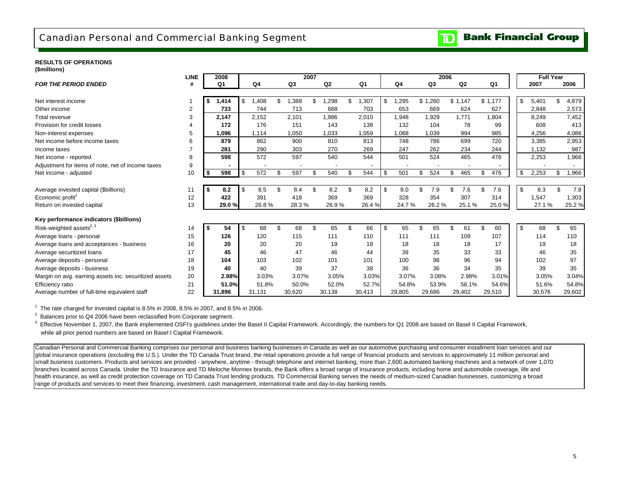### Canadian Personal and Commercial Banking Segment

#### **RESULTS OF OPERATIONS(\$millions)**

| \\''''''''''''''''                                    | <b>LINE</b> |           | 2008           |      |        |                | 2007 |                |    |        |             | 2006      |           |    |         | <b>Full Year</b> |             |
|-------------------------------------------------------|-------------|-----------|----------------|------|--------|----------------|------|----------------|----|--------|-------------|-----------|-----------|----|---------|------------------|-------------|
| <b>FOR THE PERIOD ENDED</b>                           | #           |           | Q <sub>1</sub> |      | Q4     | Q <sub>3</sub> |      | Q <sub>2</sub> |    | Q1     | Q4          | Q3        | Q2        |    | Q1      | 2007             | 2006        |
|                                                       |             |           |                |      |        |                |      |                |    |        |             |           |           |    |         |                  |             |
| Net interest income                                   |             | - \$      | 1,414          | - \$ | A08, l | .388           |      | .298           | £. | .307   | \$<br>1,295 | \$1,260   | \$1,147   |    | \$1,177 | 5,401            | 4,879       |
| Other income                                          | 2           |           | 733            |      | 744    | 713            |      | 688            |    | 703    | 653         | 669       | 624       |    | 627     | 2,848            | 2,573       |
| Total revenue                                         | 3           |           | 2,147          |      | 2,152  | 2,101          |      | 1,986          |    | 2,010  | 1,948       | 1,929     | 1,771     |    | 1,804   | 8,249            | 7,452       |
| Provision for credit losses                           | 4           |           | 172            |      | 176    | 151            |      | 143            |    | 138    | 132         | 104       | 78        |    | 99      | 608              | 413         |
| Non-interest expenses                                 | 5           |           | 1,096          |      | 1,114  | 1,050          |      | 1,033          |    | 1,059  | 1,068       | 1,039     | 994       |    | 985     | 4,256            | 4,086       |
| Net income before income taxes                        | 6           |           | 879            |      | 862    | 900            |      | 810            |    | 813    | 748         | 786       | 699       |    | 720     | 3.385            | 2,953       |
| Income taxes                                          |             |           | 281            |      | 290    | 303            |      | 270            |    | 269    | 247         | 262       | 234       |    | 244     | 1,132            | 987         |
| Net income - reported                                 | 8           |           | 598            |      | 572    | 597            |      | 540            |    | 544    | 501         | 524       | 465       |    | 476     | 2,253            | 1,966       |
| Adjustment for items of note, net of income taxes     | 9           |           |                |      |        |                |      |                |    |        |             |           |           |    |         |                  |             |
| Net income - adjusted                                 | 10          | <b>\$</b> | 598            | \$   | 572    | \$<br>597      | \$.  | 540            | \$ | 544    | \$<br>501   | \$<br>524 | \$<br>465 | \$ | 476     | \$<br>2,253      | \$<br>1,966 |
| Average invested capital (\$billions)                 | 11          | l \$      | 8.2            | \$   | 8.5    | \$<br>8.4      | \$.  | 8.2            | \$ | 8.2    | \$<br>8.0   | \$<br>7.9 | \$<br>7.6 | ٩. | 7.6     | \$<br>8.3        | \$<br>7.8   |
| Economic profit <sup>1</sup>                          | 12          |           | 422            |      | 391    | 418            |      | 369            |    | 369    | 328         | 354       | 307       |    | 314     | 1,547            | 1,303       |
| Return on invested capital                            | 13          |           | 29.0%          |      | 26.8%  | 28.3%          |      | 26.9%          |    | 26.4%  | 24.7%       | 26.2%     | 25.1%     |    | 25.0%   | 27.1 %           | 25.2%       |
| Key performance indicators (\$billions)               |             |           |                |      |        |                |      |                |    |        |             |           |           |    |         |                  |             |
| Risk-weighted assets <sup>2, 3</sup>                  | 14          | -\$       | 54             | \$   | 68     | \$<br>68       | \$.  | 65             | £. | 66     | \$<br>65    | \$<br>65  | \$<br>61  | \$ | 60      | \$<br>68         | \$<br>65    |
| Average loans - personal                              | 15          |           | 126            |      | 120    | 115            |      | 111            |    | 110    | 111         | 111       | 109       |    | 107     | 114              | 110         |
| Average loans and acceptances - business              | 16          |           | 20             |      | 20     | 20             |      | 19             |    | 18     | 18          | 18        | 18        |    | 17      | 19               | 18          |
| Average securitized loans                             | 17          |           | 45             |      | 46     | 47             |      | 46             |    | 44     | 39          | 35        | 33        |    | 33      | 46               | 35          |
| Average deposits - personal                           | 18          |           | 104            |      | 103    | 102            |      | 101            |    | 101    | 100         | 98        | 96        |    | 94      | 102              | 97          |
| Average deposits - business                           | 19          |           | 40             |      | 40     | 39             |      | 37             |    | 38     | 36          | 36        | 34        |    | 35      | 39               | 35          |
| Margin on avg. earning assets inc. securitized assets | 20          |           | 2.98%          |      | 3.03%  | 3.07%          |      | 3.05%          |    | 3.03%  | 3.07%       | 3.08%     | 2.98%     |    | 3.01%   | 3.05%            | 3.04%       |
| Efficiency ratio                                      | 21          |           | 51.0%          |      | 51.8%  | 50.0%          |      | 52.0%          |    | 52.7%  | 54.8%       | 53.9%     | 56.1%     |    | 54.6%   | 51.6%            | 54.8%       |
| Average number of full-time equivalent staff          | 22          |           | 31.896         |      | 31,131 | 30,620         |      | 30,138         |    | 30,413 | 29,805      | 29.686    | 29,402    |    | 29,510  | 30,576           | 29,602      |

 $1$  The rate charged for invested capital is 8.5% in 2008, 8.5% in 2007, and 8.5% in 2006.

 $2$  Balances prior to Q4 2006 have been reclassified from Corporate segment.

<sup>3</sup> Effective November 1, 2007, the Bank implemented OSFI's quidelines under the Basel II Capital Framework. Accordingly, the numbers for Q1 2008 are based on Basel II Capital Framework, while all prior period numbers are based on Basel I Capital Framework.

Canadian Personal and Commercial Banking comprises our personal and business banking businesses in Canada as well as our automotive purchasing and consumer installment loan services and our global insurance operations (excluding the U.S.). Under the TD Canada Trust brand, the retail operations provide a full range of financial products and services to approximately 11 million personal and small business customers. Products and services are provided - anywhere, anytime - through telephone and internet banking, more than 2,600 automated banking machines and a network of over 1,070 branches located across Canada. Under the TD Insurance and TD Meloche Monnex brands, the Bank offers a broad range of insurance products, including home and automobile coverage, life and health insurance, as well as credit protection coverage on TD Canada Trust lending products. TD Commercial Banking serves the needs of medium-sized Canadian businesses, customizing a broad range of products and services to meet their financing, investment, cash management, international trade and day-to-day banking needs.

#### **Bank Financial Group**  $\mathbf{D}% _{T}=\mathbf{D}_{T}\!\left( \mathbf{1}_{T}% \mathbf{1}_{T}\mathbf{1}_{T}\mathbf{1}_{T}\mathbf{1}_{T}\mathbf{1}_{T}\mathbf{1}_{T}\mathbf{1}_{T}\mathbf{1}_{T}\mathbf{1}_{T}\mathbf{1}_{T}\mathbf{1}_{T}\mathbf{1}_{T}\mathbf{1}_{T}\mathbf{1}_{T}\mathbf{1}_{T}\mathbf{1}_{T}\mathbf{1}_{T}\mathbf{1}_{T}\mathbf{1}_{T}\mathbf{1}_{T}\mathbf{1}_{T}\mathbf{1}_{T}$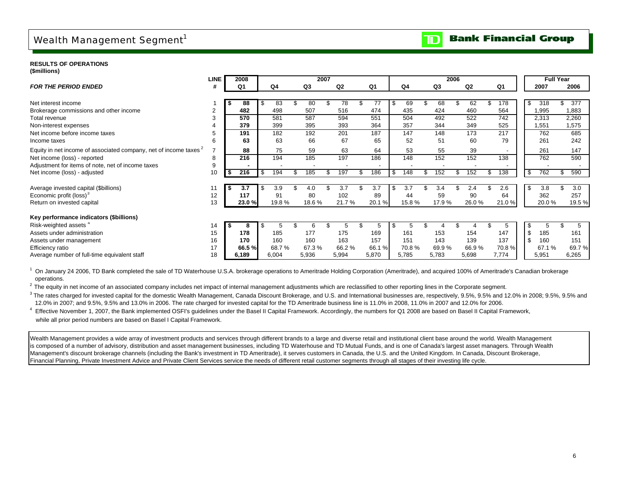### Wealth Management Segment<sup>1</sup>

**RESULTS OF OPERATIONS(\$millions)**

|                                                                              | <b>LINE</b> |     | 2008           |     |       |           | 2007 |                  |       |   |                | 2006  |                |       |     | <b>Full Year</b> |        |
|------------------------------------------------------------------------------|-------------|-----|----------------|-----|-------|-----------|------|------------------|-------|---|----------------|-------|----------------|-------|-----|------------------|--------|
| <b>FOR THE PERIOD ENDED</b>                                                  | -#          |     | Q <sub>1</sub> |     | Q4    | Q3        |      | Q <sub>2</sub>   | Q1    |   | Q <sub>4</sub> | Q3    | Q <sub>2</sub> | Q1    |     | 2007             | 2006   |
|                                                                              |             |     |                |     |       |           |      |                  |       |   |                |       |                |       |     |                  |        |
| Net interest income                                                          |             |     | 88             |     | 83    | 80        |      | 78               | 77    |   | 69             | 68    | 62             | 178   | \$  | 318              | 377    |
| Brokerage commissions and other income                                       |             |     | 482            |     | 498   | 507       |      | 516              | 474   |   | 435            | 424   | 460            | 564   |     | 1,995            | 1,883  |
| Total revenue                                                                |             |     | 570            |     | 581   | 587       |      | 594              | 551   |   | 504            | 492   | 522            | 742   |     | 2,313            | 2,260  |
| Non-interest expenses                                                        |             |     | 379            |     | 399   | 395       |      | 393              | 364   |   | 357            | 344   | 349            | 525   |     | 1,551            | 1,575  |
| Net income before income taxes                                               |             |     | 191            |     | 182   | 192       |      | $\overline{201}$ | 187   |   | 147            | 148   | 173            | 217   |     | 762              | 685    |
| Income taxes                                                                 | 6           |     | 63             |     | 63    | 66        |      | 67               | 65    |   | 52             | 51    | 60             | 79    |     | 261              | 242    |
| Equity in net income of associated company, net of income taxes <sup>2</sup> |             |     | 88             |     | 75    | 59        |      | 63               | 64    |   | 53             | 55    | 39             |       |     | 261              | 147    |
| Net income (loss) - reported                                                 | 8           |     | 216            |     | 194   | 185       |      | 197              | 186   |   | 148            | 152   | 152            | 138   |     | 762              | 590    |
| Adjustment for items of note, net of income taxes                            | 9           |     |                |     |       |           |      |                  |       |   |                |       |                |       |     |                  |        |
| Net income (loss) - adjusted                                                 | 10          |     | 216            | \$  | 194   | 185       |      | 197              | 186   |   | 148            | 152   | 152            | 138   | -\$ | 762              | 590    |
|                                                                              |             |     | 3.7            |     | 3.9   |           |      | 3.7              | 3.7   |   | 3.7            | 3.4   | 2.4            | 2.6   | -S  | 3.8              | 3.0    |
| Average invested capital (\$billions)<br>Economic profit (loss) <sup>3</sup> | 12          |     | 117            |     | 91    | 4.0<br>80 |      | 102              | 89    |   | 44             | 59    | 90             | 64    |     | 362              | 257    |
| Return on invested capital                                                   | 13          |     | 23.0%          |     | 19.8% | 18.6%     |      | 21.7%            | 20.1% |   | 15.8%          | 17.9% | 26.0%          | 21.0% |     | 20.0%            | 19.5%  |
|                                                                              |             |     |                |     |       |           |      |                  |       |   |                |       |                |       |     |                  |        |
| Key performance indicators (\$billions)                                      |             |     |                |     |       |           |      |                  |       |   |                |       |                |       |     |                  |        |
| Risk-weighted assets <sup>4</sup>                                            | 14          | - 5 | 8              | \$. | 5     |           |      | 5                | 5     | S |                |       |                | ა     | \$  | 5                | 5      |
| Assets under administration                                                  | 15          |     | 178            |     | 185   | 177       |      | 175              | 169   |   | 161            | 153   | 154            | 147   | \$  | 185              | 161    |
| Assets under management                                                      | 16          |     | 170            |     | 160   | 160       |      | 163              | 157   |   | 151            | 143   | 139            | 137   | \$  | 160              | 151    |
| Efficiency ratio                                                             | 17          |     | 66.5%          |     | 68.7% | 67.3%     |      | 66.2%            | 66.1% |   | 70.8%          | 69.9% | 66.9%          | 70.8% |     | 67.1 %           | 69.7 % |
| Average number of full-time equivalent staff                                 | 18          |     | 6,189          |     | 6,004 | 5,936     |      | 5,994            | 5,870 |   | 5,785          | 5,783 | 5,698          | 7,774 |     | 5,951            | 6,265  |

<sup>1</sup> On January 24 2006, TD Bank completed the sale of TD Waterhouse U.S.A. brokerage operations to Ameritrade Holding Corporation (Ameritrade), and acquired 100% of Ameritrade's Canadian brokerage operations.

<sup>2</sup> The equity in net income of an associated company includes net impact of internal management adjustments which are reclassified to other reporting lines in the Corporate segment.

<sup>3</sup> The rates charged for invested capital for the domestic Wealth Management, Canada Discount Brokerage, and U.S. and International businesses are, respectively, 9.5%, 9.5% and 12.0% in 2008; 9.5%, 9.5% and 12.0% in 2007; and 9.5%, 9.5% and 13.0% in 2006. The rate charged for invested capital for the TD Ameritrade business line is 11.0% in 2008, 11.0% in 2007 and 12.0% for 2006.

4 Effective November 1, 2007, the Bank implemented OSFI's guidelines under the Basel II Capital Framework. Accordingly, the numbers for Q1 2008 are based on Basel II Capital Framework, while all prior period numbers are based on Basel I Capital Framework.

Wealth Management provides a wide array of investment products and services through different brands to a large and diverse retail and institutional client base around the world. Wealth Management is composed of a number of advisory, distribution and asset management businesses, including TD Waterhouse and TD Mutual Funds, and is one of Canada's largest asset managers. Through Wealth Management's discount brokerage channels (including the Bank's investment in TD Ameritrade), it serves customers in Canada, the U.S. and the United Kingdom. In Canada, Discount Brokerage, Financial Planning, Private Investment Advice and Private Client Services service the needs of different retail customer segments through all stages of their investing life cycle.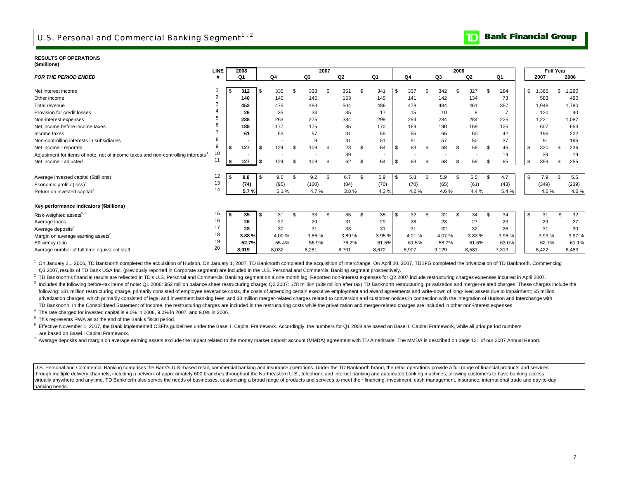#### **RESULTS OF OPERATIONS(\$millions)**

|                                                                                              | <b>LINE</b>    |    | 2008           |              |        |    |       | 2007 |                |     |                          |           |     |       | 2006 |       |          |             | <b>Full Year</b> |       |
|----------------------------------------------------------------------------------------------|----------------|----|----------------|--------------|--------|----|-------|------|----------------|-----|--------------------------|-----------|-----|-------|------|-------|----------|-------------|------------------|-------|
| <b>FOR THE PERIOD ENDED</b>                                                                  |                |    | Q1             |              | Q4     |    | Q3    |      | Q <sub>2</sub> |     | Q1                       | Q4        |     | Q3    |      | Q2    | Q1       | 2007        |                  | 2006  |
|                                                                                              |                |    |                |              |        |    |       |      |                |     |                          |           |     |       |      |       |          |             |                  |       |
| Net interest income                                                                          |                |    | 312            | -S           | 335    | £. | 338   | - \$ | 351            | \$. | 341                      | \$<br>337 | £.  | 342   | \$   | 327   | 284      | 1,365<br>\$ | \$               | 1,290 |
| Other income                                                                                 | $\overline{2}$ |    | 140            |              | 140    |    | 145   |      | 153            |     | 145                      | 141       |     | 142   |      | 134   | 73       | 583         |                  | 490   |
| Total revenue                                                                                |                |    | 452            |              | 475    |    | 483   |      | 504            |     | 486                      | 478       |     | 484   |      | 461   | 357      | 1,948       |                  | 1,780 |
| Provision for credit losses                                                                  |                |    | 26             |              | 35     |    | 33    |      | 35             |     | 17                       | 15        |     | 10    |      | 8     |          | 120         |                  | 40    |
| Non-interest expenses                                                                        |                |    | 238            |              | 263    |    | 275   |      | 384            |     | 299                      | 294       |     | 284   |      | 284   | 225      | 1,221       |                  | 1,087 |
| Net income before income taxes                                                               |                |    | 188            |              | 177    |    | 175   |      | 85             |     | 170                      | 169       |     | 190   |      | 169   | 125      | 607         |                  | 653   |
| Income taxes                                                                                 |                |    | 61             |              | 53     |    | 57    |      | 31             |     | 55                       | 55        |     | 65    |      | 60    | 42       | 196         |                  | 222   |
| Non-controlling interests in subsidiaries                                                    | 8              |    |                |              |        |    | 9     |      | 31             |     | 51                       | 51        |     | 57    |      | 50    | 37       | 91          |                  | 195   |
| Net income - reported                                                                        | 9              |    | 127            | -S           | 124    | \$ | 109   | \$   | 23             | \$  | 64                       | \$<br>63  | \$. | 68    | \$   | 59    | \$<br>46 | 320<br>\$   |                  | 236   |
| Adjustment for items of note, net of income taxes and non-controlling interests <sup>3</sup> | 10             |    | $\blacksquare$ |              |        |    |       |      | 39             |     | $\overline{\phantom{a}}$ |           |     |       |      |       | 19       | 39          |                  | 19    |
| Net income - adjusted                                                                        | 11             | \$ | 127            | $\mathbf{s}$ | 124    | Ŝ. | 109   | - \$ | 62             | \$  | 64                       | \$<br>63  | \$. | 68    | \$   | 59    | \$<br>65 | \$<br>359   |                  | 255   |
|                                                                                              |                |    |                |              |        |    |       |      |                |     |                          |           |     |       |      |       |          |             |                  |       |
| Average invested capital (\$billions)                                                        | 12             | \$ | 8.8            | \$           | 9.6    | \$ | 9.2   | Ŝ.   | 6.7            | \$  | 5.9                      | \$<br>5.8 | \$  | 5.9   |      | 5.5   | 4.7      | \$<br>7.9   |                  | 5.5   |
| Economic profit / $(loss)^4$                                                                 | 13             |    | (74)           |              | (95)   |    | (100) |      | (84)           |     | (70)                     | (70)      |     | (65)  |      | (61)  | (43)     | (349)       |                  | (239) |
| Return on invested capital <sup>4</sup>                                                      | 14             |    | 5.7%           |              | 5.1%   |    | 4.7%  |      | 3.8%           |     | 4.3%                     | 4.2%      |     | 4.6%  |      | 4.4%  | 5.4 %    | 4.6%        |                  | 4.6%  |
| Key performance indicators (\$billions)                                                      |                |    |                |              |        |    |       |      |                |     |                          |           |     |       |      |       |          |             |                  |       |
| Risk-weighted assets <sup>5, 6</sup>                                                         | 15             | s. | 35             | \$           | 31     | £. | 33    | - \$ | 35             | \$  | 35                       | \$<br>32  | \$. | 32    | \$.  | 34    | 34       | \$<br>31    | \$               | 32    |
| Average loans                                                                                | 16             |    | 26             |              | 27     |    | 29    |      | 31             |     | 29                       | 28        |     | 28    |      | 27    | 23       | 29          |                  | 27    |
| Average deposits <sup>7</sup>                                                                | 17             |    | 28             |              | 30     |    | 31    |      | 33             |     | 31                       | 31        |     | 32    |      | 32    | 26       | 31          |                  | 30    |
| Margin on average earning assets'                                                            | 18             |    | 3.88%          |              | 4.00 % |    | 3.86% |      | 3.89%          |     | 3.95 %                   | 4.01%     |     | 4.07% |      | 3.83% | 3.96 %   | 3.93 %      |                  | 3.97% |
| Efficiency ratio                                                                             | 19             |    | 52.7%          |              | 55.4%  |    | 56.9% |      | 76.2%          |     | 61.5%                    | 61.5%     |     | 58.7% |      | 61.6% | 63.0%    | 62.7%       |                  | 61.1% |
| Average number of full-time equivalent staff                                                 | 20             |    | 8.019          |              | 8.032  |    | 8.281 |      | 8.701          |     | 8,672                    | 8,907     |     | 9,129 |      | 8,581 | 7,313    | 8.422       |                  | 8,483 |

<sup>1</sup> On January 31, 2006, TD Banknorth completed the acquisition of Hudson. On January 1, 2007, TD Banknorth completed the acquisition of Interchange. On April 20, 2007, TDBFG completed the privatization of TD Banknorth. Co Q3 2007,results of TD Bank USA Inc. (previously reported in Corporate segment) are included in the U.S. Personal and Commercial Banking segment prospectively.

<sup>2</sup> TD Banknorth's financial results are reflected in TD's U.S. Personal and Commercial Banking segment on a one month lag. Reported non-interest expenses for Q2 2007 include restructuring charges expenses incurred in Apri

<sup>3</sup> Includes the following before-tax items of note: Q1 2006: \$52 million balance sheet restructuring charge; Q2 2007: \$78 million (\$39 million after tax) TD Banknorth restructuring, privatization and merger-related charge following: \$31 million restructuring charge, primarily consisted of employee severance costs, the costs of amending certain executive employment and award agreements and write-down of long-lived assets due to impairment: \$ privatization charges, which primarily consisted of legal and investment banking fees; and \$3 million merger-related charges related to conversion and customer notices in connection with the integration of Hudson and Inter 3 TD Banknorth. In the Consolidated Statement of Income, the restructuring charges are included in the restructuring costs while the privatization and merger-related charges are included in other non-interest expenses.

4 The rate charged for invested capital is 9.0% in 2008, 9.0% in 2007, and 9.0% in 2006.

5 This represents RWA as at the end of the Bank's fiscal period.

<sup>6</sup> Effective November 1, 2007, the Bank implemented OSFI's guidelines under the Basel II Capital Framework. Accordingly, the numbers for Q1 2008 are based on Basel II Capital Framework, while all prior period numbers are based on Basel I Capital Framework.

7 Average deposits and margin on average earning assets exclude the impact related to the money market deposit account (MMDA) agreement with TD Ameritrade. The MMDA is described on page 121 of our 2007 Annual Report.

U.S. Personal and Commercial Banking comprises the Bank's U.S.-based retail, commercial banking and insurance operations. Under the TD Banknorth brand, the retail operations provide a full range of financial products and s through multiple delivery channels, including a network of approximately 600 branches throughout the Northeastern U.S., telephone and internet banking and automated banking machines, allowing customers to have banking access virtually anywhere and anytime. TD Banknorth also serves the needs of businesses, customizing a broad range of products and services to meet their financing, investment, cash management, insurance, international trade and banking needs.

#### **Bank Financial Group** m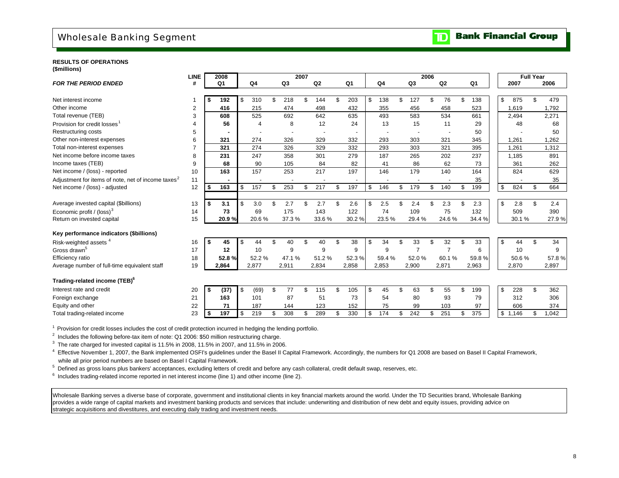### Wholesale Banking Segment

#### **Bank Financial Group**  $\overline{\mathbf{D}}$

#### **RESULTS OF OPERATIONS(\$millions)**

|                                                                | <b>LINE</b> |     | 2008  |          |          |           | 2007 |                |                |           | 2006           |                |                |                |             |        | <b>Full Year</b> |       |
|----------------------------------------------------------------|-------------|-----|-------|----------|----------|-----------|------|----------------|----------------|-----------|----------------|----------------|----------------|----------------|-------------|--------|------------------|-------|
| <b>FOR THE PERIOD ENDED</b>                                    | #           |     | Q1    |          | Q4       | Q3        |      | Q <sub>2</sub> | Q <sub>1</sub> | Q4        | Q3             | Q2             |                | Q <sub>1</sub> | 2007        |        |                  | 2006  |
|                                                                |             |     |       |          |          |           |      |                |                |           |                |                |                |                |             |        |                  |       |
| Net interest income                                            |             | \$  | 192   | \$.      | 310      | \$<br>218 |      | 144            | \$<br>203      | \$<br>138 | \$<br>127      | \$<br>76       | $\mathfrak{L}$ | 138            | \$<br>875   |        | \$               | 479   |
| Other income                                                   | 2           |     | 416   |          | 215      | 474       |      | 498            | 432            | 355       | 456            | 458            |                | 523            | 1,619       |        |                  | 1,792 |
| Total revenue (TEB)                                            | 3           |     | 608   |          | 525      | 692       |      | 642            | 635            | 493       | 583            | 534            |                | 661            | 2,494       |        |                  | 2,271 |
| Provision for credit losses                                    | 4           |     | 56    |          | $\Delta$ | 8         |      | 12             | 24             | 13        | 15             | 11             |                | 29             |             | 48     |                  | 68    |
| <b>Restructuring costs</b>                                     | 5           |     |       |          |          |           |      |                |                |           |                |                |                | 50             |             |        |                  | 50    |
| Other non-interest expenses                                    | 6           |     | 321   |          | 274      | 326       |      | 329            | 332            | 293       | 303            | 321            |                | 345            | 1,261       |        |                  | 1,262 |
| Total non-interest expenses                                    |             |     | 321   |          | 274      | 326       |      | 329            | 332            | 293       | 303            | 321            |                | 395            | 1,261       |        |                  | 1,312 |
| Net income before income taxes                                 | 8           |     | 231   |          | 247      | 358       |      | 301            | 279            | 187       | 265            | 202            |                | 237            | 1,185       |        |                  | 891   |
| Income taxes (TEB)                                             | 9           |     | 68    |          | 90       | 105       |      | 84             | 82             | 41        | 86             | 62             |                | 73             | 361         |        |                  | 262   |
| Net income / (loss) - reported                                 | 10          |     | 163   |          | 157      | 253       |      | 217            | 197            | 146       | 179            | 140            |                | 164            | 824         |        |                  | 629   |
| Adjustment for items of note, net of income taxes <sup>2</sup> | 11          |     |       |          |          |           |      |                |                |           |                |                |                | 35             |             |        |                  | 35    |
| Net income / (loss) - adjusted                                 | 12          | S   | 163   | \$       | 157      | \$<br>253 | \$   | 217            | \$<br>197      | \$<br>146 | \$<br>179      | \$<br>140      | \$             | 199            | \$<br>824   |        | \$               | 664   |
|                                                                |             |     |       |          |          |           |      |                |                |           |                |                |                |                |             |        |                  |       |
| Average invested capital (\$billions)                          | 13          | \$  | 3.1   | \$       | 3.0      | \$<br>2.7 |      | 2.7            | \$<br>2.6      | \$<br>2.5 | 2.4            | \$<br>2.3      | £.             | 2.3            | \$          | 2.8    | \$               | 2.4   |
| Economic profit / (loss) <sup>3</sup>                          | 14          |     | 73    |          | 69       | 175       |      | 143            | 122            | 74        | 109            | 75             |                | 132            | 509         |        |                  | 390   |
| Return on invested capital                                     | 15          |     | 20.9% |          | 20.6%    | 37.3%     |      | 33.6%          | 30.2%          | 23.5%     | 29.4%          | 24.6%          |                | 34.4 %         |             | 30.1 % |                  | 27.9% |
| Key performance indicators (\$billions)                        |             |     |       |          |          |           |      |                |                |           |                |                |                |                |             |        |                  |       |
| Risk-weighted assets <sup>4</sup>                              | 16          | -\$ | 45    | \$       | 44       | \$<br>40  | \$   | 40             | \$<br>38       | \$<br>34  | \$<br>33       | \$<br>32       | \$             | 33             | \$          | 44     | \$               | 34    |
| Gross drawn <sup>5</sup>                                       | 17          |     | 12    |          | 10       | 9         |      | 9              | 9              | 9         | $\overline{7}$ | $\overline{7}$ |                | 6              |             | 10     |                  | 9     |
| Efficiency ratio                                               | 18          |     | 52.8% |          | 52.2%    | 47.1%     |      | 51.2%          | 52.3%          | 59.4%     | 52.0%          | 60.1%          |                | 59.8%          |             | 50.6%  |                  | 57.8% |
| Average number of full-time equivalent staff                   | 19          |     | 2,864 |          | 2,877    | 2,911     |      | 2,834          | 2,858          | 2,853     | 2,900          | 2,871          |                | 2,963          | 2,870       |        |                  | 2,897 |
|                                                                |             |     |       |          |          |           |      |                |                |           |                |                |                |                |             |        |                  |       |
| Trading-related income (TEB) <sup>6</sup>                      |             |     |       |          |          |           |      |                |                |           |                |                |                |                |             |        |                  |       |
| Interest rate and credit                                       | 20          | -\$ | (37)  | <b>S</b> | (69)     | \$<br>77  | \$   | 115            | \$<br>105      | \$<br>45  | \$<br>63       | \$<br>55       | \$             | 199            | \$<br>228   |        | \$               | 362   |
| Foreign exchange                                               | 21          |     | 163   |          | 101      | 87        |      | 51             | 73             | 54        | 80             | 93             |                | 79             | 312         |        |                  | 306   |
| Equity and other                                               | 22          |     | 71    |          | 187      | 144       |      | 123            | 152            | 75        | 99             | 103            |                | 97             | 606         |        |                  | 374   |
| Total trading-related income                                   | 23          | -\$ | 197   | \$       | 219      | \$<br>308 |      | 289            | \$<br>330      | \$<br>174 | \$<br>242      | \$<br>251      | \$             | 375            | \$<br>1.146 |        |                  | 1.042 |
|                                                                |             |     |       |          |          |           |      |                |                |           |                |                |                |                |             |        |                  |       |

<sup>1</sup> Provision for credit losses includes the cost of credit protection incurred in hedging the lending portfolio.

 $2$  Includes the following before-tax item of note: Q1 2006: \$50 million restructuring charge.

 $3$  The rate charged for invested capital is 11.5% in 2008, 11.5% in 2007, and 11.5% in 2006.

<sup>4</sup> Effective November 1, 2007, the Bank implemented OSFI's guidelines under the Basel II Capital Framework. Accordingly, the numbers for Q1 2008 are based on Basel II Capital Framework, while all prior period numbers are based on Basel I Capital Framework.

<sup>5</sup> Defined as gross loans plus bankers' acceptances, excluding letters of credit and before any cash collateral, credit default swap, reserves, etc.

<sup>6</sup> Includes trading-related income reported in net interest income (line 1) and other income (line 2).

Wholesale Banking serves a diverse base of corporate, government and institutional clients in key financial markets around the world. Under the TD Securities brand, Wholesale Banking provides a wide range of capital markets and investment banking products and services that include: underwriting and distribution of new debt and equity issues, providing advice on strategic acquisitions and divestitures, and executing daily trading and investment needs.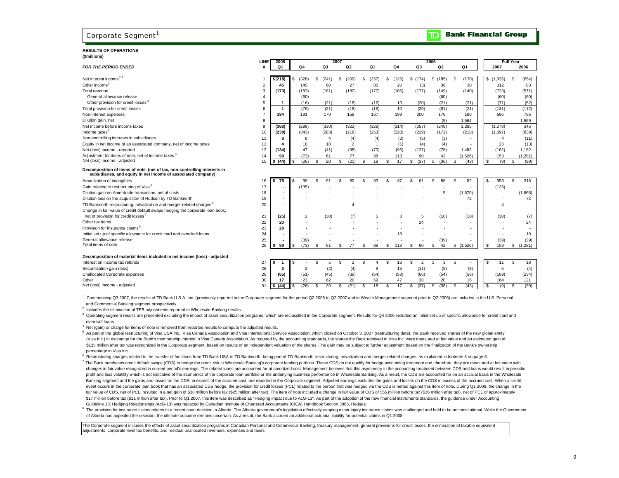### Corporate Segment<sup>1</sup>

#### **RESULTS OF OPERATIONS(\$millions)** *FOR THE PERIOD ENDED*

| (www.crisi                                                                                                                                |                |                   |                |       |                |                |                       |             |                        |              |           | <b>Full Year</b> |
|-------------------------------------------------------------------------------------------------------------------------------------------|----------------|-------------------|----------------|-------|----------------|----------------|-----------------------|-------------|------------------------|--------------|-----------|------------------|
| <b>FOR THE PERIOD ENDED</b>                                                                                                               | LINE           | 2008<br><b>Q1</b> | Q <sub>4</sub> | Q3    | 2007<br>Q2     | Q <sub>1</sub> | Q4                    | Q3          | 2006<br>Q <sub>2</sub> | Q1           | 2007      | 2006             |
|                                                                                                                                           |                |                   |                |       |                |                |                       |             |                        |              |           |                  |
| Net interest income <sup>2,3</sup>                                                                                                        |                | \$(218)           | (328)<br>\$    | (241) | (209)<br>\$    | (257)<br>\$    | (125)<br>S.           | \$<br>(174) | \$(185)                | (170)<br>s   | \$(1,035) | s<br>(654)       |
| Other income <sup>3</sup>                                                                                                                 | $\overline{2}$ | 45                | 145            | 60    | 27             | 80             | 20                    | (3)         | 36                     | 30           | 312       | 83               |
| Total revenue                                                                                                                             | 3              | (173)             | (183)          | (181) | (182)          | (177)          | (105)                 | (177)       | (149)                  | (140)        | (723)     | (571)            |
| General allowance release                                                                                                                 |                |                   | (60)           |       |                |                |                       |             | (60)                   |              | (60)      | (60)             |
| Other provision for credit losses <sup>3</sup>                                                                                            | 5              |                   | (16)           | (21)  | (18)           | (16)           | 10                    | (20)        | (21)                   | (21)         | (71)      | (52)             |
| Total provision for credit losses                                                                                                         |                |                   | (76)           | (21)  | (18)           | (16)           | 10                    | (20)        | (81)                   | (21)         | (131)     | (112)            |
| Non-interest expenses                                                                                                                     |                | 194               | 191            | 170   | 158            | 167            | 199                   | 200         | 176                    | 180          | 686       | 755              |
| Dilution gain, net                                                                                                                        |                |                   |                |       |                |                | ٠.                    | ×           | (5)                    | 1,564        |           | 1,559            |
| Net income before income taxes                                                                                                            | <b>q</b>       | (368)             | (298)          | (330) | (322)          | (328)          | (314)                 | (357)       | (249)                  | 1.265        | (1, 278)  | 345              |
| Income taxes $2$                                                                                                                          | 10             | (238)             | (343)          | (283) | (218)          | (253)          | (220)                 | (229)       | (172)                  | (218)        | (1,097)   | (839)            |
| Non-controlling interests in subsidiaries                                                                                                 | 11             |                   |                |       | (4)            | (4)            | (3)                   | (5)         | (3)                    | ٠            |           | (11)             |
| Equity in net income of an associated company, net of income taxes                                                                        | 12             |                   | 10             | 10    | $\overline{2}$ |                | (5)                   | (4)         | (4)                    | ٠            | 23        | (13)             |
| Net (loss) income - reported                                                                                                              | 13             | (134)             | 47             | (41)  | (98)           | (70)           | (96)                  | (127)       | (78)                   | 1.483        | (162)     | 1.182            |
| Adjustment for items of note, net of income taxes 4                                                                                       | 14             | 90                | (73)           | 61    | 77             | 88             | 113                   | 90          | 42                     | (1,526)      | 153       | (1, 281)         |
| Net (loss) income - adjusted                                                                                                              | 15             | \$ (44)           | s<br>(26)      | 20    | (21)           | 18<br>£.       | 17<br>- \$            | (37)<br>\$  | (36)<br>\$.            | (43)<br>\$   | \$<br>(9) | S.<br>(99)       |
| Decomposition of items of note (net of tax, non-controlling interests in<br>subsidiaries, and equity in net income of associated company) |                |                   |                |       |                |                |                       |             |                        |              |           |                  |
| Amortization of intangibles                                                                                                               | 16             | 75<br>- 56        | 99<br>-S       | 91    | 80             | 83<br>\$       | 87                    | 61          | 86<br>¢,               | 82<br>\$     | \$<br>353 | 316<br>S         |
| Gain relating to restructuring of Visa <sup>5</sup>                                                                                       | 17             |                   | (135)          |       |                |                |                       |             |                        |              | (135)     |                  |
| Dilution gain on Ameritrade transaction, net of costs                                                                                     | 18             |                   |                |       |                |                |                       |             | 5                      | (1,670)      |           | (1,665)          |
| Dilution loss on the acquisition of Hudson by TD Banknorth                                                                                | 19             |                   |                |       |                |                |                       |             |                        | 72           |           | 72               |
| TD Banknorth restructuring, privatization and merger-related charges <sup>6</sup>                                                         | 20             |                   |                |       |                |                |                       |             |                        |              |           |                  |
| Change in fair value of credit default swaps hedging the corporate loan book,                                                             |                |                   |                |       |                |                |                       |             |                        |              |           |                  |
| net of provision for credit losses '                                                                                                      | 21             | (25)              | $\overline{2}$ | (30)  | (7)            | 5              | 8                     | 5           | (10)                   | (10)         | (30)      | (7)              |
| Other tax items                                                                                                                           | 22             | 20                |                |       |                |                |                       | 24          |                        | ٠            |           | 24               |
| Provision for insurance claims <sup>8</sup>                                                                                               | 23             | 20                |                |       |                |                |                       |             |                        | ٠            |           |                  |
| Initial set up of specific allowance for credit card and overdraft loans                                                                  | 24             |                   |                |       |                |                | 18                    |             |                        | ۰            |           | 18               |
| General allowance release                                                                                                                 | 25             |                   | (39)           |       |                |                |                       |             | (39)                   |              | (39)      | (39)             |
| Total items of note                                                                                                                       | 26             | l \$<br>90        | l \$<br>(73)   | 61    | 77             | 88<br>S        | 113<br>$\mathfrak{L}$ | 90<br>\$    | 42<br>\$               | (1,526)<br>S | \$<br>153 | (1, 281)<br>S    |

#### **Decomposition of material items included in net income (loss) - adjusted**

| Interest on income tax refunds |    |
|--------------------------------|----|
| Securitization gain (loss)     | 28 |
| Unallocated Corporate expenses | 29 |
| Other                          | 30 |
| Net (loss) income - adjusted   | 31 |

| <u>www.com</u>                 |                |                     |        |      |      |           |      |      |      |        |       |       |
|--------------------------------|----------------|---------------------|--------|------|------|-----------|------|------|------|--------|-------|-------|
| Interest on income tax refunds | $\sim$         | -15                 |        |      |      |           |      |      |      |        |       |       |
| Securitization gain (loss)     | $\Omega$<br>20 |                     |        |      | (4)  |           |      |      | ພ    | '3)    |       | (4)   |
| Unallocated Corporate expenses | 29<br>20       | (65)                | (51)   | (45) | (39) | (54)      | (58) | (66) | (54) | (56)   | (189) | (234) |
| Other                          | $30^{\circ}$   | $\cdot$             | $\sim$ | 62   | 20   | 59        | 47   |      |      | $\sim$ | 164   | 121   |
| Net (loss) income - adjusted   | 24             | . (44'<br><b>13</b> | (26)   |      | (21) | <b>10</b> |      | (37) | (36) | (43)   | (9)   | (99)  |

<sup>1</sup> Commencing Q3 2007, the results of TD Bank U.S.A. Inc. (previously reported in the Corporate segment for the period Q2 2006 to Q2 2007 and in Wealth Management segment prior to Q2 2006) are included in the U.S. Persona and Commercial Banking segment prospectively.

<sup>2</sup> Includes the elimination of TEB adjustments reported in Wholesale Banking results.

<sup>3</sup> Operating segment results are presented excluding the impact of asset securitization programs, which are reclassified in the Corporate segment. Results for Q4 2006 included an initial set up of specific allowance for c overdraft loans.

Net (gain) or charge for items of note is removed from reported results to compute the adjusted results.

<sup>5</sup> As part of the global restructuring of Visa USA Inc., Visa Canada Association and Visa International Service Association, which closed on October 3, 2007 (restructuring date), the Bank received shares of the new global (Visa Inc.) in exchange for the Bank's membership interest in Visa Canada Association. As required by the accounting standards, the shares the Bank received in Visa Inc. were measured at fair value and an estimated gain of \$135 million after tax was recognized in the Corporate segment, based on results of an independent valuation of the shares. The gain may be subject to further adjustment based on the finalization of the Bank's ownership percentage in Visa Inc.

 $\frac{1}{2}$  Restructuring charges related to the transfer of functions from TD Bank USA to TD Banknorth, being part of TD Banknorth restructuring, privatization and merger-related charges, as explained in footnote 3 on page 7 The Bank purchases credit default swaps (CDS) to hedge the credit risk in Wholesale Banking's corporate lending portfolio. These CDS do not qualify for hedge accounting treatment and, therefore, they are measured at fair changes in fair value recognized in current period's earnings. The related loans are accounted for at amortized cost. Management believes that this asymmetry in the accounting treatment between CDS and loans would result i profit and loss volatility which is not indicative of the economics of the corporate loan portfolio or the underlying business performance in Wholesale Banking. As a result, the CDS are accounted for on an accrual basis in Banking segment and the gains and losses on the CDS, in excess of the accrued cost, are reported in the Corporate segment. Adjusted earnings excludes the gains and losses on the CDS in excess of the accrued cost. When a cr event occurs in the corporate loan book that has an associated CDS hedge, the provision for credit losses (PCL) related to the portion that was hedged via the CDS is netted against this item of note. During Q1 2008, the ch fair value of CDS, net of PCL, resulted in a net gain of \$38 million before tax (\$25 million after tax). The item of note included a change in fair value of CDS of \$55 million before tax (\$36 million after tax), net of PCL \$17 million before tax (\$11 million after tax). Prior to Q1 2007, this item was described as "Hedging impact due to AcG-13". As part of the adoption of the new financial instruments standards, the guidance under Accounting Guideline 13: Hedging Relationships (AcG-13) was replaced by Canadian Institute of Chartered Accountants (CICA) Handbook Section 3865, Hedges.

<sup>8</sup> The provision for insurance claims relates to a recent court decision in Alberta. The Alberta government's legislation effectively capping minor injury insurance claims was challenged and held to be unconstitutional. W of Alberta has appealed the decision, the ultimate outcome remains uncertain. As a result, the Bank accrued an additional actuarial liability for potential claims in Q1 2008.

The Corporate segment includes the effects of asset securitization programs in Canadian Personal and Commercial Banking, treasury management, general provisions for credit losses, the elimination of taxable equivalent adjustments, corporate level tax benefits, and residual unallocated revenues, expenses and taxes.

#### **Bank Financial Group**  $\mathbf T$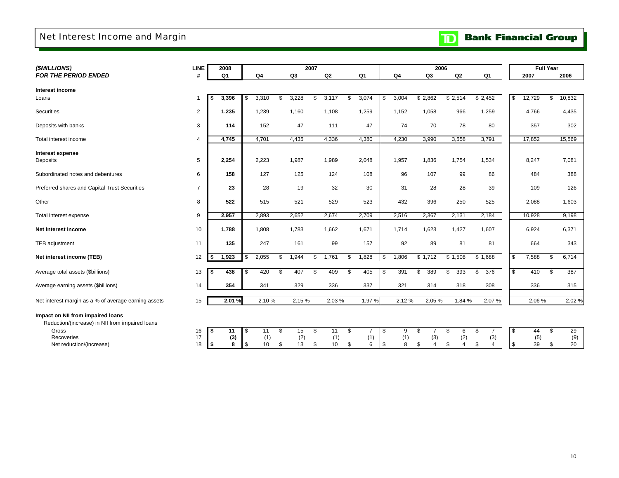### Net Interest Income and Margin

# **TD** Bank Financial Group

| (\$MILLIONS)                                         | <b>LINE</b>    | 2008           |                |                | 2007 |       |     |                |             |                | 2006                 |                |                      |    |        | <b>Full Year</b> |        |
|------------------------------------------------------|----------------|----------------|----------------|----------------|------|-------|-----|----------------|-------------|----------------|----------------------|----------------|----------------------|----|--------|------------------|--------|
| <b>FOR THE PERIOD ENDED</b>                          | #              | Q <sub>1</sub> | Q <sub>4</sub> | Q <sub>3</sub> |      | Q2    |     | Q <sub>1</sub> | Q4          | Q <sub>3</sub> |                      | Q <sub>2</sub> | Q <sub>1</sub>       |    | 2007   |                  | 2006   |
|                                                      |                |                |                |                |      |       |     |                |             |                |                      |                |                      |    |        |                  |        |
| Interest income                                      |                |                |                | \$<br>3,228    | \$   |       |     |                |             |                |                      |                | \$2,452              | \$ | 12,729 | \$               |        |
| Loans                                                | -1             | 3,396<br>\$    | 3,310<br>\$    |                |      | 3,117 | \$  | 3,074          | \$<br>3,004 | \$2,862        |                      | \$2,514        |                      |    |        |                  | 10,832 |
| Securities                                           | $\overline{2}$ | 1,235          | 1,239          | 1,160          |      | 1,108 |     | 1,259          | 1,152       | 1,058          |                      | 966            | 1,259                |    | 4,766  |                  | 4,435  |
| Deposits with banks                                  | 3              | 114            | 152            | 47             |      | 111   |     | 47             | 74          | 70             |                      | 78             | 80                   |    | 357    |                  | 302    |
| Total interest income                                | $\overline{4}$ | 4,745          | 4,701          | 4,435          |      | 4,336 |     | 4,380          | 4,230       | 3,990          |                      | 3,558          | 3,791                |    | 17,852 |                  | 15,569 |
| Interest expense                                     |                |                |                |                |      |       |     |                |             |                |                      |                |                      |    |        |                  |        |
| Deposits                                             | 5              | 2,254          | 2,223          | 1,987          |      | 1,989 |     | 2,048          | 1,957       | 1,836          |                      | 1,754          | 1,534                |    | 8,247  |                  | 7,081  |
|                                                      |                |                |                |                |      |       |     |                |             |                |                      |                |                      |    |        |                  |        |
| Subordinated notes and debentures                    | 6              | 158            | 127            | 125            |      | 124   |     | 108            | 96          | 107            |                      | 99             | 86                   |    | 484    |                  | 388    |
| Preferred shares and Capital Trust Securities        | $\overline{7}$ | 23             | 28             | 19             |      | 32    |     | 30             | 31          | 28             |                      | 28             | 39                   |    | 109    |                  | 126    |
| Other                                                | 8              | 522            | 515            | 521            |      | 529   |     | 523            | 432         | 396            |                      | 250            | 525                  |    | 2,088  |                  | 1,603  |
| Total interest expense                               | 9              | 2,957          | 2,893          | 2,652          |      | 2,674 |     | 2,709          | 2,516       | 2,367          |                      | 2,131          | 2,184                |    | 10,928 |                  | 9,198  |
| Net interest income                                  | 10             | 1,788          | 1,808          | 1,783          |      | 1,662 |     | 1,671          | 1,714       | 1,623          |                      | 1,427          | 1,607                |    | 6,924  |                  | 6,371  |
| TEB adjustment                                       | 11             | 135            | 247            | 161            |      | 99    |     | 157            | 92          | 89             |                      | 81             | 81                   |    | 664    |                  | 343    |
| Net interest income (TEB)                            | 12             | 1,923<br>\$    | 2,055          | \$<br>1,944    | \$   | 1,761 | \$. | 1,828          | \$<br>1,806 | \$1,712        |                      | \$1,508        | \$1,688              | \$ | 7,588  | S.               | 6,714  |
|                                                      |                |                |                |                |      |       |     |                |             |                |                      |                |                      |    |        |                  |        |
| Average total assets (\$billions)                    | 13             | 438<br>-S      | 420<br>S       | \$<br>407      | - \$ | 409   | \$  | 405            | \$<br>391   | \$<br>389      | \$                   | 393            | 376<br>\$            | \$ | 410    | £.               | 387    |
| Average earning assets (\$billions)                  | 14             | 354            | 341            | 329            |      | 336   |     | 337            | 321         | 314            |                      | 318            | 308                  |    | 336    |                  | 315    |
| Net interest margin as a % of average earning assets | 15             | 2.01%          | 2.10%          | 2.15%          |      | 2.03% |     | 1.97%          | 2.12%       | 2.05%          |                      | 1.84 %         | 2.07%                |    | 2.06%  |                  | 2.02%  |
| Impact on NII from impaired loans                    |                |                |                |                |      |       |     |                |             |                |                      |                |                      |    |        |                  |        |
| Reduction/(increase) in NII from impaired loans      |                |                |                |                |      |       |     |                |             |                |                      |                |                      |    |        |                  |        |
| Gross                                                | 16             | -\$<br>11      | 11<br>S        | \$<br>15       | \$   | 11    | \$  | 7              | \$<br>9     | \$             | S.                   | 6              | $\overline{7}$<br>\$ | \$ | 44     | \$               | 29     |
| Recoveries                                           | 17             | (3)            | (1)            | (2)            |      | (1)   |     | (1)            | (1)         |                | (3)                  | (2)            | (3)                  |    | (5)    |                  | (9)    |
| Net reduction/(increase)                             | 18             | \$<br>8        | \$<br>10       | \$<br>13       | \$   | 10    | \$  | 6              | \$<br>8     | \$             | $\overline{4}$<br>\$ | $\overline{4}$ | \$<br>$\overline{4}$ | \$ | 39     | \$               | 20     |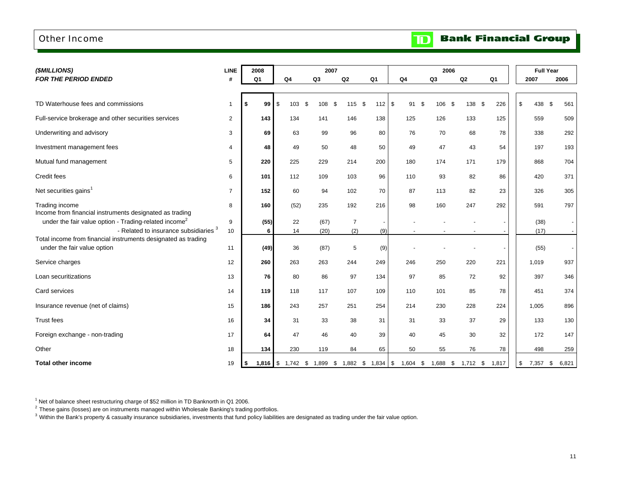### Other Income

**Bank Financial Group** 

 $\mathbf{D}$ 

| (\$MILLIONS)                                                                                                      | <b>LINE</b>    | 2008           |                    |                | 2007              |                |                            | 2006           |            |           | <b>Full Year</b> |              |
|-------------------------------------------------------------------------------------------------------------------|----------------|----------------|--------------------|----------------|-------------------|----------------|----------------------------|----------------|------------|-----------|------------------|--------------|
| <b>FOR THE PERIOD ENDED</b>                                                                                       | #              | Q <sub>1</sub> | Q <sub>4</sub>     | Q <sub>3</sub> | Q2                | Q <sub>1</sub> | Q <sub>4</sub>             | Q <sub>3</sub> | Q2         | Q1        | 2007             | 2006         |
| TD Waterhouse fees and commissions                                                                                | 1              | 99 S<br>S.     | 103                | 108<br>-\$     | 115<br>-\$        | \$<br>112      | $\sqrt[6]{3}$<br>91<br>-\$ | 106            | 138<br>-\$ | 226<br>\$ | \$<br>438 \$     | 561          |
| Full-service brokerage and other securities services                                                              | $\overline{2}$ | 143            | 134                | 141            | 146               | 138            | 125                        | 126            | 133        | 125       | 559              | 509          |
| Underwriting and advisory                                                                                         | 3              | 69             | 63                 | 99             | 96                | 80             | 76                         | 70             | 68         | 78        | 338              | 292          |
| Investment management fees                                                                                        | 4              | 48             | 49                 | 50             | 48                | 50             | 49                         | 47             | 43         | 54        | 197              | 193          |
| Mutual fund management                                                                                            | 5              | 220            | 225                | 229            | 214               | 200            | 180                        | 174            | 171        | 179       | 868              | 704          |
| Credit fees                                                                                                       | 6              | 101            | 112                | 109            | 103               | 96             | 110                        | 93             | 82         | 86        | 420              | 371          |
| Net securities gains <sup>1</sup>                                                                                 | $\overline{7}$ | 152            | 60                 | 94             | 102               | 70             | 87                         | 113            | 82         | 23        | 326              | 305          |
| Trading income<br>Income from financial instruments designated as trading                                         | 8              | 160            | (52)               | 235            | 192               | 216            | 98                         | 160            | 247        | 292       | 591              | 797          |
| under the fair value option - Trading-related income <sup>2</sup>                                                 | 9              | (55)           | 22                 | (67)           | $\overline{7}$    |                |                            |                |            |           | (38)             |              |
| - Related to insurance subsidiaries <sup>3</sup><br>Total income from financial instruments designated as trading | 10             | 6              | 14                 | (20)           | (2)               | (9)            |                            |                |            |           | (17)             |              |
| under the fair value option                                                                                       | 11             | (49)           | 36                 | (87)           | 5                 | (9)            |                            |                |            |           | (55)             |              |
| Service charges                                                                                                   | 12             | 260            | 263                | 263            | 244               | 249            | 246                        | 250            | 220        | 221       | 1,019            | 937          |
| Loan securitizations                                                                                              | 13             | 76             | 80                 | 86             | 97                | 134            | 97                         | 85             | 72         | 92        | 397              | 346          |
| Card services                                                                                                     | 14             | 119            | 118                | 117            | 107               | 109            | 110                        | 101            | 85         | 78        | 451              | 374          |
| Insurance revenue (net of claims)                                                                                 | 15             | 186            | 243                | 257            | 251               | 254            | 214                        | 230            | 228        | 224       | 1,005            | 896          |
| <b>Trust fees</b>                                                                                                 | 16             | 34             | 31                 | 33             | 38                | 31             | 31                         | 33             | 37         | 29        | 133              | 130          |
| Foreign exchange - non-trading                                                                                    | 17             | 64             | 47                 | 46             | 40                | 39             | 40                         | 45             | 30         | 32        | 172              | 147          |
| Other                                                                                                             | 18             | 134            | 230                | 119            | 84                | 65             | 50                         | 55             | 76         | 78        | 498              | 259          |
| <b>Total other income</b>                                                                                         | 19             | l \$           | 1,816 $$ 1,742$ \$ |                | 1,899 \$ 1,882 \$ | $1,834$ \$     | $1,604$ \$                 | 1,688 \$       | $1,712$ \$ | 1,817     | \$<br>7,357      | 6,821<br>-\$ |

 $1$  Net of balance sheet restructuring charge of \$52 million in TD Banknorth in Q1 2006.

 $^2$  These gains (losses) are on instruments managed within Wholesale Banking's trading portfolios.

 $^3$  Within the Bank's property & casualty insurance subsidiaries, investments that fund policy liabilities are designated as trading under the fair value option.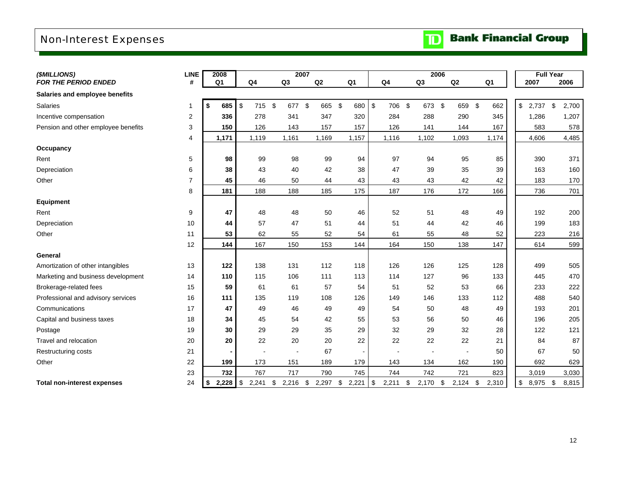# Non-Interest Expenses

| (\$MILLIONS)                        | <b>LINE</b>    | 2008        |             |                      |                | 2007        |                          |                | 2006           |                          |                |                | <b>Full Year</b> |
|-------------------------------------|----------------|-------------|-------------|----------------------|----------------|-------------|--------------------------|----------------|----------------|--------------------------|----------------|----------------|------------------|
| <b>FOR THE PERIOD ENDED</b>         | #              | Q1          | Q4          |                      | Q3             | Q2          | Q <sub>1</sub>           | Q <sub>4</sub> | Q <sub>3</sub> | Q <sub>2</sub>           | Q <sub>1</sub> | 2007           | 2006             |
| Salaries and employee benefits      |                |             |             |                      |                |             |                          |                |                |                          |                |                |                  |
| <b>Salaries</b>                     | 1              | \$<br>685   | \$          | $\sqrt[6]{2}$<br>715 | 677            | \$<br>665   | \$<br>680                | \$<br>706      | - \$<br>673    | -\$<br>659               | -\$<br>662     | \$<br>2,737    | \$<br>2,700      |
| Incentive compensation              | 2              | 336         |             | 278                  | 341            | 347         | 320                      | 284            | 288            | 290                      | 345            | 1,286          | 1,207            |
| Pension and other employee benefits | 3              | 150         |             | 126                  | 143            | 157         | 157                      | 126            | 141            | 144                      | 167            | 583            | 578              |
|                                     | 4              | 1,171       | 1,119       |                      | 1,161          | 1,169       | 1,157                    | 1,116          | 1,102          | 1,093                    | 1,174          | 4,606          | 4,485            |
| Occupancy                           |                |             |             |                      |                |             |                          |                |                |                          |                |                |                  |
| Rent                                | 5              | 98          |             | 99                   | 98             | 99          | 94                       | 97             | 94             | 95                       | 85             | 390            | 371              |
| Depreciation                        | 6              | 38          |             | 43                   | 40             | 42          | 38                       | 47             | 39             | 35                       | 39             | 163            | 160              |
| Other                               | $\overline{7}$ | 45          |             | 46                   | 50             | 44          | 43                       | 43             | 43             | 42                       | 42             | 183            | 170              |
|                                     | 8              | 181         |             | 188                  | 188            | 185         | 175                      | 187            | 176            | 172                      | 166            | 736            | 701              |
| Equipment                           |                |             |             |                      |                |             |                          |                |                |                          |                |                |                  |
| Rent                                | 9              | 47          |             | 48                   | 48             | 50          | 46                       | 52             | 51             | 48                       | 49             | 192            | 200              |
| Depreciation                        | 10             | 44          |             | 57                   | 47             | 51          | 44                       | 51             | 44             | 42                       | 46             | 199            | 183              |
| Other                               | 11             | 53          |             | 62                   | 55             | 52          | 54                       | 61             | 55             | 48                       | 52             | 223            | 216              |
|                                     | 12             | 144         |             | 167                  | 150            | 153         | 144                      | 164            | 150            | 138                      | 147            | 614            | 599              |
| General                             |                |             |             |                      |                |             |                          |                |                |                          |                |                |                  |
| Amortization of other intangibles   | 13             | 122         |             | 138                  | 131            | 112         | 118                      | 126            | 126            | 125                      | 128            | 499            | 505              |
| Marketing and business development  | 14             | 110         |             | 115                  | 106            | 111         | 113                      | 114            | 127            | 96                       | 133            | 445            | 470              |
| Brokerage-related fees              | 15             | 59          |             | 61                   | 61             | 57          | 54                       | 51             | 52             | 53                       | 66             | 233            | 222              |
| Professional and advisory services  | 16             | 111         |             | 135                  | 119            | 108         | 126                      | 149            | 146            | 133                      | 112            | 488            | 540              |
| Communications                      | 17             | 47          |             | 49                   | 46             | 49          | 49                       | 54             | 50             | 48                       | 49             | 193            | 201              |
| Capital and business taxes          | 18             | 34          |             | 45                   | 54             | 42          | 55                       | 53             | 56             | 50                       | 46             | 196            | 205              |
| Postage                             | 19             | 30          |             | 29                   | 29             | 35          | 29                       | 32             | 29             | 32                       | 28             | 122            | 121              |
| Travel and relocation               | 20             | 20          |             | 22                   | 20             | 20          | 22                       | 22             | 22             | 22                       | 21             | 84             | 87               |
| <b>Restructuring costs</b>          | 21             |             |             |                      | $\blacksquare$ | 67          | $\overline{\phantom{a}}$ |                |                | $\overline{\phantom{a}}$ | 50             | 67             | 50               |
| Other                               | 22             | 199         |             | 173                  | 151            | 189         | 179                      | 143            | 134            | 162                      | 190            | 692            | 629              |
|                                     | 23             | 732         |             | 767                  | 717            | 790         | 745                      | 744            | 742            | 721                      | 823            | 3,019          | 3,030            |
| <b>Total non-interest expenses</b>  | 24             | \$<br>2,228 | \$<br>2,241 | \$                   | 2,216          | \$<br>2,297 | \$<br>2,221              | \$<br>2,211    | \$<br>2,170    | \$<br>2,124              | \$<br>2,310    | \$<br>8,975 \$ | 8,815            |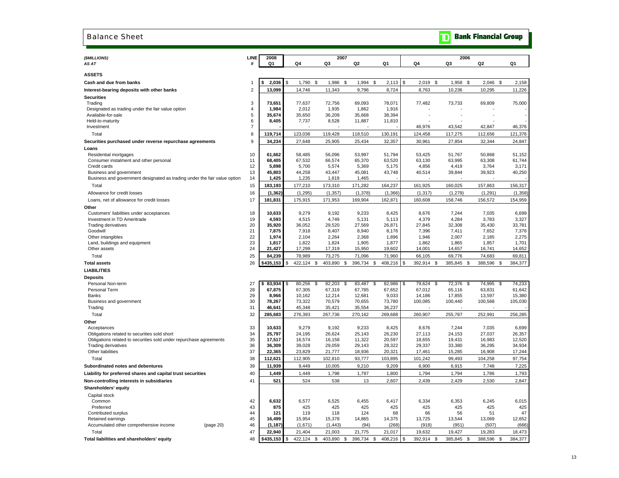#### Balance Sheet

### **TD** Bank Financial Group

| (\$MILLIONS)                                                              | LINE             | 2008            |                  | 2007                |                  |                 |      |                   | 2006               |                   |                   |
|---------------------------------------------------------------------------|------------------|-----------------|------------------|---------------------|------------------|-----------------|------|-------------------|--------------------|-------------------|-------------------|
| AS AT                                                                     | #                | Q1              | Q4               | Q3                  | Q2               | Q1              | Q4   |                   | Q3                 | Q2                | Q1                |
| <b>ASSETS</b>                                                             |                  |                 |                  |                     |                  |                 |      |                   |                    |                   |                   |
| Cash and due from banks                                                   | $\mathbf{1}$     | 2,036           | \$<br>1,790      | \$<br>1,986         | \$<br>1,994      | \$<br>2,113     | \$   | 2,019             | \$<br>1,958<br>\$  | 2,046             | \$<br>2,158       |
| Interest-bearing deposits with other banks                                | $\overline{2}$   | 13,099          | 14,746           | 11,343              | 9,796            | 8,724           |      | 8,763             | 10,236             | 10,295            | 11,226            |
| <b>Securities</b>                                                         |                  |                 |                  |                     |                  |                 |      |                   |                    |                   |                   |
| Trading                                                                   | 3                | 73,651          | 77,637           | 72,756              | 69,093           | 78,071          |      | 77,482            | 73,733             | 69,809            | 75,000            |
| Designated as trading under the fair value option                         | $\overline{4}$   | 1,984           | 2,012            | 1,935               | 1,862            | 1,916           |      |                   |                    |                   |                   |
| Available-for-sale                                                        | $\sqrt{5}$       | 35,674          | 35,650           | 36,209              | 35,668           | 38,394          |      |                   |                    |                   |                   |
| Held-to-maturity                                                          | 6                | 8,405           | 7,737            | 8,528               | 11,887           | 11,810          |      |                   |                    |                   |                   |
| Investment                                                                | $\overline{7}$   |                 |                  |                     |                  |                 |      | 46,976            | 43,542             | 42,847            | 46,376            |
| Total                                                                     | 8                | 119,714         | 123,036          | 119,428             | 118,510          | 130,191         |      | 124,458           | 117,275            | 112,656           | 121,376           |
| Securities purchased under reverse repurchase agreements                  | $\boldsymbol{9}$ | 34,234          | 27,648           | 25,905              | 25,434           | 32,357          |      | 30,961            | 27,854             | 32,344            | 24,847            |
| Loans                                                                     |                  |                 |                  |                     |                  |                 |      |                   |                    |                   |                   |
| Residential mortgages                                                     | 10               | 61,662          | 58,485           | 56,096              | 53,997           | 51,794          |      | 53,425            | 51,767             | 50,868            | 51,152            |
| Consumer instalment and other personal<br>Credit cards                    | 11<br>12         | 68,405<br>5,898 | 67,532<br>5,700  | 66,574<br>5,574     | 65,370<br>5,369  | 63,520<br>5,175 |      | 63,130<br>4,856   | 63,995<br>4,419    | 63,308<br>3,764   | 61,744<br>3,171   |
| Business and government                                                   | 13               | 45,803          | 44,258           | 43,447              | 45,081           | 43,748          |      | 40,514            | 39,844             | 39,923            | 40,250            |
| Business and government designated as trading under the fair value option | 14               | 1,425           | 1,235            | 1,619               | 1,465            |                 |      |                   |                    |                   |                   |
| Total                                                                     | 15               | 183,193         | 177,210          | 173,310             | 171,282          | 164,237         |      | 161,925           | 160,025            | 157,863           | 156,317           |
| Allowance for credit losses                                               | 16               | (1, 362)        | (1, 295)         | (1, 357)            | (1, 378)         | (1,366)         |      | (1, 317)          | (1,279)            | (1, 291)          | (1,358)           |
| Loans, net of allowance for credit losses                                 | 17               | 181,831         | 175,915          | 171,953             | 169,904          | 162,871         |      | 160,608           | 158,746            | 156,572           | 154,959           |
| Other                                                                     |                  |                 |                  |                     |                  |                 |      |                   |                    |                   |                   |
| Customers' liabilities under acceptances                                  | 18               | 10,633          | 9,279            | 9,192               | 9,233            | 8,425           |      | 8,676             | 7,244              | 7,035             | 6,699             |
| Investment in TD Ameritrade                                               | 19               | 4,593           | 4,515            | 4,749               | 5,131            | 5,113           |      | 4,379             | 4,284              | 3,783             | 3,327             |
| <b>Trading derivatives</b>                                                | 20               | 35,920          | 36,052           | 29,520              | 27,569           | 26,871          |      | 27,845            | 32,308             | 35,430            | 33,781            |
| Goodwill                                                                  | 21               | 7,875           | 7,918            | 8,407               | 8,940            | 8,176           |      | 7,396             | 7,411              | 7,652             | 7,376             |
| Other intangibles                                                         | 22               | 1,974           | 2,104            | 2,264               | 2,368            | 1,896           |      | 1,946             | 2,007              | 2,185             | 2,275             |
| Land, buildings and equipment                                             | 23               | 1,817           | 1,822            | 1,824               | 1,905            | 1,877           |      | 1,862             | 1,865              | 1,857             | 1,701             |
| Other assets                                                              | 24               | 21,427          | 17,299           | 17,319              | 15,950           | 19,602          |      | 14,001            | 14,657             | 16,741            | 14,652            |
| Total                                                                     | 25               | 84,239          | 78,989           | 73,275              | 71,096           | 71,960          |      | 66,105            | 69,776             | 74,683            | 69,811            |
| <b>Total assets</b>                                                       | 26               | \$435,153       | \$<br>422,124    | \$<br>403,890       | 396,734<br>\$    | 408,216<br>\$   | S    | 392,914 \$        | 385,845<br>\$      | 388,596           | \$<br>384,377     |
| <b>LIABILITIES</b>                                                        |                  |                 |                  |                     |                  |                 |      |                   |                    |                   |                   |
| <b>Deposits</b>                                                           |                  |                 |                  |                     |                  |                 |      |                   |                    |                   |                   |
| Personal Non-term                                                         | 27               | 83,934<br>\$    | 80,256<br>\$     | \$<br>82,203        | \$<br>83,487     | 82,986<br>\$    | S    | 79,624            | 72,376<br>\$<br>\$ | 74,995            | \$<br>74,233      |
| Personal Term                                                             | 28               | 67,875          | 67,305           | 67,319              | 67,785           | 67,652          |      | 67,012            | 65,116             | 63,831            | 61,642            |
| Banks                                                                     | 29<br>30         | 8,966<br>78,267 | 10,162<br>73,322 | 12,214<br>70,579    | 12,681<br>70,655 | 9,033<br>73,780 |      | 14,186<br>100,085 | 17,855<br>100,440  | 13,597<br>100,568 | 15,380<br>105,030 |
| Business and government<br>Trading                                        | 31               | 46,641          | 45,348           | 35,421              | 35,554           | 36,237          |      |                   |                    |                   |                   |
| Total                                                                     | 32               | 285,683         | 276,393          | 267,736             | 270,162          | 269,688         |      | 260,907           | 255,787            | 252,991           | 256,285           |
|                                                                           |                  |                 |                  |                     |                  |                 |      |                   |                    |                   |                   |
| Other<br>Acceptances                                                      | 33               | 10,633          | 9,279            | 9,192               | 9,233            | 8,425           |      | 8,676             | 7,244              | 7,035             | 6,699             |
| Obligations related to securities sold short                              | 34               | 25,797          | 24,195           | 26,624              | 25,143           | 26,230          |      | 27,113            | 24,153             | 27,037            | 26,357            |
| Obligations related to securities sold under repurchase agreements        | 35               | 17,517          | 16,574           | 16,158              | 11,322           | 20,597          |      | 18,655            | 19,431             | 16,983            | 12,520            |
| <b>Trading derivatives</b>                                                | 36               | 36,309          | 39,028           | 29,059              | 29,143           | 28,322          |      | 29,337            | 33,380             | 36,295            | 34,934            |
| Other liabilities                                                         | 37               | 22,365          | 23,829           | 21,777              | 18,936           | 20,321          |      | 17,461            | 15,285             | 16,908            | 17,244            |
| Total                                                                     | 38               | 112,621         | 112,905          | 102,810             | 93,777           | 103,895         |      | 101,242           | 99,493             | 104,258           | 97,754            |
| Subordinated notes and debentures                                         | 39               | 11,939          | 9,449            | 10,005              | 9,210            | 9,209           |      | 6,900             | 6,915              | 7,748             | 7,225             |
| Liability for preferred shares and capital trust securities               | 40               | 1,449           | 1,449            | 1,798               | 1,797            | 1,800           |      | 1,794             | 1,794              | 1,786             | 1,793             |
| Non-controlling interests in subsidiaries                                 | 41               | 521             | 524              | 538                 | 13               | 2,607           |      | 2,439             | 2,429              | 2,530             | 2,847             |
| Shareholders' equity                                                      |                  |                 |                  |                     |                  |                 |      |                   |                    |                   |                   |
| Capital stock                                                             |                  |                 |                  |                     |                  |                 |      |                   |                    |                   |                   |
| Common                                                                    | 42               | 6,632           | 6,577            | 6,525               | 6,455            | 6,417           |      | 6,334             | 6,353              | 6,245             | 6,015             |
| Preferred                                                                 | 43               | 875             | 425              | 425                 | 425              | 425             |      | 425               | 425                | 425               | 425               |
| Contributed surplus                                                       | 44               | 121             | 119              | 118                 | 124              | 68              |      | 66                | 56                 | 51                | 47                |
| Retained earnings                                                         | 45               | 16,499          | 15,954           | 15,378              | 14,865           | 14,375          |      | 13,725            | 13,544             | 13,069            | 12,652            |
| Accumulated other comprehensive income<br>(page 20)                       | 46               | (1, 187)        | (1,671)          | (1, 443)            | (94)             | (268)           |      | (918)             | (951)              | (507)             | (666)             |
| Total                                                                     | 47               | 22,940          | 21,404           | 21,003              | 21,775           | 21,017          |      | 19,632            | 19,427             | 19,283            | 18,473            |
| Total liabilities and shareholders' equity                                | 48               | \$435.153       | \$<br>422.124    | \$<br>403.890<br>\$ | 396.734          | \$<br>408,216   | l \$ | 392,914 \$        | 385.845<br>- \$    | 388,596           | \$<br>384,377     |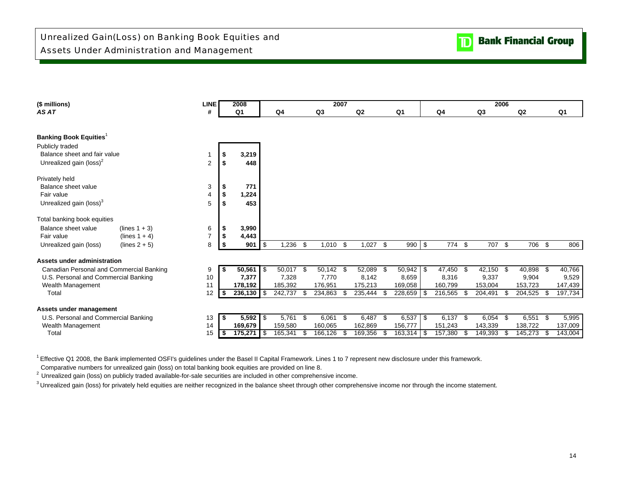

| (\$ millions)                             | <b>LINE</b>    |      | 2008           |      |             |      |                | 2007 |                |      |                |            |            |      |         | 2006 |                |      |         |
|-------------------------------------------|----------------|------|----------------|------|-------------|------|----------------|------|----------------|------|----------------|------------|------------|------|---------|------|----------------|------|---------|
| AS AT                                     | #              |      | Q <sub>1</sub> |      | Q4          |      | Q <sub>3</sub> |      | Q <sub>2</sub> |      | Q <sub>1</sub> |            | Q4         |      | Q3      |      | Q <sub>2</sub> |      | Q1      |
|                                           |                |      |                |      |             |      |                |      |                |      |                |            |            |      |         |      |                |      |         |
| <b>Banking Book Equities</b> <sup>1</sup> |                |      |                |      |             |      |                |      |                |      |                |            |            |      |         |      |                |      |         |
| Publicly traded                           |                |      |                |      |             |      |                |      |                |      |                |            |            |      |         |      |                |      |         |
| Balance sheet and fair value              |                | - \$ | 3,219          |      |             |      |                |      |                |      |                |            |            |      |         |      |                |      |         |
| Unrealized gain (loss) <sup>2</sup>       | $\overline{2}$ | -S   | 448            |      |             |      |                |      |                |      |                |            |            |      |         |      |                |      |         |
| Privately held                            |                |      |                |      |             |      |                |      |                |      |                |            |            |      |         |      |                |      |         |
| Balance sheet value                       | 3              | \$   | 771            |      |             |      |                |      |                |      |                |            |            |      |         |      |                |      |         |
| Fair value                                | 4              | \$   | 1,224          |      |             |      |                |      |                |      |                |            |            |      |         |      |                |      |         |
| Unrealized gain (loss) <sup>3</sup>       | 5              | - 5  | 453            |      |             |      |                |      |                |      |                |            |            |      |         |      |                |      |         |
| Total banking book equities               |                |      |                |      |             |      |                |      |                |      |                |            |            |      |         |      |                |      |         |
| Balance sheet value<br>$(lines 1 + 3)$    | 6              | - \$ | 3,990          |      |             |      |                |      |                |      |                |            |            |      |         |      |                |      |         |
| (lines $1 + 4$ )<br>Fair value            | $\overline{7}$ | -\$  | 4,443          |      |             |      |                |      |                |      |                |            |            |      |         |      |                |      |         |
| Unrealized gain (loss)<br>$(lines 2 + 5)$ | 8              | -S   | 901            | \$   | 1,236       | -\$  | 1,010          | \$   | 1,027          | \$   | 990            | $\sqrt{3}$ | 774 \$     |      | 707     | \$   | 706 \$         |      | 806     |
| Assets under administration               |                |      |                |      |             |      |                |      |                |      |                |            |            |      |         |      |                |      |         |
| Canadian Personal and Commercial Banking  | 9              | - 56 | 50,561         | l \$ | $50,017$ \$ |      | 50,142         | - \$ | 52,089         | - \$ | 50,942         | l \$       | 47,450 \$  |      | 42,150  | -\$  | 40,898         |      | 40,766  |
| U.S. Personal and Commercial Banking      | 10             |      | 7,377          |      | 7,328       |      | 7,770          |      | 8,142          |      | 8,659          |            | 8,316      |      | 9,337   |      | 9,904          |      | 9,529   |
| Wealth Management                         | 11             |      | 178,192        |      | 185,392     |      | 176,951        |      | 175,213        |      | 169,058        |            | 160,799    |      | 153,004 |      | 153,723        |      | 147,439 |
| Total                                     | 12             | - \$ | 236,130        | -\$  | 242,737     | .ዋ   | 234,863        | £.   | 235,444        | - \$ | 228,659        | \$         | 216,565    | - \$ | 204,491 | £.   | 204,525        | - \$ | 197,734 |
| Assets under management                   |                |      |                |      |             |      |                |      |                |      |                |            |            |      |         |      |                |      |         |
| U.S. Personal and Commercial Banking      | 13             | - 5  | 5,592          | l \$ | 5,761       | - \$ | 6,061          | \$   | 6,487 \$       |      | 6,537          | l \$       | $6,137$ \$ |      | 6,054   | \$   | $6,551$ \$     |      | 5,995   |
| Wealth Management                         | 14             |      | 169.679        |      | 159,580     |      | 160.065        |      | 162,869        |      | 156,777        |            | 151,243    |      | 143,339 |      | 138.722        |      | 137,009 |
| Total                                     | 15             | - 5  | 175,271        | - \$ | 165,341     | - \$ | 166,126        | \$.  | 169,356        | ۹.   | 163,314        | - \$       | 157,380    | - 35 | 149,393 |      | 145,273        |      | 143,004 |

<sup>1</sup> Effective Q1 2008, the Bank implemented OSFI's guidelines under the Basel II Capital Framework. Lines 1 to 7 represent new disclosure under this framework.

Comparative numbers for unrealized gain (loss) on total banking book equities are provided on line 8.

<sup>2</sup> Unrealized gain (loss) on publicly traded available-for-sale securities are included in other comprehensive income.

<sup>3</sup> Unrealized gain (loss) for privately held equities are neither recognized in the balance sheet through other comprehensive income nor through the income statement.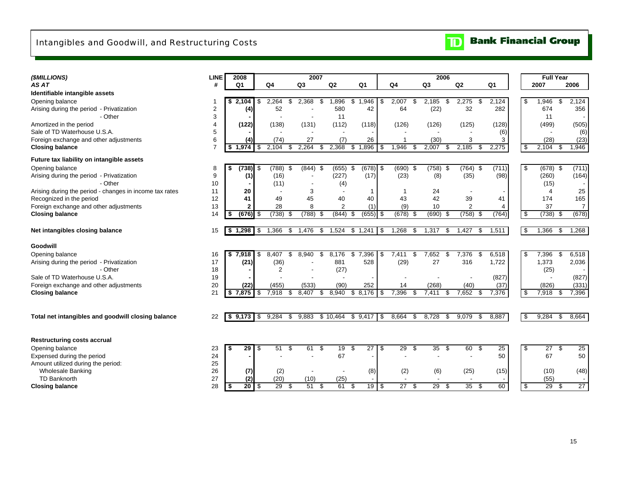| (\$MILLIONS)                                            | <b>LINE</b>    | 2008                 |                             |     | 2007                     |                          |                       |            |                       | 2006            |     |                       |                | <b>Full Year</b>      |                |
|---------------------------------------------------------|----------------|----------------------|-----------------------------|-----|--------------------------|--------------------------|-----------------------|------------|-----------------------|-----------------|-----|-----------------------|----------------|-----------------------|----------------|
| AS AT                                                   | #              | Q <sub>1</sub>       | Q <sub>4</sub>              |     | Q3                       | Q2                       | Q <sub>1</sub>        |            | Q <sub>4</sub>        | Q3              | Q2  |                       | Q <sub>1</sub> | 2007                  | 2006           |
| Identifiable intangible assets                          |                |                      |                             |     |                          |                          |                       |            |                       |                 |     |                       |                |                       |                |
| Opening balance                                         |                | \$2,104              | 2,264                       | \$. | 2,368                    | \$<br>1,896              | \$<br>1.946           | \$         | 2,007<br>\$           | 2,185           | \$  | 2,275<br>\$           | 2,124          | \$<br>1,946           | 2,124<br>\$    |
| Arising during the period - Privatization               | $\overline{2}$ | (4)                  | 52                          |     |                          | 580                      | 42                    |            | 64                    | (22)            |     | 32                    | 282            | 674                   | 356            |
| - Other                                                 | 3              |                      |                             |     |                          | 11                       |                       |            |                       |                 |     |                       |                | 11                    |                |
| Amortized in the period                                 | 4              | (122)                | (138)                       |     | (131)                    | (112)                    | (118)                 |            | (126)                 | (126)           |     | (125)                 | (128)          | (499)                 | (505)          |
| Sale of TD Waterhouse U.S.A.                            | 5              |                      |                             |     |                          | $\overline{\phantom{a}}$ |                       |            |                       |                 |     |                       | (6)            |                       | (6)            |
| Foreign exchange and other adjustments                  | 6              | (4)                  | (74)                        |     | 27                       | (7)                      | 26                    |            | -1                    | (30)            |     | 3                     | 3              | (28)                  | (23)           |
| <b>Closing balance</b>                                  | $\overline{7}$ | \$1,974              | 2,104                       | \$  | 2,264                    | \$<br>2,368              | \$<br>1,896           | \$         | 1,946<br>\$           | 2,007           | -S  | 2,185<br>-\$          | 2,275          | \$<br>2,104           | 1,946<br>-\$   |
| Future tax liability on intangible assets               |                |                      |                             |     |                          |                          |                       |            |                       |                 |     |                       |                |                       |                |
| Opening balance                                         | 8              | (738)<br>\$          | (788)<br>\$                 | \$  | $(844)$ \$               | (655)                    | \$                    | $(678)$ \$ | (690)<br>\$           | $(758)$ \$      |     | $(764)$ \$            | (711)          | \$<br>$(678)$ \$      | (711)          |
| Arising during the period - Privatization               | 9              | (1)                  | (16)                        |     |                          | (227)                    | (17)                  |            | (23)                  | (8)             |     | (35)                  | (98)           | (260)                 | (164)          |
| - Other                                                 | 10             |                      | (11)                        |     | $\overline{\phantom{a}}$ | (4)                      |                       |            |                       |                 |     |                       |                | (15)                  |                |
| Arising during the period - changes in income tax rates | 11             | 20                   |                             |     | 3                        |                          |                       |            | $\mathbf{1}$          | 24              |     |                       |                | 4                     | 25             |
| Recognized in the period                                | 12             | 41                   | 49                          |     | 45                       | 40                       | 40                    |            | 43                    | 42              |     | 39                    | 41             | 174                   | 165            |
| Foreign exchange and other adjustments                  | 13             |                      | 28                          |     | 8                        | $\overline{2}$           |                       | (1)        | (9)                   | 10              |     | $\overline{2}$        | $\overline{4}$ | 37                    | $\overline{7}$ |
| <b>Closing balance</b>                                  | 14             | (676)<br>\$          | (738)<br>\$                 | \$  | (788)                    | \$<br>(844)              | \$                    | $(655)$ \$ | (678)<br>-\$          | (690)           |     | (758)<br>\$           | (764)          | \$<br>(738)           | (678)<br>-\$   |
| Net intangibles closing balance                         | 15             | \$1,298              | 1,366<br>-\$                | \$  | 1,476                    | \$<br>1,524              | $$1,241$ \\$          |            | 1,268<br>\$           | 1,317           | \$  | 1,427<br>\$           | 1,511          | \$<br>1,366           | 1,268<br>\$    |
| Goodwill                                                |                |                      |                             |     |                          |                          |                       |            |                       |                 |     |                       |                |                       |                |
| Opening balance                                         | 16             | \$7,918              | 8,407<br>\$                 | \$  | 8.940                    | \$<br>8,176              | \$<br>7,396           | \$         | 7.411<br>\$           | 7,652           | \$  | 7,376<br>\$           | 6,518          | \$<br>7,396           | 6,518<br>- \$  |
| Arising during the period - Privatization               | 17             | (21)                 | (36)                        |     |                          | 881                      | 528                   |            | (29)                  | 27              |     | 316                   | 1,722          | 1,373                 | 2,036          |
| - Other                                                 | 18             |                      |                             | 2   |                          | (27)                     |                       |            |                       |                 |     |                       |                | (25)                  |                |
| Sale of TD Waterhouse U.S.A.                            | 19             |                      |                             |     |                          |                          |                       |            |                       |                 |     |                       | (827)          |                       | (827)          |
| Foreign exchange and other adjustments                  | 20             | (22)                 | (455)                       |     | (533)                    | (90)                     | 252                   |            | 14                    | (268)           |     | (40)                  | (37)           | (826)                 | (331)          |
| <b>Closing balance</b>                                  | 21             | 7,875<br>\$          | 7,918                       | \$  | 8,407                    | \$<br>8,940              | 8,176<br>\$           | \$         | 7,396<br>\$           | 7,411           | \$  | 7,652<br>\$           | 7,376          | \$<br>7,918           | 7,396<br>-\$   |
|                                                         |                |                      |                             |     |                          |                          |                       |            |                       |                 |     |                       |                |                       |                |
|                                                         |                |                      |                             |     |                          |                          |                       |            |                       |                 |     |                       |                |                       |                |
| Total net intangibles and goodwill closing balance      | 22             | \$9,173              | 9,284<br>\$                 | \$  | 9,883                    | \$10,464                 | $$9,417$ \\$          |            | 8,664<br>\$           | 8,728           | \$  | 9,079<br>\$           | 8,887          | \$<br>9,284           | 8,664<br>\$    |
|                                                         |                |                      |                             |     |                          |                          |                       |            |                       |                 |     |                       |                |                       |                |
| <b>Restructuring costs accrual</b>                      |                |                      |                             |     |                          |                          |                       |            |                       |                 |     |                       |                |                       |                |
| Opening balance                                         | 23             | $\overline{29}$<br>S | 51<br>\$                    | \$  | 61S                      | 19                       | \$<br>$\overline{27}$ | $\sqrt{3}$ | 29<br>\$              | $\overline{35}$ | -\$ | 60<br>\$              | 25             | \$<br>$\overline{27}$ | \$<br>25       |
| Expensed during the period                              | 24             |                      |                             |     |                          | 67                       |                       |            |                       |                 |     |                       | 50             | 67                    | 50             |
| Amount utilized during the period:                      | 25             |                      |                             |     |                          |                          |                       |            |                       |                 |     |                       |                |                       |                |
| <b>Wholesale Banking</b>                                | 26             | (7)                  |                             | (2) |                          |                          |                       | (8)        | (2)                   | (6)             |     | (25)                  | (15)           | (10)                  | (48)           |
| <b>TD Banknorth</b>                                     | 27             | (2)                  | (20)                        |     | (10)                     | (25)                     |                       |            |                       |                 |     |                       |                | (55)                  |                |
| <b>Closing balance</b>                                  | 28             | 20<br>\$             | $\overline{29}$<br><b>S</b> | \$  | 51                       | \$<br>61                 | \$                    | $19$ \$    | $\overline{27}$<br>\$ | $\overline{29}$ | -\$ | $\overline{35}$<br>\$ | 60             | \$<br>$\overline{29}$ | 27<br>\$       |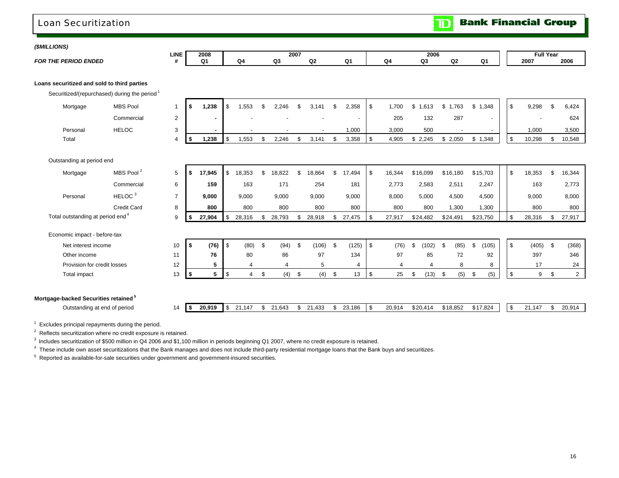### Loan Securitization

**Bank Financial Group** וסד

| (\$MILLIONS) |                                                  |                                                          |                |      |                |                      |                |      |            |    |                |            |                |                         |             |          |                |            |                  |                |                |
|--------------|--------------------------------------------------|----------------------------------------------------------|----------------|------|----------------|----------------------|----------------|------|------------|----|----------------|------------|----------------|-------------------------|-------------|----------|----------------|------------|------------------|----------------|----------------|
|              |                                                  |                                                          | <b>LINE</b>    |      | 2008           |                      |                | 2007 |            |    |                |            |                | 2006                    |             |          |                |            | <b>Full Year</b> |                |                |
|              | <b>FOR THE PERIOD ENDED</b>                      |                                                          | #              |      | Q <sub>1</sub> | Q4                   | Q <sub>3</sub> |      | Q2         |    | Q <sub>1</sub> |            | Q <sub>4</sub> | Q <sub>3</sub>          | Q2          |          | Q <sub>1</sub> |            | 2007             |                | 2006           |
|              | Loans securitized and sold to third parties      | Securitized/(repurchased) during the period <sup>1</sup> |                |      |                |                      |                |      |            |    |                |            |                |                         |             |          |                |            |                  |                |                |
|              | Mortgage                                         | <b>MBS Pool</b>                                          | $\mathbf{1}$   | s.   | 1,238          | \$<br>1.553          | \$<br>2.246    | £.   | 3.141      | ደ  | 2,358          | \$         | 1.700          | \$<br>1.613             | \$<br>1,763 | \$       | 1,348          | \$         | 9,298            | \$             | 6,424          |
|              |                                                  | Commercial                                               | 2              |      |                |                      |                |      |            |    |                |            | 205            | 132                     | 287         |          |                |            |                  |                | 624            |
|              | Personal                                         | <b>HELOC</b>                                             | 3              |      |                |                      |                |      |            |    | 1,000          |            | 3,000          | 500                     |             |          |                |            | 1,000            |                | 3,500          |
|              | Total                                            |                                                          | $\overline{4}$ | \$   | 1,238          | \$<br>1,553          | \$<br>2,246    | \$   | 3,141      | \$ | 3,358          | $\sqrt{3}$ | 4,905          | \$2,245                 | \$2,050     |          | \$1,348        | \$         | 10,298           | \$             | 10,548         |
|              |                                                  |                                                          |                |      |                |                      |                |      |            |    |                |            |                |                         |             |          |                |            |                  |                |                |
|              | Outstanding at period end                        |                                                          |                |      |                |                      |                |      |            |    |                |            |                |                         |             |          |                |            |                  |                |                |
|              | Mortgage                                         | MBS Pool <sup>2</sup>                                    | 5              | \$   | 17,945         | \$<br>18.353         | \$<br>18,822   | \$   | 18,864     | \$ | 17,494         | \$         | 16,344         | \$16,099                | \$16,180    |          | \$15,703       | \$         | 18,353           | $\mathfrak{s}$ | 16,344         |
|              |                                                  | Commercial                                               | 6              |      | 159            | 163                  | 171            |      | 254        |    | 181            |            | 2,773          | 2,583                   | 2,511       |          | 2,247          |            | 163              |                | 2,773          |
|              | Personal                                         | HELOC <sup>3</sup>                                       | $\overline{7}$ |      | 9,000          | 9,000                | 9,000          |      | 9,000      |    | 9,000          |            | 8,000          | 5,000                   | 4,500       |          | 4,500          |            | 9,000            |                | 8,000          |
|              |                                                  | <b>Credit Card</b>                                       | 8              |      | 800            | 800                  | 800            |      | 800        |    | 800            |            | 800            | 800                     | 1,300       |          | 1,300          |            | 800              |                | 800            |
|              | Total outstanding at period end <sup>4</sup>     |                                                          | 9              | \$   | 27,904         | \$<br>28,316         | \$<br>28,793   | \$   | 28,918     | \$ | 27,475         | l \$       | 27,917         | \$24,482                | \$24,491    |          | \$23,750       | \$         | 28,316           | \$             | 27,917         |
|              | Economic impact - before-tax                     |                                                          |                |      |                |                      |                |      |            |    |                |            |                |                         |             |          |                |            |                  |                |                |
|              | Net interest income                              |                                                          | 10             | \$   | (76)           | \$<br>(80)           | \$<br>(94)     | \$   | $(106)$ \$ |    | (125)          | l \$       | (76)           | (102)<br>$\mathfrak{L}$ | \$<br>(85)  | \$       | (105)          | \$         | (405)            | \$             | (368)          |
|              | Other income                                     |                                                          | 11             |      | 76             | 80                   | 86             |      | 97         |    | 134            |            | 97             | 85                      | 72          |          | 92             |            | 397              |                | 346            |
|              | Provision for credit losses                      |                                                          | 12             |      | 5              | $\overline{4}$       | 4              |      | 5          |    | 4              |            | $\overline{4}$ | 4                       | 8           |          | 8              |            | 17               |                | 24             |
|              | Total impact                                     |                                                          | 13             | \$   | 5              | \$<br>$\overline{4}$ | \$<br>$(4)$ \$ |      | $(4)$ \$   |    | 13             | $\sqrt{3}$ | 25             | \$<br>(13)              | \$          | $(5)$ \$ | (5)            | \$         | 9                | \$             | $\overline{2}$ |
|              |                                                  |                                                          |                |      |                |                      |                |      |            |    |                |            |                |                         |             |          |                |            |                  |                |                |
|              | Mortgage-backed Securities retained <sup>5</sup> |                                                          |                |      |                |                      |                |      |            |    |                |            |                |                         |             |          |                |            |                  |                |                |
|              | Outstanding at end of period                     |                                                          | 14             | l \$ | 20,919         | \$<br>21,147         | \$<br>21,643   | \$   | 21,433     | \$ | 23,186         | <b>S</b>   | 20,914         | \$20,414                | \$18,852    |          | \$17,824       | $\sqrt{3}$ | 21,147           | \$             | 20,914         |

 $1$  Excludes principal repayments during the period.

<sup>2</sup> Reflects securitization where no credit exposure is retained.

<sup>3</sup> Includes securitization of \$500 million in Q4 2006 and \$1,100 million in periods beginning Q1 2007, where no credit exposure is retained.

<sup>4</sup> These include own asset securitizations that the Bank manages and does not include third-party residential mortgage loans that the Bank buys and securitizes.

5 Reported as available-for-sale securities under government and government-insured securities.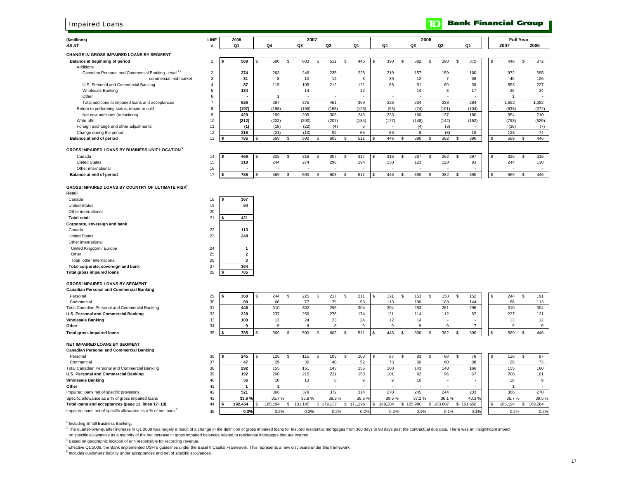### Impaired Loans

| (\$millions)                                                      | LINE           |      | 2008           |                |    | 2007           |          |                |    |       |     |                          |    |                          | 2006           |                |    |                          |             |       | <b>Full Year</b> |                          |
|-------------------------------------------------------------------|----------------|------|----------------|----------------|----|----------------|----------|----------------|----|-------|-----|--------------------------|----|--------------------------|----------------|----------------|----|--------------------------|-------------|-------|------------------|--------------------------|
| AS AT                                                             | #              |      | Q <sub>1</sub> | Q4             |    | Q <sub>3</sub> |          | Q <sub>2</sub> |    | Q1    |     | Q4                       |    | Q3                       |                | Q <sub>2</sub> |    | Q <sub>1</sub>           |             | 2007  |                  | 2006                     |
| <b>CHANGE IN GROSS IMPAIRED LOANS BY SEGMENT</b>                  |                |      |                |                |    |                |          |                |    |       |     |                          |    |                          |                |                |    |                          |             |       |                  |                          |
| Balance at beginning of period                                    | $\mathbf{1}$   | l \$ | 569            | \$<br>590      | \$ | 603            | <b>S</b> | 511            | S. | 446   | £.  | 390                      | \$ | 382                      | \$             | 390            | \$ | 372                      | \$          | 446   | S.               | 372                      |
| Additions                                                         |                |      |                |                |    |                |          |                |    |       |     |                          |    |                          |                |                |    |                          |             |       |                  |                          |
| Canadian Personal and Commercial Banking - retail <sup>1,2</sup>  | $\overline{2}$ |      | 374            | 263            |    | 246            |          | 235            |    | 228   |     | 219                      |    | 157                      |                | 159            |    | 160                      |             | 972   |                  | 695                      |
| - commercial mid-market                                           | 3              |      | 31             | 8              |    | 10             |          | 14             |    | 8     |     | 39                       |    | 12                       |                | $\overline{7}$ |    | 68                       |             | 40    |                  | 126                      |
| U.S. Personal and Commercial Banking                              | $\overline{4}$ |      | 87             | 115            |    | 105            |          | 212            |    | 121   |     | 68                       |    | 51                       |                | 69             |    | 39                       |             | 553   |                  | 227                      |
| <b>Wholesale Banking</b>                                          | 5              |      | 134            |                |    | 14             |          |                |    | 12    |     |                          |    | 14                       |                | 3              |    | 17                       |             | 26    |                  | 34                       |
| Other                                                             | 6              |      |                | $\overline{1}$ |    | . .            |          | ٠              |    |       |     |                          |    | $\overline{\phantom{a}}$ |                | ۰.             |    |                          |             | -1    |                  | . .                      |
| Total additions to impaired loans and acceptances                 | $\overline{7}$ |      | 626            | 387            |    | 375            |          | 461            |    | 369   |     | 326                      |    | 234                      |                | 238            |    | 284                      |             | 1,592 |                  | 1,082                    |
| Return to performing status, repaid or sold                       | 8              |      | (197)          | (188)          |    | (166)          |          | (158)          |    | (126) |     | (93)                     |    | (74)                     |                | (101)          |    | (104)                    |             | (638) |                  | (372)                    |
| Net new additions (reductions)                                    | 9              |      | 429            | 199            |    | 209            |          | 303            |    | 243   |     | 233                      |    | 160                      |                | 137            |    | 180                      |             | 954   |                  | 710                      |
| Write-offs                                                        | 10             |      | (212)          | (202)          |    | (200)          |          | (207)          |    | (184) |     | (177)                    |    | (148)                    |                | (142)          |    | (162)                    |             | (793) |                  | (629)                    |
| Foreign exchange and other adjustments                            | 11             |      | (1)            | (18)           |    | (22)           |          | (4)            |    | 6     |     | $\overline{\phantom{a}}$ |    | (4)                      |                | (3)            |    | $\overline{\phantom{a}}$ |             | (38)  |                  | (7)                      |
| Change during the period                                          | 12             |      | 216            | (21)           |    | (13)           |          | 92             |    | 65    |     | 56                       |    | 8                        |                | (8)            |    | 18                       |             | 123   |                  | 74                       |
| Balance at end of period                                          | 13             |      | 785            | \$<br>569      | \$ | 590            | \$       | 603            | S. | 511   | \$. | 446                      | \$ | 390                      | $\mathfrak{s}$ | 382            | \$ | 390                      | S.          | 569   | \$               | 446                      |
| <b>GROSS IMPAIRED LOANS BY BUSINESS UNIT LOCATION<sup>3</sup></b> |                |      |                |                |    |                |          |                |    |       |     |                          |    |                          |                |                |    |                          |             |       |                  |                          |
| Canada                                                            | 14             | s.   | 466            | \$<br>325      | S. | 316            | \$       | 307            | S. | 317   | s.  | 316                      | \$ | 267                      | \$             | 262            | S. | 297                      | \$          | 325   | S.               | 316                      |
| <b>United States</b>                                              | 15             |      | 319            | 244            |    | 274            |          | 296            |    | 194   |     | 130                      |    | 123                      |                | 120            |    | 93                       |             | 244   |                  | 130                      |
| Other international                                               | 16             |      |                |                |    |                |          |                |    |       |     |                          |    |                          |                | $\overline{a}$ |    |                          |             |       |                  | $\overline{\phantom{a}}$ |
| Balance at end of period                                          | 17             | l \$ | 785            | \$<br>569      | \$ | 590            | \$       | 603            | S. | 511   | £.  | 446                      | \$ | 390                      | \$             | 382            | \$ | 390                      | $\mathbb S$ | 569   | \$               | 446                      |
| <b>GROSS IMPAIRED LOANS BY COUNTRY OF ULTIMATE RISK</b>           |                |      |                |                |    |                |          |                |    |       |     |                          |    |                          |                |                |    |                          |             |       |                  |                          |
| Retail                                                            |                |      |                |                |    |                |          |                |    |       |     |                          |    |                          |                |                |    |                          |             |       |                  |                          |
| Canada                                                            | 18             | l \$ | 367            |                |    |                |          |                |    |       |     |                          |    |                          |                |                |    |                          |             |       |                  |                          |
| <b>United States</b>                                              | 19             |      | 54             |                |    |                |          |                |    |       |     |                          |    |                          |                |                |    |                          |             |       |                  |                          |
| Other international                                               | 20             |      |                |                |    |                |          |                |    |       |     |                          |    |                          |                |                |    |                          |             |       |                  |                          |
| <b>Total retail</b>                                               | 21             | \$   | 421            |                |    |                |          |                |    |       |     |                          |    |                          |                |                |    |                          |             |       |                  |                          |
| Corporate, sovereign and bank                                     |                |      |                |                |    |                |          |                |    |       |     |                          |    |                          |                |                |    |                          |             |       |                  |                          |
| Canada                                                            | 22             |      | 113            |                |    |                |          |                |    |       |     |                          |    |                          |                |                |    |                          |             |       |                  |                          |
| <b>United States</b>                                              | 23             |      | 248            |                |    |                |          |                |    |       |     |                          |    |                          |                |                |    |                          |             |       |                  |                          |
| Other international                                               |                |      |                |                |    |                |          |                |    |       |     |                          |    |                          |                |                |    |                          |             |       |                  |                          |
| United Kingdom / Europe                                           | 24             |      | $\mathbf{1}$   |                |    |                |          |                |    |       |     |                          |    |                          |                |                |    |                          |             |       |                  |                          |
| Other                                                             | 25             |      | $\overline{2}$ |                |    |                |          |                |    |       |     |                          |    |                          |                |                |    |                          |             |       |                  |                          |
| Total other international                                         | 26             |      | $\mathbf{3}$   |                |    |                |          |                |    |       |     |                          |    |                          |                |                |    |                          |             |       |                  |                          |
| Total corporate, sovereign and bank                               | 27             |      | 364            |                |    |                |          |                |    |       |     |                          |    |                          |                |                |    |                          |             |       |                  |                          |
| <b>Total gross impaired loans</b>                                 | 28             | l \$ | 785            |                |    |                |          |                |    |       |     |                          |    |                          |                |                |    |                          |             |       |                  |                          |
| <b>GROSS IMPAIRED LOANS BY SEGMENT</b>                            |                |      |                |                |    |                |          |                |    |       |     |                          |    |                          |                |                |    |                          |             |       |                  |                          |
| <b>Canadian Personal and Commercial Banking</b>                   |                |      |                |                |    |                |          |                |    |       |     |                          |    |                          |                |                |    |                          |             |       |                  |                          |
| Personal                                                          | 29             | - \$ | 368            | \$<br>244      | \$ | 225            | \$       | 217            | \$ | 211   | \$  | 191                      | S. | 153                      | \$             | 158            | \$ | 152                      | S           | 244   | $\mathbf{s}$     | 191                      |
| Commercial                                                        | 30             |      | 80             | 66             |    | 77             |          | 79             |    | 93    |     | 113                      |    | 100                      |                | 103            |    | 144                      |             | 66    |                  | 113                      |
| Total Canadian Personal and Commercial Banking                    | 31             |      | 448            | 310            |    | 302            |          | 296            |    | 304   |     | 304                      |    | 253                      |                | 261            |    | 296                      |             | 310   |                  | 304                      |

| Commercial                                     | ഄഄ |     | ьc  |            |     |          |     |                |              |     | юb  | . . |
|------------------------------------------------|----|-----|-----|------------|-----|----------|-----|----------------|--------------|-----|-----|-----|
| Total Canadian Personal and Commercial Banking | 31 | 448 | 310 | 302        | 296 | 304      | 304 | د ت            | $\sim$<br>∠∪ | 296 | 310 | 304 |
| U.S. Personal and Commercial Banking           | 32 | 228 | 237 | 256<br>zuu | 276 | 174      | 121 | $\overline{A}$ |              |     | 237 | 121 |
| <b>Wholesale Banking</b>                       | აა | 100 |     |            |     | 24<br>∠∸ |     |                |              |     |     | 12  |
| Other                                          | 34 |     |     |            |     |          |     |                |              |     |     |     |
| Total gross impaired loans                     | 35 | 785 | 569 |            | 603 | 51'      | 446 | 390            |              | 390 | 569 | 446 |

#### **NET IMPAIRED LOANS BY SEGMENT**

| <b>Canadian Personal and Commercial Banking</b>                           |                       |         |         |         |         |         |            |         |         |           |       |         |         |
|---------------------------------------------------------------------------|-----------------------|---------|---------|---------|---------|---------|------------|---------|---------|-----------|-------|---------|---------|
| Personal                                                                  | 36                    | 245     | 126     | 115     | 103     | 103     | 87         |         |         |           | 78    | 126     | 87      |
| Commercial                                                                | 37                    |         | 29      | 36      | 40      | 52      | $\sqrt{3}$ | 60      |         |           | 88    |         | 73      |
| Total Canadian Personal and Commercial Banking                            | 38                    | 292     | 155     | 151     | 143     | 155     | 160        | 143     | 148     |           | 166   | 155     | 160     |
| U.S. Personal and Commercial Banking                                      | 39                    | 192     | 200     | 215     | 221     | 150     | 101        | 92      |         |           | 67    | 200     | 101     |
| <b>Wholesale Banking</b>                                                  | 40                    | 36      | 10      | د١      |         |         |            |         |         |           |       | 10      |         |
| Other                                                                     | $\mathbf{4}^{\prime}$ |         |         |         |         |         |            |         |         |           |       |         |         |
| Impaired loans net of specific provisions                                 | 42                    | 521     | 366     | 379     | 372     | 314     | 270        | 245     | 244     |           | 233   | 366     | 270     |
| Specific allowance as a % of gross impaired loans                         | 43                    | 33.6%   | 35.7%   | 35.8%   | 38.3%   | 38.6%   | 39.5%      | 37.2%   | 36.1%   |           | 40.3% | 35.7%   | 39.5%   |
| Total loans and acceptances (page 13, lines 17+18)                        | 44                    | 192.464 | 185.194 | 181.145 | 179.137 | 171.296 | 169.284    | 165.990 | 163.607 | \$161,658 |       | 185.194 | 169,284 |
| Impaired loans net of specific allowance as a % of net loans <sup>5</sup> | 45                    | 0.3%    | 0.2%    | 0.2%    | 0.2%    | 0.2%    | 0.2%       | 0.1%    | 0.1%    |           | 0.1%  | 0.2%    | 0.2%    |

<sup>1</sup> Including Small Business Banking.

<sup>2</sup> The quarter-over-quarter increase in Q1 2008 was largely a result of a change in the definition of gross impaired loans for insured residential mortgages from 360 days to 90 days past the contractual due date. There wa

on specific allowances as a majority of the net increase in gross impaired balances related to residential mortgages that are insured.

<sup>3</sup> Based on geographic location of unit responsible for recording revenue.

4 Effective Q1 2008, the Bank implemented OSFI's guidelines under the Basel II Capital Framework. This represents a new disclosure under this framework.

 $5$  Includes customers' liability under acceptances and net of specific allowances.

**Bank Financial Group** 

 $\overline{\mathbf{D}}$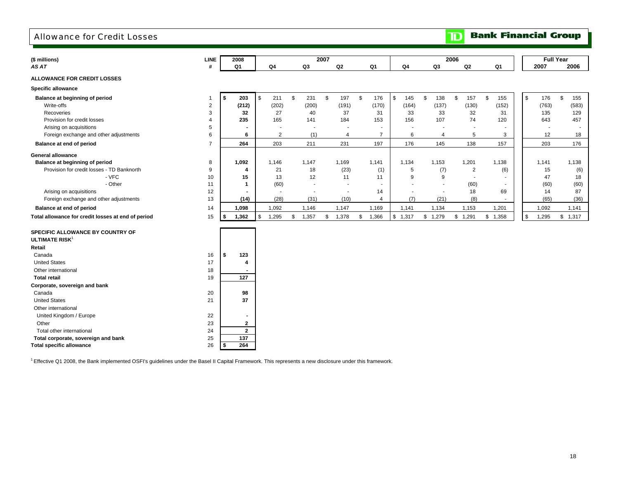### Allowance for Credit Losses

**TD** Bank Financial Group

|                                                    |                         |      |                         |              |                          |                |                |                |                          |              |                |                |       |                     |                       |                |                | <b>Full Year</b> |                          |
|----------------------------------------------------|-------------------------|------|-------------------------|--------------|--------------------------|----------------|----------------|----------------|--------------------------|--------------|----------------|----------------|-------|---------------------|-----------------------|----------------|----------------|------------------|--------------------------|
| (\$ millions)<br>AS AT                             | <b>LINE</b><br>#        |      | 2008<br>Q <sub>1</sub>  |              | Q <sub>4</sub>           |                | Q3             | 2007           | Q2                       |              | Q <sub>1</sub> | Q <sub>4</sub> |       | Q3                  | 2006<br>Q2            | Q1             |                | 2007             | 2006                     |
|                                                    |                         |      |                         |              |                          |                |                |                |                          |              |                |                |       |                     |                       |                |                |                  |                          |
| <b>ALLOWANCE FOR CREDIT LOSSES</b>                 |                         |      |                         |              |                          |                |                |                |                          |              |                |                |       |                     |                       |                |                |                  |                          |
| <b>Specific allowance</b>                          |                         |      |                         |              |                          |                |                |                |                          |              |                |                |       |                     |                       |                |                |                  |                          |
| Balance at beginning of period                     | $\overline{1}$          | -\$  | 203                     | $\mathbb{S}$ | 211                      | $\mathfrak{s}$ | 231            | $\mathfrak{s}$ | 197                      | $\mathbf{s}$ | 176            | \$             | 145   | $\mathbb{S}$<br>138 | $\mathfrak{s}$<br>157 | \$<br>155      | $\mathfrak{s}$ | 176              | \$<br>155                |
| Write-offs                                         | $\overline{\mathbf{c}}$ |      | (212)                   |              | (202)                    |                | (200)          |                | (191)                    |              | (170)          |                | (164) | (137)               | (130)                 | (152)          |                | (763)            | (583)                    |
| Recoveries                                         | 3                       |      | 32                      |              | 27                       |                | 40             |                | 37                       |              | 31             |                | 33    | 33                  | 32                    | 31             |                | 135              | 129                      |
| Provision for credit losses                        | 4                       |      | 235                     |              | 165                      |                | 141            |                | 184                      |              | 153            |                | 156   | 107                 | 74                    | 120            |                | 643              | 457                      |
| Arising on acquisitions                            | 5                       |      |                         |              |                          |                | $\blacksquare$ |                | $\blacksquare$           |              | ٠              |                |       |                     |                       |                |                |                  | $\overline{\phantom{a}}$ |
| Foreign exchange and other adjustments             | 6                       |      | 6                       |              | $\overline{2}$           |                | (1)            |                | $\overline{4}$           |              | $\overline{7}$ |                | 6     | $\overline{4}$      | 5                     | 3              |                | 12               | 18                       |
| Balance at end of period                           | $\overline{7}$          |      | 264                     |              | 203                      |                | 211            |                | 231                      |              | 197            |                | 176   | 145                 | 138                   | 157            |                | 203              | 176                      |
| <b>General allowance</b>                           |                         |      |                         |              |                          |                |                |                |                          |              |                |                |       |                     |                       |                |                |                  |                          |
| Balance at beginning of period                     | 8                       |      | 1,092                   |              | 1,146                    |                | 1,147          |                | 1,169                    |              | 1,141          | 1,134          |       | 1,153               | 1,201                 | 1,138          |                | 1,141            | 1,138                    |
| Provision for credit losses - TD Banknorth         | 9                       |      | $\overline{\mathbf{4}}$ |              | 21                       |                | 18             |                | (23)                     |              | (1)            |                | 5     | (7)                 | $\overline{c}$        | (6)            |                | 15               | (6)                      |
| - VFC                                              | 10                      |      | 15                      |              | 13                       |                | 12             |                | 11                       |              | 11             |                | 9     | 9                   | $\sim$                |                |                | 47               | 18                       |
| - Other                                            | 11                      |      | -1                      |              | (60)                     |                | $\blacksquare$ |                | $\overline{\phantom{a}}$ |              | $\sim$         |                |       |                     | (60)                  | $\blacksquare$ |                | (60)             | (60)                     |
| Arising on acquisitions                            | 12                      |      |                         |              | $\overline{\phantom{a}}$ |                | $\blacksquare$ |                | $\blacksquare$           |              | 14             |                |       | $\blacksquare$      | 18                    | 69             |                | 14               | 87                       |
| Foreign exchange and other adjustments             | 13                      |      | (14)                    |              | (28)                     |                | (31)           |                | (10)                     |              | $\overline{4}$ |                | (7)   | (21)                | (8)                   |                |                | (65)             | (36)                     |
| Balance at end of period                           | 14                      |      | 1,098                   |              | 1,092                    |                | 1,146          |                | 1,147                    |              | 1,169          | 1,141          |       | 1,134               | 1,153                 | 1,201          |                | 1,092            | 1,141                    |
| Total allowance for credit losses at end of period | 15                      | - 5  | 1,362                   | \$           | 1,295                    | \$             | 1,357          | \$             | 1,378                    | \$           | 1,366          | \$1,317        |       | \$1,279             | \$1,291               | \$1,358        | $\mathfrak{s}$ | 1,295            | \$1,317                  |
| SPECIFIC ALLOWANCE BY COUNTRY OF                   |                         |      |                         |              |                          |                |                |                |                          |              |                |                |       |                     |                       |                |                |                  |                          |
| ULTIMATE RISK <sup>1</sup>                         |                         |      |                         |              |                          |                |                |                |                          |              |                |                |       |                     |                       |                |                |                  |                          |
| Retail                                             |                         |      |                         |              |                          |                |                |                |                          |              |                |                |       |                     |                       |                |                |                  |                          |
| Canada                                             | 16                      | - \$ | 123                     |              |                          |                |                |                |                          |              |                |                |       |                     |                       |                |                |                  |                          |
| <b>United States</b>                               | 17                      |      | 4                       |              |                          |                |                |                |                          |              |                |                |       |                     |                       |                |                |                  |                          |
| Other international                                | 18                      |      |                         |              |                          |                |                |                |                          |              |                |                |       |                     |                       |                |                |                  |                          |
| <b>Total retail</b>                                | 19                      |      | 127                     |              |                          |                |                |                |                          |              |                |                |       |                     |                       |                |                |                  |                          |
| Corporate, sovereign and bank                      |                         |      |                         |              |                          |                |                |                |                          |              |                |                |       |                     |                       |                |                |                  |                          |
| Canada                                             | 20                      |      | 98                      |              |                          |                |                |                |                          |              |                |                |       |                     |                       |                |                |                  |                          |
| <b>United States</b>                               | 21                      |      | 37                      |              |                          |                |                |                |                          |              |                |                |       |                     |                       |                |                |                  |                          |
| Other international                                |                         |      |                         |              |                          |                |                |                |                          |              |                |                |       |                     |                       |                |                |                  |                          |
| United Kingdom / Europe                            | 22                      |      |                         |              |                          |                |                |                |                          |              |                |                |       |                     |                       |                |                |                  |                          |
| Other                                              | 23                      |      | $\overline{2}$          |              |                          |                |                |                |                          |              |                |                |       |                     |                       |                |                |                  |                          |
| Total other international                          | 24                      |      | $\overline{2}$          |              |                          |                |                |                |                          |              |                |                |       |                     |                       |                |                |                  |                          |
| Total corporate, sovereign and bank                | 25                      |      | 137                     |              |                          |                |                |                |                          |              |                |                |       |                     |                       |                |                |                  |                          |

<sup>1</sup> Effective Q1 2008, the Bank implemented OSFI's guidelines under the Basel II Capital Framework. This represents a new disclosure under this framework.

**Total specific allowance** 26 **\$ 264**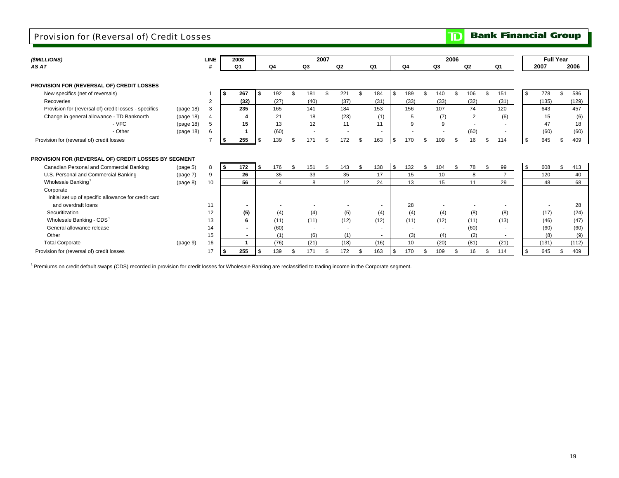### Provision for (Reversal of) Credit Losses

|  | <b>TD</b> Bank Financial Group |
|--|--------------------------------|
|  |                                |
|  |                                |

| (\$MILLIONS)                                          |                      | <b>LINE</b>    | 2008 |      |             |     |           | 2007 |                          |     |                          |     |      |    |      | 2006 |                |                          |    |       | <b>Full Year</b> |       |
|-------------------------------------------------------|----------------------|----------------|------|------|-------------|-----|-----------|------|--------------------------|-----|--------------------------|-----|------|----|------|------|----------------|--------------------------|----|-------|------------------|-------|
| AS AT                                                 |                      |                | O1   |      | Q4          |     | Q3        |      | Q2                       |     | Q1                       |     | Q4   |    | Q3   |      | Q <sub>2</sub> | Q1                       |    | 2007  | 2006             |       |
|                                                       |                      |                |      |      |             |     |           |      |                          |     |                          |     |      |    |      |      |                |                          |    |       |                  |       |
| PROVISION FOR (REVERSAL OF) CREDIT LOSSES             |                      |                |      |      |             |     |           |      |                          |     |                          |     |      |    |      |      |                |                          |    |       |                  |       |
| New specifics (net of reversals)                      |                      |                | \$   | 267  | 192<br>- \$ |     | \$<br>181 | ٩.   | 221                      | ę.  | 184                      | -\$ | 189  |    | 140  | \$   | 106            | \$<br>151                | \$ | 778   | \$.              | 586   |
| Recoveries                                            |                      | 2              |      | (32) | (27)        |     | (40)      |      | (37)                     |     | (31)                     |     | (33) |    | (33) |      | (32)           | (31)                     |    | (135) |                  | (129) |
| Provision for (reversal of) credit losses - specifics | (page 18)            | 3              |      | 235  | 165         |     | 141       |      | 184                      |     | 153                      |     | 156  |    | 107  |      | 74             | 120                      |    | 643   |                  | 457   |
| Change in general allowance - TD Banknorth            | (page 18)            | $\overline{4}$ |      |      | 21          |     | 18        |      | (23)                     |     | (1)                      |     | 5    |    | (7)  |      | $\overline{2}$ | (6)                      |    | 15    |                  | (6)   |
| - VFC                                                 | (page 18)            | 5              |      | 15   | 13          |     | 12        |      | 11                       |     | 11                       |     | 9    |    | 9    |      | $\overline{a}$ |                          |    | 47    |                  | 18    |
| - Other                                               | (page 18)            | 6              |      |      | (60)        |     |           |      |                          |     |                          |     |      |    |      |      | (60)           | $\overline{\phantom{a}}$ |    | (60)  |                  | (60)  |
| Provision for (reversal of) credit losses             |                      | 7              |      | 255  | 139         |     | \$<br>171 |      | 172                      |     | 163                      | \$  | 170  | £. | 109  | \$   | 16             | \$<br>114                | \$ | 645   | \$               | 409   |
|                                                       |                      |                |      |      |             |     |           |      |                          |     |                          |     |      |    |      |      |                |                          |    |       |                  |       |
| PROVISION FOR (REVERSAL OF) CREDIT LOSSES BY SEGMENT  |                      |                |      |      |             |     |           |      |                          |     |                          |     |      |    |      |      |                |                          |    |       |                  |       |
| Canadian Personal and Commercial Banking              | (page <sub>5</sub> ) | 8              | \$   | 172  | 176<br>- \$ |     | \$<br>151 | \$   | 143                      | \$. | 138                      | \$  | 132  | \$ | 104  | \$   | 78             | \$<br>99                 | \$ | 608   | \$               | 413   |
| U.S. Personal and Commercial Banking                  | (page 7)             | 9              |      | 26   |             | 35  | 33        |      | 35                       |     | 17                       |     | 15   |    | 10   |      | 8              | $\overline{ }$           |    | 120   |                  | 40    |
| Wholesale Banking <sup>1</sup>                        | (page 8)             | 10             |      | 56   |             | 4   | 8         |      | 12                       |     | 24                       |     | 13   |    | 15   |      | 11             | 29                       |    | 48    |                  | 68    |
| Corporate                                             |                      |                |      |      |             |     |           |      |                          |     |                          |     |      |    |      |      |                |                          |    |       |                  |       |
| Initial set up of specific allowance for credit card  |                      |                |      |      |             |     |           |      |                          |     |                          |     |      |    |      |      |                |                          |    |       |                  |       |
| and overdraft loans                                   |                      | 11             |      |      |             |     |           |      |                          |     | $\overline{\phantom{a}}$ |     | 28   |    |      |      |                |                          |    |       |                  | 28    |
| Securitization                                        |                      | 12             |      | (5)  |             | (4) | (4)       |      | (5)                      |     | (4)                      |     | (4)  |    | (4)  |      | (8)            | (8)                      |    | (17)  |                  | (24)  |
| Wholesale Banking - CDS <sup>1</sup>                  |                      | 13             |      | 6    | (11)        |     | (11)      |      | (12)                     |     | (12)                     |     | (11) |    | (12) |      | (11)           | (13)                     |    | (46)  |                  | (47)  |
| General allowance release                             |                      | 14             |      |      | (60)        |     |           |      | $\overline{\phantom{a}}$ |     |                          |     |      |    |      |      | (60)           |                          |    | (60)  |                  | (60)  |
| Other                                                 |                      | 15             |      |      |             | (1) | (6)       |      | (1)                      |     |                          |     | (3)  |    | (4)  |      | (2)            |                          |    | (8)   |                  | (9)   |
| <b>Total Corporate</b>                                | (page 9)             | 16             |      |      | (76)        |     | (21)      |      | (18)                     |     | (16)                     |     | 10   |    | (20) |      | (81)           | (21)                     |    | (131) |                  | (112) |
| Provision for (reversal of) credit losses             |                      | 17             |      | 255  | 139         |     | \$<br>171 |      | 172                      | \$. | 163                      | \$  | 170  |    | 109  | \$   | 16             | \$<br>114                | \$ | 645   | \$               | 409   |

<sup>1</sup> Premiums on credit default swaps (CDS) recorded in provision for credit losses for Wholesale Banking are reclassified to trading income in the Corporate segment.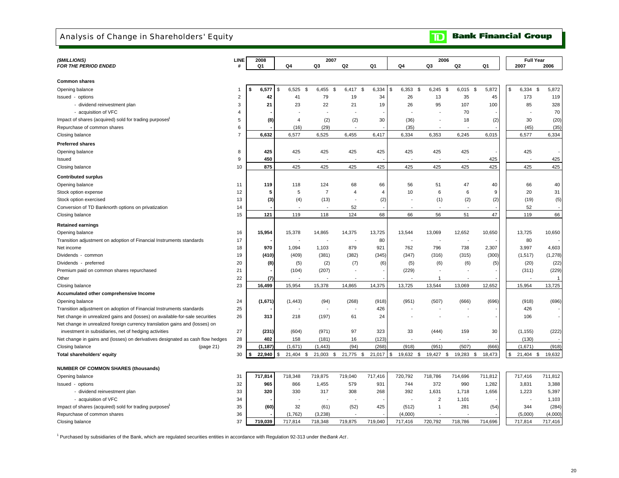### Analysis of Change in Shareholders' Equity

**Bank Financial Group**  $\mathbf{D}$ 

|                                                                                |                | 2008         |                     | 2007                     |                          |         |                          | 2006              |           |               | <b>Full Year</b>  |                |
|--------------------------------------------------------------------------------|----------------|--------------|---------------------|--------------------------|--------------------------|---------|--------------------------|-------------------|-----------|---------------|-------------------|----------------|
| (\$MILLIONS)<br><b>FOR THE PERIOD ENDED</b>                                    | LINE<br>#      | Q1           | Q4                  | Q3                       | Q2                       | Q1      | Q4                       | Q3                | Q2        | Q1            | 2007              | 2006           |
|                                                                                |                |              |                     |                          |                          |         |                          |                   |           |               |                   |                |
| <b>Common shares</b>                                                           |                |              |                     |                          |                          |         |                          |                   |           |               |                   |                |
| Opening balance                                                                | $\mathbf{1}$   | 6,577<br>\$  | 6,525<br>\$<br>ا \$ | 6,455<br>\$              | 6,417<br>\$              | 6,334   | \$<br>6,353              | \$<br>6,245<br>\$ | 6,015     | 5,872<br>- \$ | \$<br>6,334       | \$<br>5,872    |
| Issued - options                                                               | $\overline{2}$ | 42           | 41                  | 79                       | 19                       | 34      | 26                       | 13                | 35        | 45            | 173               | 119            |
| - dividend reinvestment plan                                                   | 3              | 21           | 23                  | 22                       | 21                       | 19      | 26                       | 95                | 107       | 100           | 85                | 328            |
| - acquisition of VFC                                                           | $\overline{4}$ |              |                     | $\overline{\phantom{a}}$ | $\overline{\phantom{a}}$ |         |                          |                   | 70        |               |                   | 70             |
| Impact of shares (acquired) sold for trading purposes <sup>1</sup>             | 5              | (8)          | $\overline{4}$      | (2)                      | (2)                      | 30      | (36)                     | $\overline{a}$    | 18        | (2)           | 30                | (20)           |
| Repurchase of common shares                                                    | 6              |              | (16)                | (29)                     |                          |         | (35)                     |                   |           |               | (45)              | (35)           |
| Closing balance                                                                | $\overline{7}$ | 6,632        | 6,577               | 6,525                    | 6,455                    | 6,417   | 6,334                    | 6,353             | 6.245     | 6,015         | 6.577             | 6,334          |
| <b>Preferred shares</b>                                                        |                |              |                     |                          |                          |         |                          |                   |           |               |                   |                |
| Opening balance                                                                | 8              | 425          | 425                 | 425                      | 425                      | 425     | 425                      | 425               | 425       |               | 425               |                |
| Issued                                                                         | 9              | 450          |                     |                          |                          |         |                          |                   |           | 425           |                   | 425            |
| Closing balance                                                                | 10             | 875          | 425                 | 425                      | 425                      | 425     | 425                      | 425               | 425       | 425           | 425               | 425            |
|                                                                                |                |              |                     |                          |                          |         |                          |                   |           |               |                   |                |
| <b>Contributed surplus</b>                                                     |                |              |                     |                          |                          |         |                          |                   |           |               |                   |                |
| Opening balance                                                                | 11             | 119          | 118                 | 124                      | 68                       | 66      | 56                       | 51                | 47        | 40            | 66                | 40             |
| Stock option expense                                                           | 12             | 5            | 5                   | $\overline{7}$           | $\overline{4}$           | 4       | 10                       | 6                 | 6         | 9             | 20                | 31             |
| Stock option exercised                                                         | 13             | (3)          | (4)                 | (13)                     | ÷                        | (2)     | $\overline{\phantom{a}}$ | (1)               | (2)       | (2)           | (19)              | (5)            |
| Conversion of TD Banknorth options on privatization                            | 14             |              |                     |                          | 52                       |         |                          |                   |           |               | 52                |                |
| Closing balance                                                                | 15             | 121          | 119                 | 118                      | 124                      | 68      | 66                       | 56                | 51        | 47            | 119               | 66             |
| <b>Retained earnings</b>                                                       |                |              |                     |                          |                          |         |                          |                   |           |               |                   |                |
| Opening balance                                                                | 16             | 15,954       | 15,378              | 14,865                   | 14,375                   | 13,725  | 13,544                   | 13,069            | 12,652    | 10,650        | 13,725            | 10,650         |
| Transition adjustment on adoption of Financial Instruments standards           | 17             |              |                     |                          |                          | 80      | $\overline{\phantom{a}}$ | J.                |           |               | 80                |                |
| Net income                                                                     | 18             | 970          | 1,094               | 1,103                    | 879                      | 921     | 762                      | 796               | 738       | 2,307         | 3,997             | 4,603          |
| Dividends - common                                                             | 19             | (410)        | (409)               | (381)                    | (382)                    | (345)   | (347)                    | (316)             | (315)     | (300)         | (1, 517)          | (1, 278)       |
| Dividends - preferred                                                          | 20             | (8)          | (5)                 | (2)                      | (7)                      | (6)     | (5)                      | (6)               | (6)       | (5)           | (20)              | (22)           |
| Premium paid on common shares repurchased                                      | 21             |              | (104)               | (207)                    | ٠                        |         | (229)                    |                   |           |               | (311)             | (229)          |
| Other                                                                          | 22             | (7)          |                     |                          |                          |         |                          | $\overline{1}$    |           |               |                   | $\overline{1}$ |
| Closing balance                                                                | 23             | 16,499       | 15,954              | 15,378                   | 14,865                   | 14,375  | 13,725                   | 13,544            | 13,069    | 12,652        | 15,954            | 13,725         |
| Accumulated other comprehensive Income                                         |                |              |                     |                          |                          |         |                          |                   |           |               |                   |                |
| Opening balance                                                                | 24             | (1,671)      | (1, 443)            | (94)                     | (268)                    | (918)   | (951)                    | (507)             | (666)     | (696)         | (918)             | (696)          |
| Transition adjustment on adoption of Financial Instruments standards           | 25             |              |                     |                          | ٠                        | 426     | $\overline{\phantom{a}}$ |                   |           |               | 426               |                |
| Net change in unrealized gains and (losses) on available-for-sale securities   | 26             | 313          | 218                 | (197)                    | 61                       | 24      |                          |                   |           |               | 106               |                |
| Net change in unrealized foreign currency translation gains and (losses) on    |                |              |                     |                          |                          |         |                          |                   |           |               |                   |                |
| investment in subsidiaries, net of hedging activities                          | 27             | (231)        | (604)               | (971)                    | 97                       | 323     | 33                       | (444)             | 159       | 30            | (1, 155)          | (222)          |
| Net change in gains and (losses) on derivatives designated as cash flow hedges | 28             | 402          | 158                 | (181)                    | 16                       | (123)   | $\overline{a}$           | $\overline{a}$    |           |               | (130)             |                |
| Closing balance<br>(page 21)                                                   | 29             | (1, 187)     | (1,671)             | (1, 443)                 | (94)                     | (268)   | (918)                    | (951)             | (507)     | (666)         | (1,671)           | (918)          |
| Total shareholders' equity                                                     | 30             | 22,940<br>\$ | $21,404$ \$         | 21,003 \$                | 21,775 \$                | 21,017  | \$<br>19,632 \$          | 19,427 \$         | 19,283 \$ | 18,473        | \$<br>$21,404$ \$ | 19,632         |
|                                                                                |                |              |                     |                          |                          |         |                          |                   |           |               |                   |                |
| <b>NUMBER OF COMMON SHARES (thousands)</b>                                     |                |              |                     |                          |                          |         |                          |                   |           |               |                   |                |
| Opening balance                                                                | 31             | 717,814      | 718,348             | 719,875                  | 719,040                  | 717,416 | 720,792                  | 718,786           | 714,696   | 711,812       | 717,416           | 711,812        |
| Issued - options                                                               | 32             | 965          | 866                 | 1,455                    | 579                      | 931     | 744                      | 372               | 990       | 1,282         | 3,831             | 3,388          |
| - dividend reinvestment plan                                                   | 33             | 320          | 330                 | 317                      | 308                      | 268     | 392                      | 1,631             | 1,718     | 1,656         | 1,223             | 5,397          |
| - acquisition of VFC                                                           | 34             |              |                     |                          |                          |         |                          | $\overline{2}$    | 1,101     |               |                   | 1,103          |
| Impact of shares (acquired) sold for trading purposes <sup>1</sup>             | 35             | (60)         | 32                  | (61)                     | (52)                     | 425     | (512)                    | $\mathbf{1}$      | 281       | (54)          | 344               | (284)          |
| Repurchase of common shares                                                    | 36             |              | (1,762)             | (3,238)                  |                          |         | (4,000)                  |                   |           |               | (5,000)           | (4,000)        |
| Closing balance                                                                | 37             | 719,039      | 717.814             | 718,348                  | 719.875                  | 719.040 | 717.416                  | 720.792           | 718.786   | 714.696       | 717.814           | 717,416        |

1 Purchased by subsidiaries of the Bank, which are regulated securities entities in accordance with Regulation 92-313 under the *Bank Act* .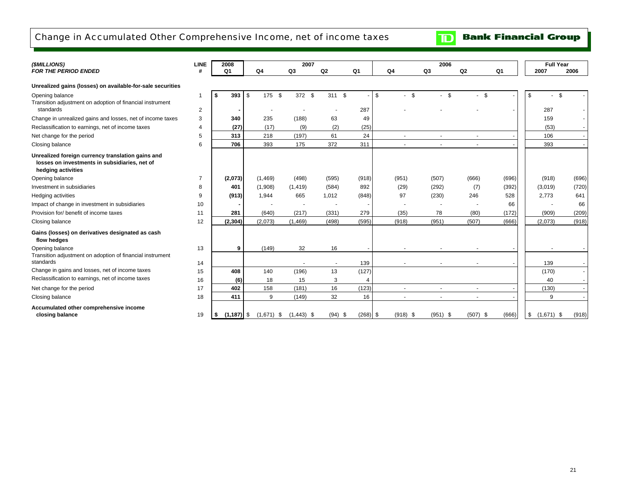### Change in Accumulated Other Comprehensive Income, net of income taxes

**TD** Bank Financial Group

| (\$MILLIONS)                                                                                                             | <b>LINE</b>  | 2008           |              | 2007                         |                          |                |                | 2006                           |            |       | <b>Full Year</b>   |       |
|--------------------------------------------------------------------------------------------------------------------------|--------------|----------------|--------------|------------------------------|--------------------------|----------------|----------------|--------------------------------|------------|-------|--------------------|-------|
| <b>FOR THE PERIOD ENDED</b>                                                                                              |              | Q <sub>1</sub> | Q4           | Q3                           | Q2                       | Q <sub>1</sub> | Q4             | Q3                             | Q2         | Q1    | 2007               | 2006  |
| Unrealized gains (losses) on available-for-sale securities                                                               |              |                |              |                              |                          |                |                |                                |            |       |                    |       |
| Opening balance<br>Transition adjustment on adoption of financial instrument                                             | $\mathbf{1}$ | 393<br>\$      | \$<br>175    | $\mathbf{\hat{s}}$<br>372 \$ | 311 \$                   |                | - \$<br>- \$   | \$<br>$\overline{\phantom{0}}$ | - \$       |       | \$                 | \$    |
| standards                                                                                                                | 2            |                |              |                              |                          | 287            |                |                                |            |       | 287                |       |
| Change in unrealized gains and losses, net of income taxes                                                               | 3            | 340            | 235          | (188)                        | 63                       | 49             |                |                                |            |       | 159                |       |
| Reclassification to earnings, net of income taxes                                                                        | 4            | (27)           | (17)         | (9)                          | (2)                      | (25)           |                |                                |            |       | (53)               |       |
| Net change for the period                                                                                                | 5            | 313            | 218          | (197)                        | 61                       | 24             |                |                                |            |       | 106                |       |
| Closing balance                                                                                                          | 6            | 706            | 393          | 175                          | 372                      | 311            | $\overline{a}$ | $\sim$                         |            |       | 393                |       |
| Unrealized foreign currency translation gains and<br>losses on investments in subsidiaries, net of<br>hedging activities |              |                |              |                              |                          |                |                |                                |            |       |                    |       |
| Opening balance                                                                                                          |              | (2,073)        | (1,469)      | (498)                        | (595)                    | (918)          | (951)          | (507)                          | (666)      | (696) | (918)              | (696) |
| Investment in subsidiaries                                                                                               | 8            | 401            | (1,908)      | (1, 419)                     | (584)                    | 892            | (29)           | (292)                          | (7)        | (392) | (3,019)            | (720) |
| Hedging activities                                                                                                       | 9            | (913)          | 1,944        | 665                          | 1,012                    | (848)          | 97             | (230)                          | 246        | 528   | 2,773              | 641   |
| Impact of change in investment in subsidiaries                                                                           | 10           |                |              |                              |                          |                |                |                                |            | 66    |                    | 66    |
| Provision for/ benefit of income taxes                                                                                   | 11           | 281            | (640)        | (217)                        | (331)                    | 279            | (35)           | 78                             | (80)       | (172) | (909)              | (209) |
| Closing balance                                                                                                          | 12           | (2, 304)       | (2,073)      | (1, 469)                     | (498)                    | (595)          | (918)          | (951)                          | (507)      | (666) | (2,073)            | (918) |
| Gains (losses) on derivatives designated as cash<br>flow hedges                                                          |              |                |              |                              |                          |                |                |                                |            |       |                    |       |
| Opening balance                                                                                                          | 13           | 9              | (149)        | 32                           | 16                       |                |                |                                |            |       |                    |       |
| Transition adjustment on adoption of financial instrument<br>standards                                                   | 14           |                |              |                              | $\overline{\phantom{a}}$ | 139            |                |                                |            |       | 139                |       |
| Change in gains and losses, net of income taxes                                                                          | 15           | 408            | 140          | (196)                        | 13                       | (127)          |                |                                |            |       | (170)              |       |
| Reclassification to earnings, net of income taxes                                                                        | 16           | (6)            | 18           | 15                           | 3                        |                |                |                                |            |       | 40                 |       |
| Net change for the period                                                                                                | 17           | 402            | 158          | (181)                        | 16                       | (123)          |                | $\overline{\phantom{a}}$       |            |       | (130)              |       |
| Closing balance                                                                                                          | 18           | 411            | 9            | (149)                        | 32                       | 16             |                |                                |            |       | 9                  |       |
| Accumulated other comprehensive income<br>closing balance                                                                | 19           | $(1, 187)$ \$  | $(1,671)$ \$ | $(1,443)$ \$                 | $(94)$ \$                | $(268)$ \$     | $(918)$ \$     | $(951)$ \$                     | $(507)$ \$ | (666) | \$<br>$(1,671)$ \$ | (918) |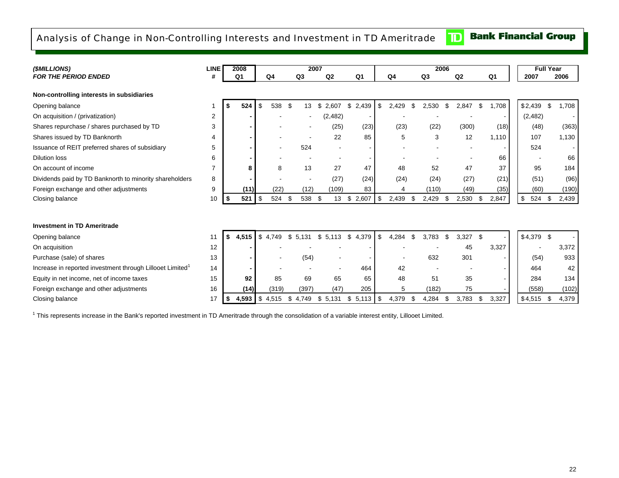### Analysis of Change in Non-Controlling Interests and Investment in TD Ameritrade

### **Bank Financial Group**  $\mathbf{D}$

| ( <i>SMILLIONS</i> )                                                  | <b>LINE</b>    | 2008              |           |                |                | 2007  |                |                |            |       |    | 2006           |    |       |                          | <b>Full Year</b> |       |
|-----------------------------------------------------------------------|----------------|-------------------|-----------|----------------|----------------|-------|----------------|----------------|------------|-------|----|----------------|----|-------|--------------------------|------------------|-------|
| <b>FOR THE PERIOD ENDED</b>                                           | #              | Q <sub>1</sub>    |           | Q <sub>4</sub> | Q <sub>3</sub> |       | Q <sub>2</sub> | Q <sub>1</sub> |            | Q4    |    | Q <sub>3</sub> |    | Q2    | Q <sub>1</sub>           | 2007             | 2006  |
| Non-controlling interests in subsidiaries                             |                |                   |           |                |                |       |                |                |            |       |    |                |    |       |                          |                  |       |
| Opening balance                                                       |                | \$<br>524         | -\$       | 538            | - \$           | 13    | \$<br>2,607    | \$2,439        | \$         | 2,429 | \$ | 2,530          | \$ | 2,847 | \$<br>1,708              | \$2,439<br>-\$   | 1,708 |
| On acquisition / (privatization)                                      | 2              |                   |           |                |                |       | (2, 482)       |                |            |       |    |                |    |       | $\overline{\phantom{a}}$ | (2,482)          |       |
| Shares repurchase / shares purchased by TD                            | 3              |                   |           |                |                |       | (25)           | (23)           |            | (23)  |    | (22)           |    | (300) | (18)                     | (48)             | (363) |
| Shares issued by TD Banknorth                                         | 4              |                   |           |                |                |       | 22             | 85             |            | 5     |    | 3              |    | 12    | 1,110                    | 107              | 1,130 |
| Issuance of REIT preferred shares of subsidiary                       | 5              |                   |           |                |                | 524   | $\blacksquare$ |                |            |       |    |                |    |       | $\overline{\phantom{a}}$ | 524              |       |
| <b>Dilution loss</b>                                                  | 6              |                   |           |                |                |       |                |                |            |       |    |                |    |       | 66                       |                  | 66    |
| On account of income                                                  | $\overline{7}$ | 8                 |           | 8              |                | 13    | 27             | 47             |            | 48    |    | 52             |    | 47    | 37                       | 95               | 184   |
| Dividends paid by TD Banknorth to minority shareholders               | 8              |                   |           |                |                |       | (27)           | (24)           |            | (24)  |    | (24)           |    | (27)  | (21)                     | (51)             | (96)  |
| Foreign exchange and other adjustments                                | 9              | (11)              |           | (22)           |                | (12)  | (109)          | 83             |            | 4     |    | (110)          |    | (49)  | (35)                     | (60)             | (190) |
| Closing balance                                                       | 10             | \$<br>521         | -\$       | 524            | \$             | 538   | - \$<br>13     | \$<br>2,607    | $\sqrt{3}$ | 2,439 | £. | 2,429          | ٩. | 2,530 | \$<br>2,847              | \$<br>524 \$     | 2,439 |
|                                                                       |                |                   |           |                |                |       |                |                |            |       |    |                |    |       |                          |                  |       |
| <b>Investment in TD Ameritrade</b>                                    |                |                   |           |                |                |       |                |                |            |       |    |                |    |       |                          |                  |       |
| Opening balance                                                       | 11             | $$4,515$ $$4,749$ |           |                | \$5,131        |       | \$5,113        | \$4,379        | \$         | 4,284 | \$ | 3.783          | \$ | 3,327 | \$                       | $$4,379$ \$      |       |
| On acquisition                                                        | 12             |                   |           |                |                |       |                |                |            |       |    |                |    | 45    | 3,327                    |                  | 3,372 |
| Purchase (sale) of shares                                             | 13             |                   |           |                |                | (54)  |                |                |            |       |    | 632            |    | 301   | $\overline{\phantom{a}}$ | (54)             | 933   |
| Increase in reported investment through Lillooet Limited <sup>1</sup> | 14             |                   |           |                |                |       |                | 464            |            | 42    |    |                |    |       | $\overline{\phantom{a}}$ | 464              | 42    |
| Equity in net income, net of income taxes                             | 15             | 92                |           | 85             |                | 69    | 65             | 65             |            | 48    |    | 51             |    | 35    | $\blacksquare$           | 284              | 134   |
| Foreign exchange and other adjustments                                | 16             | (14)              |           | (319)          |                | (397) | (47)           | 205            |            | 5     |    | (182)          |    | 75    |                          | (558)            | (102) |
| Closing balance                                                       | 17             | \$<br>4,593       | <b>\$</b> | 4,515          | \$<br>4,749    |       | \$<br>5,131    | \$             |            | 4,379 |    | 4,284          |    | 3,783 | \$<br>3,327              | \$4,515<br>- \$  | 4,379 |

<sup>1</sup> This represents increase in the Bank's reported investment in TD Ameritrade through the consolidation of a variable interest entity, Lillooet Limited.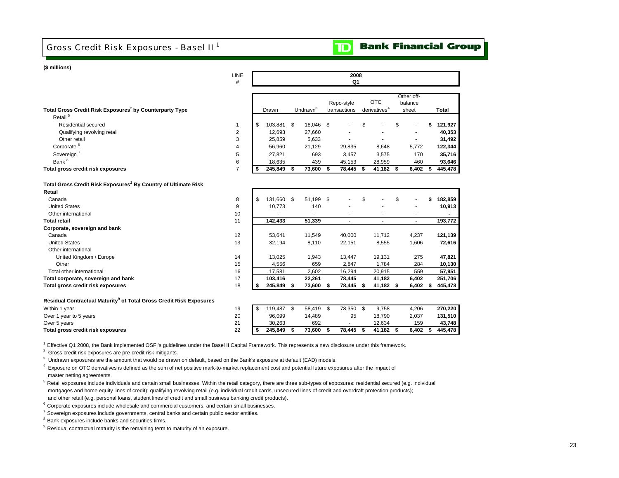### Gross Credit Risk Exposures - Basel II <sup>1</sup>



#### **(\$ millions)**

**Total retail**

CanadaUnited States

Other international

CanadaUnited StatesOther international

 Other Total other international

**Corporate, sovereign and bank** 

**Total gross credit risk exposures**

United Kingdom / Europe

**Total corporate, sovereign and bank** 

|                                                                     | #              |    |         |      |                      | Q1                         |                                        |                                |   |         |
|---------------------------------------------------------------------|----------------|----|---------|------|----------------------|----------------------------|----------------------------------------|--------------------------------|---|---------|
| Total Gross Credit Risk Exposures <sup>2</sup> by Counterparty Type |                |    | Drawn   |      | Undrawn <sup>3</sup> | Repo-style<br>transactions | <b>OTC</b><br>derivatives <sup>4</sup> | Other off-<br>balance<br>sheet |   | Total   |
| Retail <sup>5</sup><br>Residential secured                          |                | \$ |         | - \$ |                      |                            | \$                                     | \$                             |   | 121,927 |
|                                                                     |                |    | 103,881 |      | 18,046 \$            |                            |                                        | $\sim$                         | S |         |
| Qualifying revolving retail                                         | 2              |    | 12.693  |      | 27,660               |                            |                                        | $\overline{\phantom{a}}$       |   | 40,353  |
| Other retail                                                        | 3              |    | 25,859  |      | 5,633                |                            |                                        | ۰                              |   | 31,492  |
| Corporate <sup>6</sup>                                              | 4              |    | 56.960  |      | 21,129               | 29,835                     | 8,648                                  | 5,772                          |   | 122,344 |
| Sovereign                                                           | 5              |    | 27,821  |      | 693                  | 3,457                      | 3,575                                  | 170                            |   | 35,716  |
| Bank <sup>8</sup>                                                   | 6              |    | 18.635  |      | 439                  | 45,153                     | 28,959                                 | 460                            |   | 93,646  |
| Total gross credit risk exposures                                   | $\overline{ }$ | Ж  | 245,849 |      | 73,600               | 78,445                     | 41,182                                 | 6,402                          |   | 445,478 |

| 8  | \$<br>131,660 | \$<br>51,199 | \$<br>۰      | \$           | \$          | \$<br>182,859  |
|----|---------------|--------------|--------------|--------------|-------------|----------------|
| 9  | 10.773        | 140          | ۰            |              |             | 10,913         |
| 10 |               | ۰            |              |              |             | $\blacksquare$ |
| 11 | 142.433       | 51,339       |              |              |             | 193,772        |
|    |               |              |              |              |             |                |
| 12 | 53.641        | 11.549       | 40.000       | 11,712       | 4,237       | 121,139        |
| 13 | 32,194        | 8,110        | 22,151       | 8,555        | 1,606       | 72,616         |
|    |               |              |              |              |             |                |
| 14 | 13,025        | 1,943        | 13,447       | 19,131       | 275         | 47,821         |
| 15 | 4.556         | 659          | 2,847        | 1,784        | 284         | 10,130         |
| 16 | 17,581        | 2.602        | 16,294       | 20,915       | 559         | 57,951         |
| 17 | 103,416       | 22,261       | 78.445       | 41,182       | 6,402       | 251,706        |
| 18 | \$<br>245,849 | \$<br>73,600 | \$<br>78,445 | \$<br>41,182 | \$<br>6,402 | \$<br>445,478  |

**2008Q1**

#### **Residual Contractual Maturity9 of Total Gross Credit Risk Exposures**

| Over 1 year to 5 years<br>Over 5 years | 20<br>21<br><u>.</u> | 96.099<br>30.263 | 14,489<br>692 | 95     | 18,790<br>12.634 | 2,037<br>159 | 131,510<br>43.748 |
|----------------------------------------|----------------------|------------------|---------------|--------|------------------|--------------|-------------------|
| Total gross credit risk exposures      | 22                   | 245.849          | 73.600        | 78.445 | 41.182           | 6.402        | 445.478           |

<sup>1</sup> Effective Q1 2008, the Bank implemented OSFI's guidelines under the Basel II Capital Framework. This represents a new disclosure under this framework.

<sup>2</sup> Gross credit risk exposures are pre-credit risk mitigants.

 $3$  Undrawn exposures are the amount that would be drawn on default, based on the Bank's exposure at default (EAD) models.

<sup>4</sup> Exposure on OTC derivatives is defined as the sum of net positive mark-to-market replacement cost and potential future exposures after the impact of master netting agreements.

<sup>5</sup> Retail exposures include individuals and certain small businesses. Within the retail category, there are three sub-types of exposures: residential secured (e.g. individual mortgages and home equity lines of credit); qualifying revolving retail (e.g. individual credit cards, unsecured lines of credit and overdraft protection products); and other retail (e.g. personal loans, student lines of credit and small business banking credit products).

 $6$  Corporate exposures include wholesale and commercial customers, and certain small businesses.

 $7$  Sovereign exposures include governments, central banks and certain public sector entities.

8 Bank exposures include banks and securities firms.

 $9$  Residual contractual maturity is the remaining term to maturity of an exposure.

LINE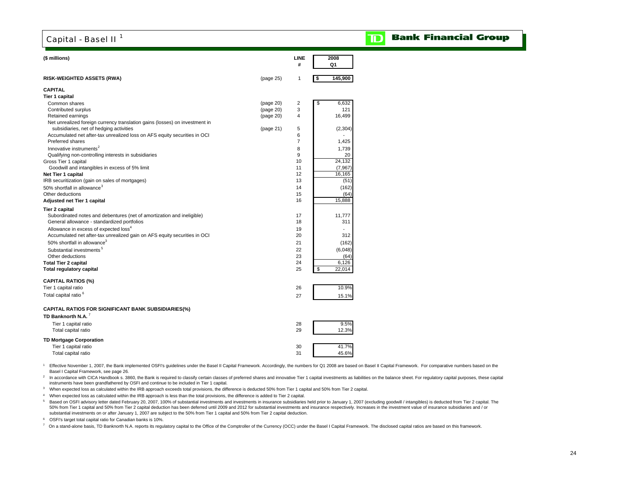### Capital - Basel II<sup>1</sup>

#### **Bank Financial Group** D

| (\$ millions)                                                               |           | LINE<br>#      | 2008<br>Q1    |
|-----------------------------------------------------------------------------|-----------|----------------|---------------|
| <b>RISK-WEIGHTED ASSETS (RWA)</b>                                           | (page 25) | 1              | \$<br>145,900 |
| <b>CAPITAL</b>                                                              |           |                |               |
| <b>Tier 1 capital</b>                                                       |           |                |               |
| Common shares                                                               | (page 20) | $\overline{2}$ | 6,632<br>\$   |
| Contributed surplus                                                         | (page 20) | 3              | 121           |
| Retained earnings                                                           | (page 20) | 4              | 16,499        |
| Net unrealized foreign currency translation gains (losses) on investment in |           |                |               |
| subsidiaries, net of hedging activities                                     | (page 21) | 5              | (2, 304)      |
| Accumulated net after-tax unrealized loss on AFS equity securities in OCI   |           | 6              |               |
| <b>Preferred shares</b>                                                     |           | $\overline{7}$ | 1,425         |
| Innovative instruments <sup>2</sup>                                         |           | 8              | 1,739         |
| Qualifying non-controlling interests in subsidiaries                        |           | 9              | 20            |
| Gross Tier 1 capital                                                        |           | 10             | 24,132        |
| Goodwill and intangibles in excess of 5% limit                              |           | 11             | (7,967)       |
| Net Tier 1 capital                                                          |           | 12             | 16,165        |
| IRB securitization (gain on sales of mortgages)                             |           | 13             | (51)          |
| 50% shortfall in allowance <sup>3</sup>                                     |           | 14             | (162)         |
| Other deductions                                                            |           | 15             | (64)          |
| Adjusted net Tier 1 capital                                                 |           | 16             | 15,888        |
| <b>Tier 2 capital</b>                                                       |           |                |               |
| Subordinated notes and debentures (net of amortization and ineligible)      |           | 17             | 11,777        |
| General allowance - standardized portfolios                                 |           | 18             | 311           |
| Allowance in excess of expected loss <sup>4</sup>                           |           | 19             | L.            |
| Accumulated net after-tax unrealized gain on AFS equity securities in OCI   |           | 20             | 312           |
| 50% shortfall in allowance <sup>3</sup>                                     |           | 21             | (162)         |
| Substantial investments <sup>5</sup>                                        |           | 22             | (6,048)       |
| Other deductions                                                            |           | 23             | (64)          |
| <b>Total Tier 2 capital</b>                                                 |           | 24             | 6,126         |
| <b>Total regulatory capital</b>                                             |           | 25             | \$<br>22,014  |
|                                                                             |           |                |               |
| <b>CAPITAL RATIOS (%)</b>                                                   |           |                |               |
| Tier 1 capital ratio                                                        |           | 26             | 10.9%         |
| Total capital ratio <sup>6</sup>                                            |           | 27             | 15.1%         |
|                                                                             |           |                |               |
| <b>CAPITAL RATIOS FOR SIGNIFICANT BANK SUBSIDIARIES(%)</b>                  |           |                |               |
| TD Banknorth N.A. <sup>7</sup>                                              |           |                |               |
| Tier 1 capital ratio                                                        |           | 28             | 9.5%          |
| Total capital ratio                                                         |           | 29             | 12.3%         |
| <b>TD Mortgage Corporation</b>                                              |           |                |               |
| Tier 1 capital ratio                                                        |           | 30             | 41.7%         |
| Total capital ratio                                                         |           | 31             | 45.6%         |
|                                                                             |           |                |               |

<sup>1</sup> Effective November 1, 2007, the Bank implemented OSFI's guidelines under the Basel II Capital Framework. Accordingly, the numbers for Q1 2008 are based on Basel II Capital Framework. For comparative numbers based on th Basel I Capital Framework, see page 26.

<sup>2</sup> In accordance with CICA Handbook s. 3860, the Bank is required to classify certain classes of preferred shares and innovative Tier 1 capital investments as liabilities on the balance sheet. For regulatory capital purpo instruments have been grandfathered by OSFI and continue to be included in Tier 1 capital.

3 When expected loss as calculated within the IRB approach exceeds total provisions, the difference is deducted 50% from Tier 1 capital and 50% from Tier 2 capital.

4 When expected loss as calculated within the IRB approach is less than the total provisions, the difference is added to Tier 2 capital.

5 Based on OSFI advisory letter dated February 20, 2007, 100% of substantial investments and investments in insurance subsidiaries held prior to January 1, 2007 (excluding goodwill / intangibles) is deducted from Tier 2 ca 50% from Tier 1 capital and 50% from Tier 2 capital deduction has been deferred until 2009 and 2012 for substantial investments and insurance respectively. Increases in the investment value of insurance subsidiaries and / or substantial investments on or after January 1, 2007 are subject to the 50% from Tier 1 capital and 50% from Tier 2 capital deduction.

6 OSFI's target total capital ratio for Canadian banks is 10%.

 $^7$  On a stand-alone basis, TD Banknorth N.A. reports its regulatory capital to the Office of the Comptroller of the Currency (OCC) under the Basel I Capital Framework. The disclosed capital ratios are based on this fram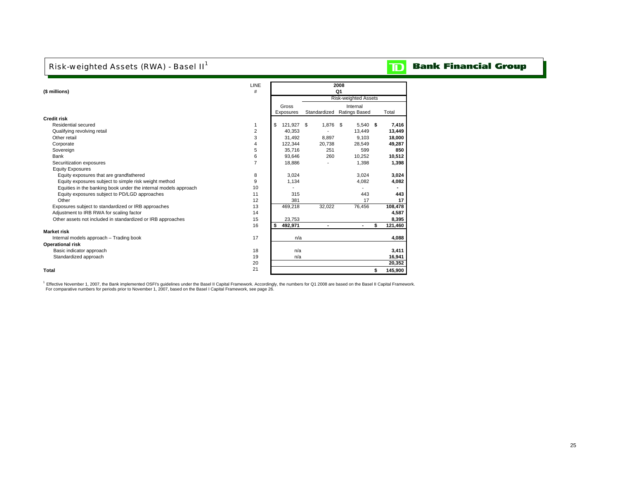### Risk-weighted Assets (RWA) - Basel II<sup>1</sup>

# **TD** Bank Financial Group

| (\$ millions)                                                   | LINE<br>#      |                  |        | 2008<br>Q <sub>1</sub>      |               |
|-----------------------------------------------------------------|----------------|------------------|--------|-----------------------------|---------------|
|                                                                 |                |                  |        | <b>Risk-weighted Assets</b> |               |
|                                                                 |                | Gross            |        | Internal                    |               |
|                                                                 |                | Exposures        |        | Standardized Ratings Based  | Total         |
| <b>Credit risk</b>                                              |                |                  |        |                             |               |
| Residential secured                                             | 1              | \$<br>121,927 \$ | 1,876  | $5,540$ \$<br>- \$          | 7,416         |
| Qualifying revolving retail                                     | $\overline{2}$ | 40,353           |        | 13,449                      | 13,449        |
| Other retail                                                    | 3              | 31,492           | 8.897  | 9.103                       | 18,000        |
| Corporate                                                       | 4              | 122,344          | 20,738 | 28.549                      | 49,287        |
| Sovereign                                                       | 5              | 35.716           | 251    | 599                         | 850           |
| Bank                                                            | 6              | 93,646           | 260    | 10,252                      | 10,512        |
| Securitization exposures                                        | $\overline{7}$ | 18,886           |        | 1,398                       | 1,398         |
| <b>Equity Exposures</b>                                         |                |                  |        |                             |               |
| Equity exposures that are grandfathered                         | 8              | 3.024            |        | 3.024                       | 3,024         |
| Equity exposures subject to simple risk weight method           | 9              | 1.134            |        | 4.082                       | 4,082         |
| Equities in the banking book under the internal models approach | 10             |                  |        |                             |               |
| Equity exposures subject to PD/LGD approaches                   | 11             | 315              |        | 443                         | 443           |
| Other                                                           | 12             | 381              |        | 17                          | 17            |
| Exposures subject to standardized or IRB approaches             | 13             | 469,218          | 32,022 | 76,456                      | 108,478       |
| Adjustment to IRB RWA for scaling factor                        | 14             |                  |        |                             | 4,587         |
| Other assets not included in standardized or IRB approaches     | 15             | 23.753           |        |                             | 8,395         |
|                                                                 | 16             | 492,971<br>\$    | ٠      | ۰                           | \$<br>121,460 |
| <b>Market risk</b>                                              |                |                  |        |                             |               |
| Internal models approach - Trading book                         | 17             | n/a              |        |                             | 4,088         |
| <b>Operational risk</b>                                         |                |                  |        |                             |               |
| Basic indicator approach                                        | 18             | n/a              |        |                             | 3,411         |
| Standardized approach                                           | 19             | n/a              |        |                             | 16,941        |
|                                                                 | 20             |                  |        |                             | 20.352        |
| Total                                                           | 21             |                  |        |                             | \$<br>145.900 |

<sup>1</sup> Effective November 1, 2007, the Bank implemented OSFI's guidelines under the Basel II Capital Framework. Accordingly, the numbers for Q1 2008 are based on the Basel II Capital Framework.<br>For comparative numbers for per